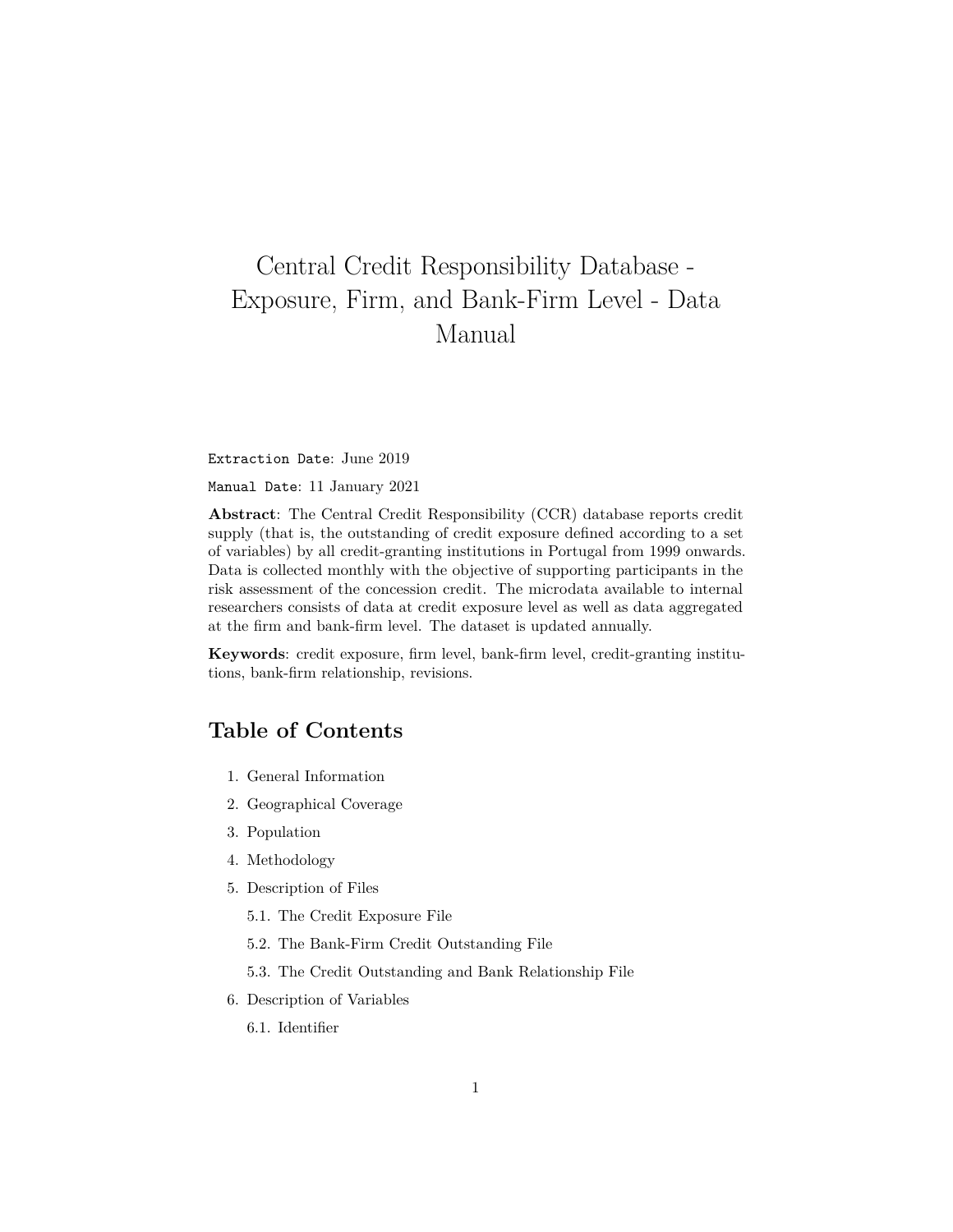# <span id="page-0-0"></span>Central Credit Responsibility Database - Exposure, Firm, and Bank-Firm Level - Data Manual

Extraction Date: June 2019

Manual Date: 11 January 2021

**Abstract**: The Central Credit Responsibility (CCR) database reports credit supply (that is, the outstanding of credit exposure defined according to a set of variables) by all credit-granting institutions in Portugal from 1999 onwards. Data is collected monthly with the objective of supporting participants in the risk assessment of the concession credit. The microdata available to internal researchers consists of data at credit exposure level as well as data aggregated at the firm and bank-firm level. The dataset is updated annually.

**Keywords**: credit exposure, firm level, bank-firm level, credit-granting institutions, bank-firm relationship, revisions.

# **Table of Contents**

- 1. [General Information](#page-1-0)
- 2. [Geographical Coverage](#page-2-0)
- 3. [Population](#page-3-0)
- 4. [Methodology](#page-3-1)
- 5. [Description of Files](#page-4-0)
	- 5.1. [The Credit Exposure File](#page-6-0)
	- 5.2. [The Bank-Firm Credit Outstanding File](#page-7-0)
	- 5.3. [The Credit Outstanding and Bank Relationship File](#page-7-1)
- 6. [Description of Variables](#page-7-2)
	- 6.1. [Identifier](#page-7-3)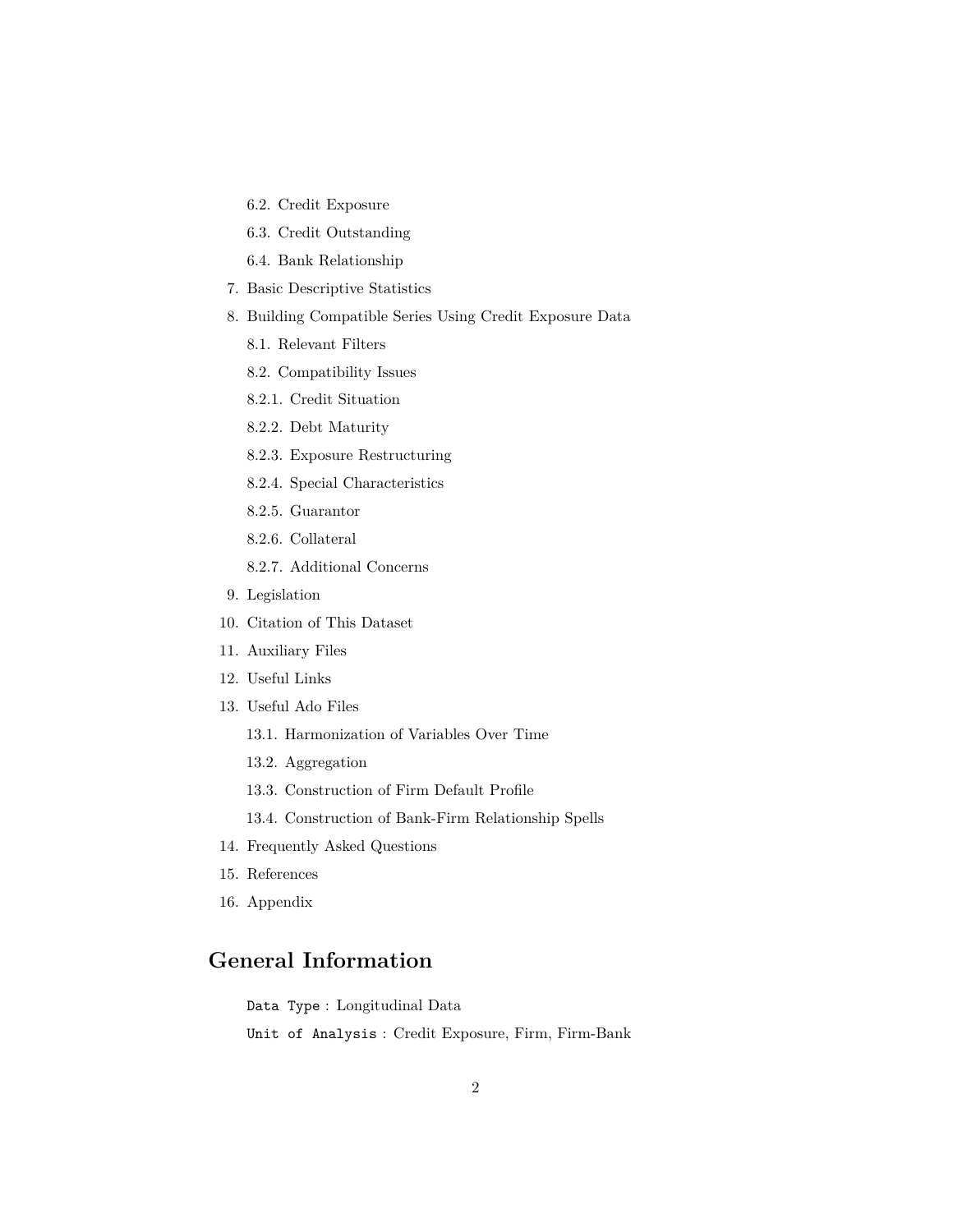- 6.2. [Credit Exposure](#page-10-0)
- 6.3. [Credit Outstanding](#page-30-0)
- 6.4. [Bank Relationship](#page-36-0)
- 7. [Basic Descriptive Statistics](#page-37-0)
- 8. [Building Compatible Series Using Credit Exposure Data](#page-38-0)
	- 8.1. [Relevant Filters](#page-38-1)
	- 8.2. [Compatibility Issues](#page-39-0)
	- 8.2.1. [Credit Situation](#page-0-0)
	- 8.2.2. [Debt Maturity](#page-0-0)
	- 8.2.3. [Exposure Restructuring](#page-0-0)
	- 8.2.4. [Special Characteristics](#page-0-0)
	- 8.2.5. [Guarantor](#page-0-0)
	- 8.2.6. [Collateral](#page-0-0)
	- 8.2.7. [Additional Concerns](#page-0-0)
- 9. [Legislation](#page-48-0)
- 10. [Citation of This Dataset](#page-50-0)
- 11. [Auxiliary Files](#page-50-1)
- 12. [Useful Links](#page-51-0)
- 13. [Useful Ado Files](#page-52-0)
	- 13.1. [Harmonization of Variables Over Time](#page-52-1)
	- 13.2. [Aggregation](#page-52-2)
	- 13.3. [Construction of Firm Default Profile](#page-0-0)
	- 13.4. [Construction of Bank-Firm Relationship Spells](#page-0-0)
- 14. [Frequently Asked Questions](#page-55-0)
- 15. [References](#page-55-1)
- <span id="page-1-0"></span>16. [Appendix](#page-56-0)

# **General Information**

Data Type : Longitudinal Data

Unit of Analysis : Credit Exposure, Firm, Firm-Bank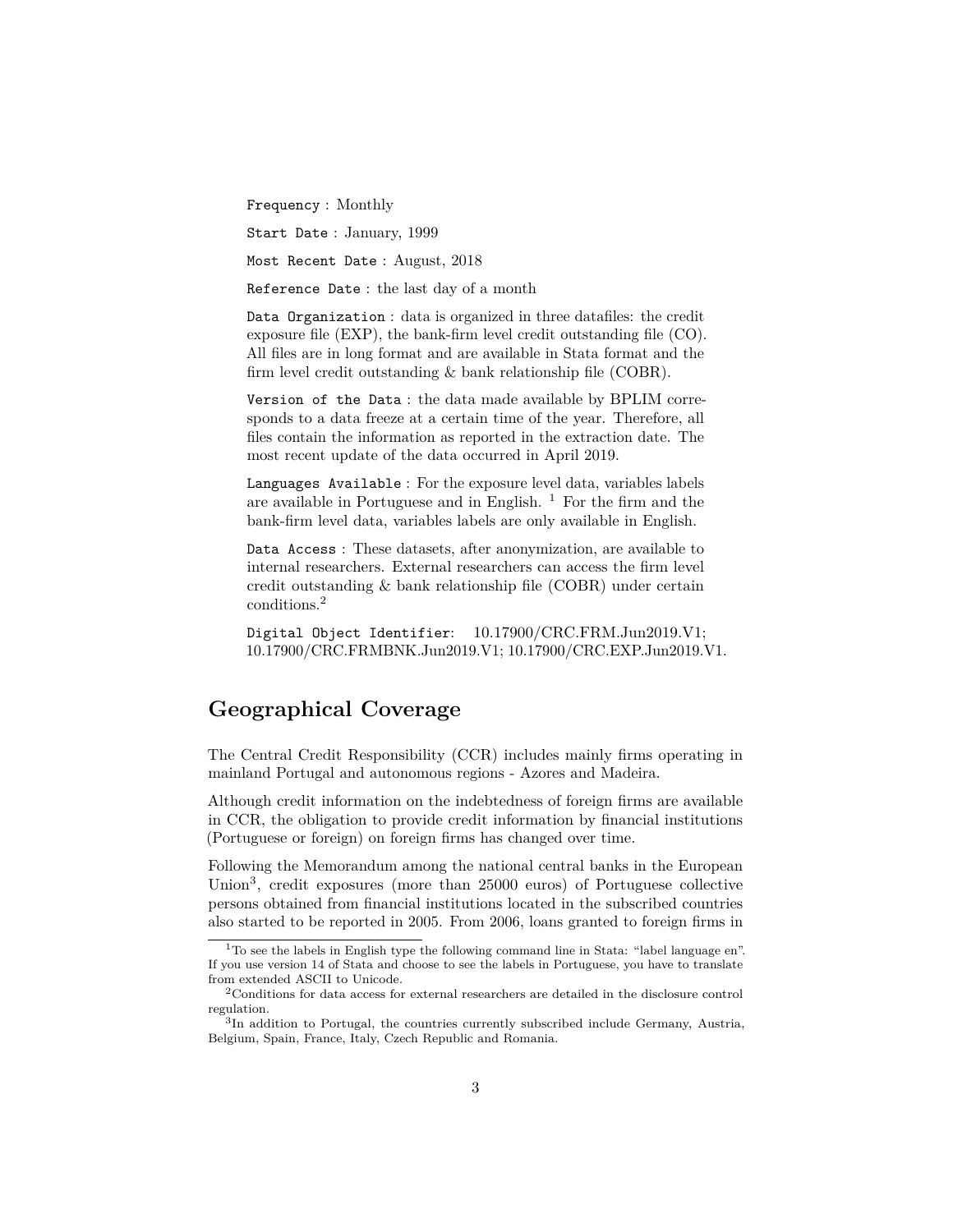Frequency : Monthly

Start Date : January, 1999

Most Recent Date : August, 2018

Reference Date : the last day of a month

Data Organization : data is organized in three datafiles: the credit exposure file (EXP), the bank-firm level credit outstanding file (CO). All files are in long format and are available in Stata format and the firm level credit outstanding & bank relationship file (COBR).

Version of the Data : the data made available by BPLIM corresponds to a data freeze at a certain time of the year. Therefore, all files contain the information as reported in the extraction date. The most recent update of the data occurred in April 2019.

Languages Available : For the exposure level data, variables labels are available in Portuguese and in English.  $<sup>1</sup>$  $<sup>1</sup>$  $<sup>1</sup>$  For the firm and the</sup> bank-firm level data, variables labels are only available in English.

Data Access : These datasets, after anonymization, are available to internal researchers. External researchers can access the firm level credit outstanding & bank relationship file (COBR) under certain conditions.[2](#page-2-2)

Digital Object Identifier: 10.17900/CRC.FRM.Jun2019.V1; 10.17900/CRC.FRMBNK.Jun2019.V1; 10.17900/CRC.EXP.Jun2019.V1.

# <span id="page-2-0"></span>**Geographical Coverage**

The Central Credit Responsibility (CCR) includes mainly firms operating in mainland Portugal and autonomous regions - Azores and Madeira.

Although credit information on the indebtedness of foreign firms are available in CCR, the obligation to provide credit information by financial institutions (Portuguese or foreign) on foreign firms has changed over time.

Following the Memorandum among the national central banks in the European Union<sup>[3](#page-2-3)</sup>, credit exposures (more than 25000 euros) of Portuguese collective persons obtained from financial institutions located in the subscribed countries also started to be reported in 2005. From 2006, loans granted to foreign firms in

<span id="page-2-1"></span><sup>1</sup>To see the labels in English type the following command line in Stata: "label language en". If you use version 14 of Stata and choose to see the labels in Portuguese, you have to translate from extended ASCII to Unicode.

<span id="page-2-2"></span><sup>2</sup>Conditions for data access for external researchers are detailed in the disclosure control regulation.

<span id="page-2-3"></span><sup>&</sup>lt;sup>3</sup>In addition to Portugal, the countries currently subscribed include Germany, Austria, Belgium, Spain, France, Italy, Czech Republic and Romania.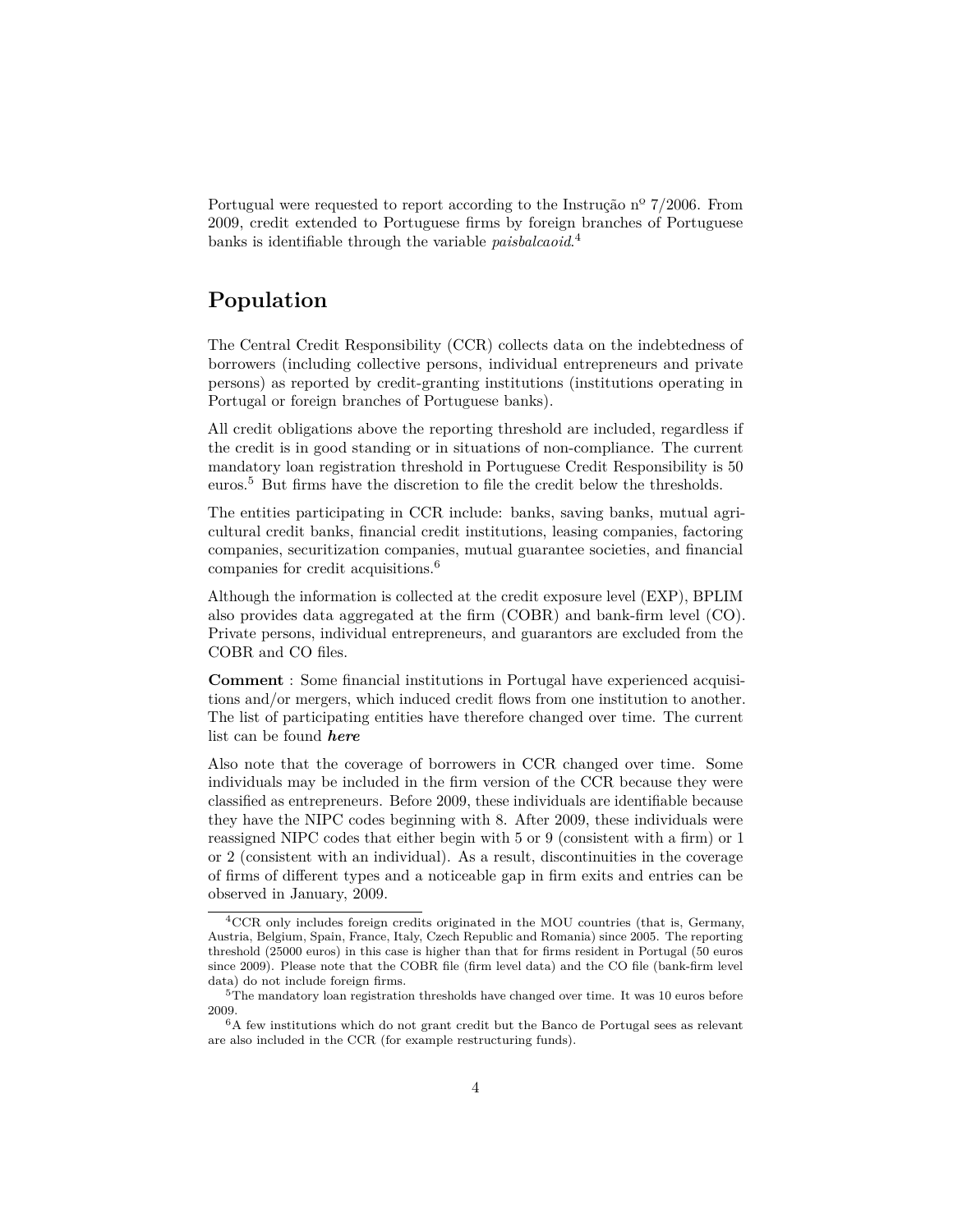Portugual were requested to report according to the Instrução nº 7/2006. From 2009, credit extended to Portuguese firms by foreign branches of Portuguese banks is identifiable through the variable *paisbalcaoid*. [4](#page-3-2)

# <span id="page-3-0"></span>**Population**

The Central Credit Responsibility (CCR) collects data on the indebtedness of borrowers (including collective persons, individual entrepreneurs and private persons) as reported by credit-granting institutions (institutions operating in Portugal or foreign branches of Portuguese banks).

All credit obligations above the reporting threshold are included, regardless if the credit is in good standing or in situations of non-compliance. The current mandatory loan registration threshold in Portuguese Credit Responsibility is 50 euros.[5](#page-3-3) But firms have the discretion to file the credit below the thresholds.

The entities participating in CCR include: banks, saving banks, mutual agricultural credit banks, financial credit institutions, leasing companies, factoring companies, securitization companies, mutual guarantee societies, and financial companies for credit acquisitions.[6](#page-3-4)

Although the information is collected at the credit exposure level (EXP), BPLIM also provides data aggregated at the firm (COBR) and bank-firm level (CO). Private persons, individual entrepreneurs, and guarantors are excluded from the COBR and CO files.

**Comment** : Some financial institutions in Portugal have experienced acquisitions and/or mergers, which induced credit flows from one institution to another. The list of participating entities have therefore changed over time. The current list can be found *[here](#page-0-0)*

Also note that the coverage of borrowers in CCR changed over time. Some individuals may be included in the firm version of the CCR because they were classified as entrepreneurs. Before 2009, these individuals are identifiable because they have the NIPC codes beginning with 8. After 2009, these individuals were reassigned NIPC codes that either begin with 5 or 9 (consistent with a firm) or 1 or 2 (consistent with an individual). As a result, discontinuities in the coverage of firms of different types and a noticeable gap in firm exits and entries can be observed in January, 2009.

<span id="page-3-2"></span><span id="page-3-1"></span><sup>4</sup>CCR only includes foreign credits originated in the MOU countries (that is, Germany, Austria, Belgium, Spain, France, Italy, Czech Republic and Romania) since 2005. The reporting threshold (25000 euros) in this case is higher than that for firms resident in Portugal (50 euros since 2009). Please note that the COBR file (firm level data) and the CO file (bank-firm level data) do not include foreign firms.

<span id="page-3-3"></span> $5$ The mandatory loan registration thresholds have changed over time. It was 10 euros before 2009.

<span id="page-3-4"></span> ${}^6\mathrm{A}$  few institutions which do not grant credit but the Banco de Portugal sees as relevant are also included in the CCR (for example restructuring funds).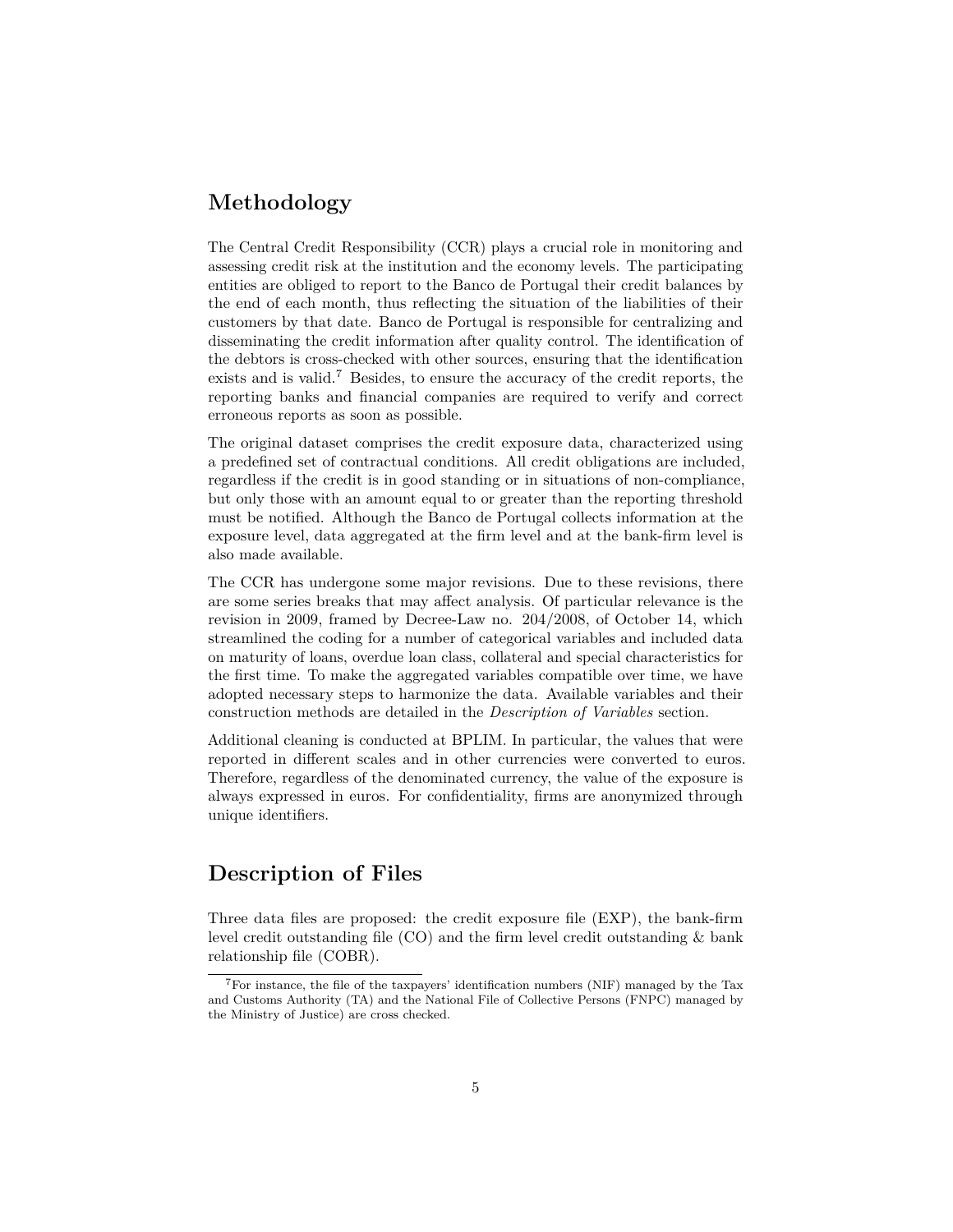# **Methodology**

The Central Credit Responsibility (CCR) plays a crucial role in monitoring and assessing credit risk at the institution and the economy levels. The participating entities are obliged to report to the Banco de Portugal their credit balances by the end of each month, thus reflecting the situation of the liabilities of their customers by that date. Banco de Portugal is responsible for centralizing and disseminating the credit information after quality control. The identification of the debtors is cross-checked with other sources, ensuring that the identification exists and is valid.<sup>[7](#page-4-1)</sup> Besides, to ensure the accuracy of the credit reports, the reporting banks and financial companies are required to verify and correct erroneous reports as soon as possible.

The original dataset comprises the credit exposure data, characterized using a predefined set of contractual conditions. All credit obligations are included, regardless if the credit is in good standing or in situations of non-compliance, but only those with an amount equal to or greater than the reporting threshold must be notified. Although the Banco de Portugal collects information at the exposure level, data aggregated at the firm level and at the bank-firm level is also made available.

The CCR has undergone some major revisions. Due to these revisions, there are some series breaks that may affect analysis. Of particular relevance is the revision in 2009, framed by Decree-Law no. 204/2008, of October 14, which streamlined the coding for a number of categorical variables and included data on maturity of loans, overdue loan class, collateral and special characteristics for the first time. To make the aggregated variables compatible over time, we have adopted necessary steps to harmonize the data. Available variables and their construction methods are detailed in the *[Description of Variables](#page-7-2)* section.

Additional cleaning is conducted at BPLIM. In particular, the values that were reported in different scales and in other currencies were converted to euros. Therefore, regardless of the denominated currency, the value of the exposure is always expressed in euros. For confidentiality, firms are anonymized through unique identifiers.

# <span id="page-4-0"></span>**Description of Files**

Three data files are proposed: the credit exposure file (EXP), the bank-firm level credit outstanding file (CO) and the firm level credit outstanding & bank relationship file (COBR).

<span id="page-4-1"></span><sup>7</sup>For instance, the file of the taxpayers' identification numbers (NIF) managed by the Tax and Customs Authority (TA) and the National File of Collective Persons (FNPC) managed by the Ministry of Justice) are cross checked.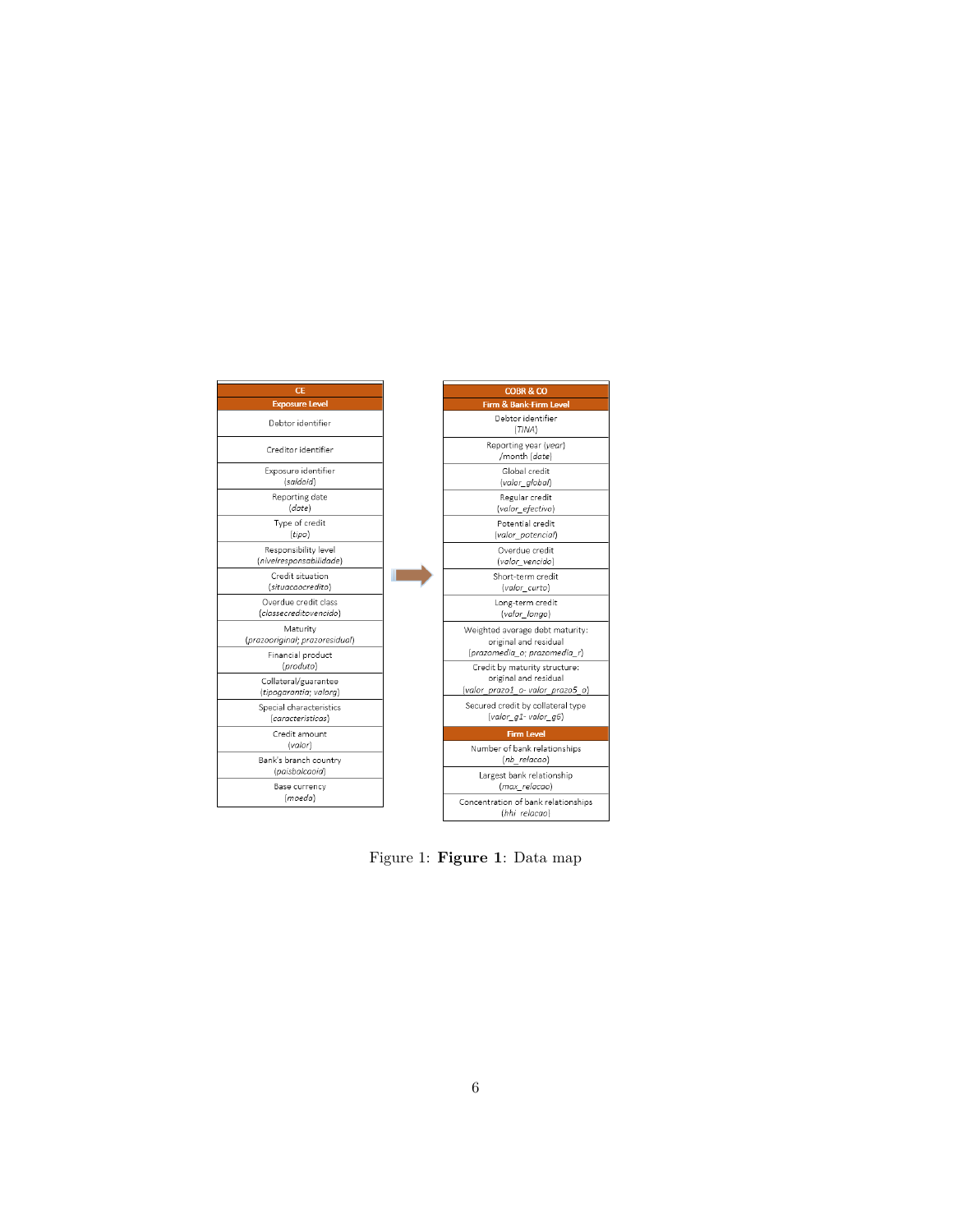

Figure 1: **Figure 1**: Data map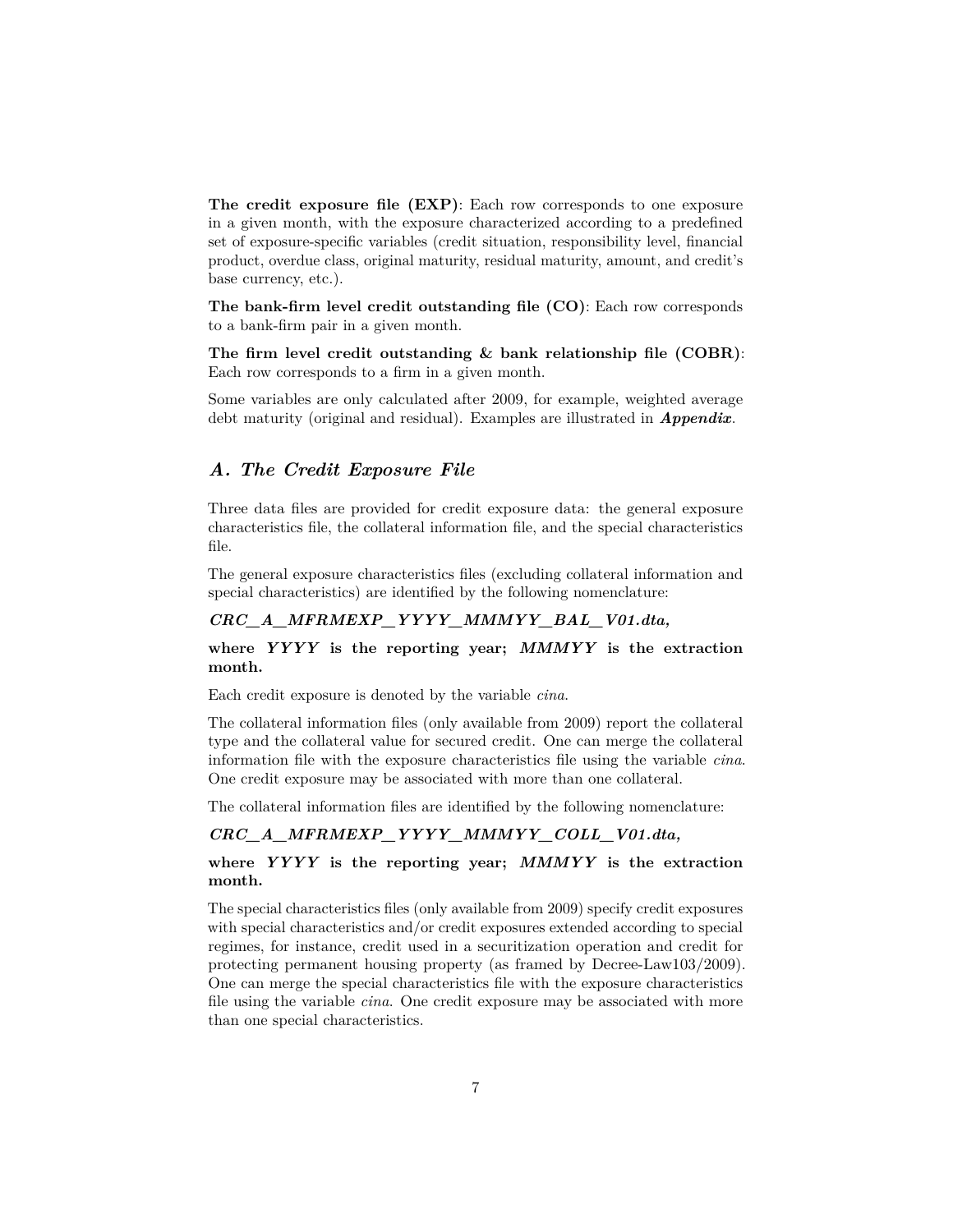**The credit exposure file (EXP)**: Each row corresponds to one exposure in a given month, with the exposure characterized according to a predefined set of exposure-specific variables (credit situation, responsibility level, financial product, overdue class, original maturity, residual maturity, amount, and credit's base currency, etc.).

**The bank-firm level credit outstanding file (CO)**: Each row corresponds to a bank-firm pair in a given month.

**The firm level credit outstanding & bank relationship file (COBR)**: Each row corresponds to a firm in a given month.

<span id="page-6-0"></span>Some variables are only calculated after 2009, for example, weighted average debt maturity (original and residual). Examples are illustrated in *[Appendix](#page-56-0)*.

### *A. The Credit Exposure File*

Three data files are provided for credit exposure data: the general exposure characteristics file, the collateral information file, and the special characteristics file.

The general exposure characteristics files (excluding collateral information and special characteristics) are identified by the following nomenclature:

### *CRC\_A\_MFRMEXP\_YYYY\_MMMYY\_BAL\_V01.dta,*

### **where** *YYYY* **is the reporting year;** *MMMYY* **is the extraction month.**

Each credit exposure is denoted by the variable *cina*.

The collateral information files (only available from 2009) report the collateral type and the collateral value for secured credit. One can merge the collateral information file with the exposure characteristics file using the variable *cina*. One credit exposure may be associated with more than one collateral.

The collateral information files are identified by the following nomenclature:

### *CRC\_A\_MFRMEXP\_YYYY\_MMMYY\_COLL\_V01.dta,*

### **where** *YYYY* **is the reporting year;** *MMMYY* **is the extraction month.**

The special characteristics files (only available from 2009) specify credit exposures with special characteristics and/or credit exposures extended according to special regimes, for instance, credit used in a securitization operation and credit for protecting permanent housing property (as framed by Decree-Law103/2009). One can merge the special characteristics file with the exposure characteristics file using the variable *cina*. One credit exposure may be associated with more than one special characteristics.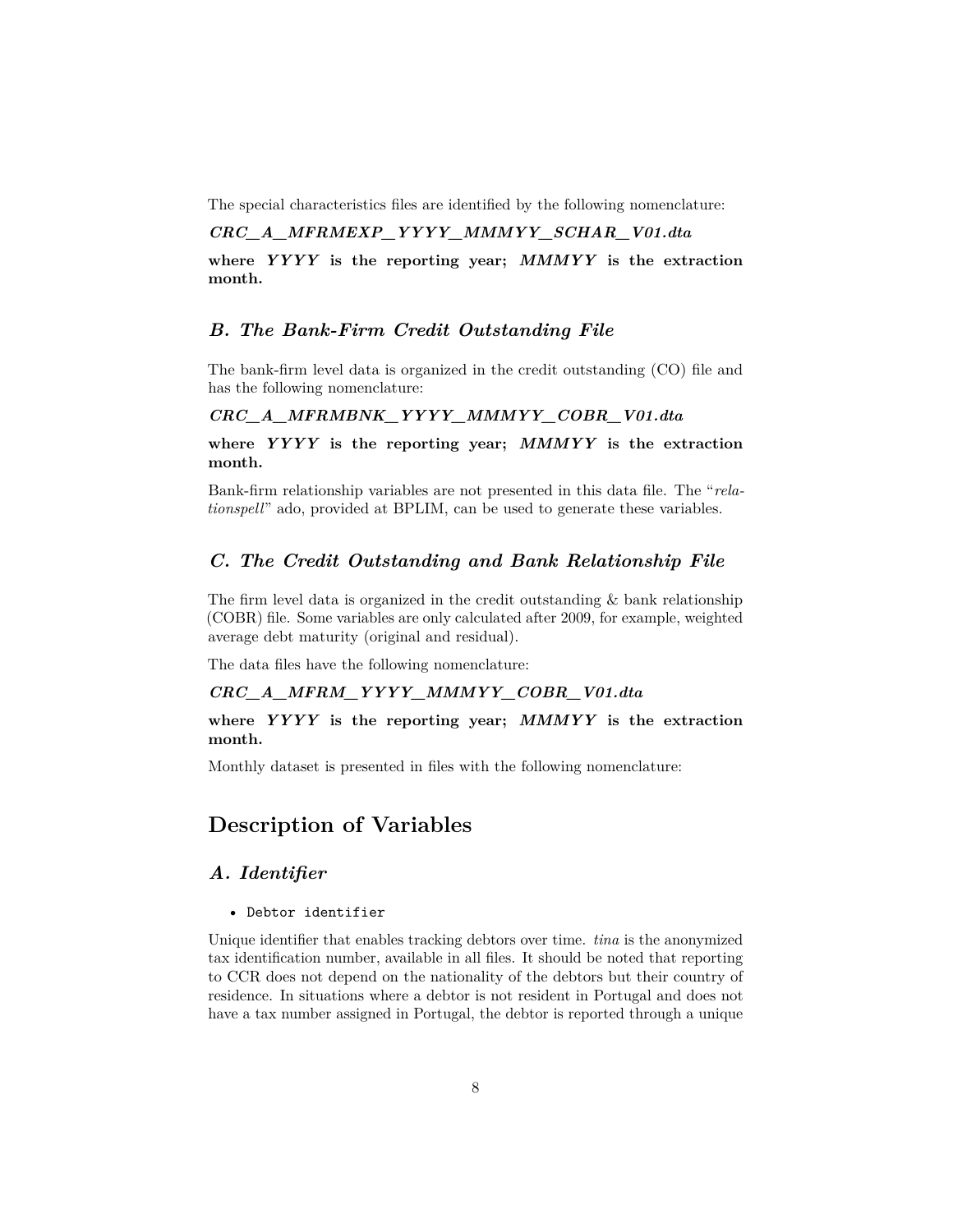The special characteristics files are identified by the following nomenclature:

# *CRC\_A\_MFRMEXP\_YYYY\_MMMYY\_SCHAR\_V01.dta*

<span id="page-7-0"></span>**where** *YYYY* **is the reporting year;** *MMMYY* **is the extraction month.**

### *B. The Bank-Firm Credit Outstanding File*

The bank-firm level data is organized in the credit outstanding (CO) file and has the following nomenclature:

### *CRC\_A\_MFRMBNK\_YYYY\_MMMYY\_COBR\_V01.dta*

**where** *YYYY* **is the reporting year;** *MMMYY* **is the extraction month.**

<span id="page-7-1"></span>Bank-firm relationship variables are not presented in this data file. The "*relationspell*" ado, provided at BPLIM, can be used to generate these variables.

### *C. The Credit Outstanding and Bank Relationship File*

The firm level data is organized in the credit outstanding & bank relationship (COBR) file. Some variables are only calculated after 2009, for example, weighted average debt maturity (original and residual).

The data files have the following nomenclature:

# *CRC\_A\_MFRM\_YYYY\_MMMYY\_COBR\_V01.dta*

**where** *YYYY* **is the reporting year;** *MMMYY* **is the extraction month.**

<span id="page-7-2"></span>Monthly dataset is presented in files with the following nomenclature:

# **Description of Variables**

# <span id="page-7-3"></span>*A. Identifier*

• Debtor identifier

Unique identifier that enables tracking debtors over time. *tina* is the anonymized tax identification number, available in all files. It should be noted that reporting to CCR does not depend on the nationality of the debtors but their country of residence. In situations where a debtor is not resident in Portugal and does not have a tax number assigned in Portugal, the debtor is reported through a unique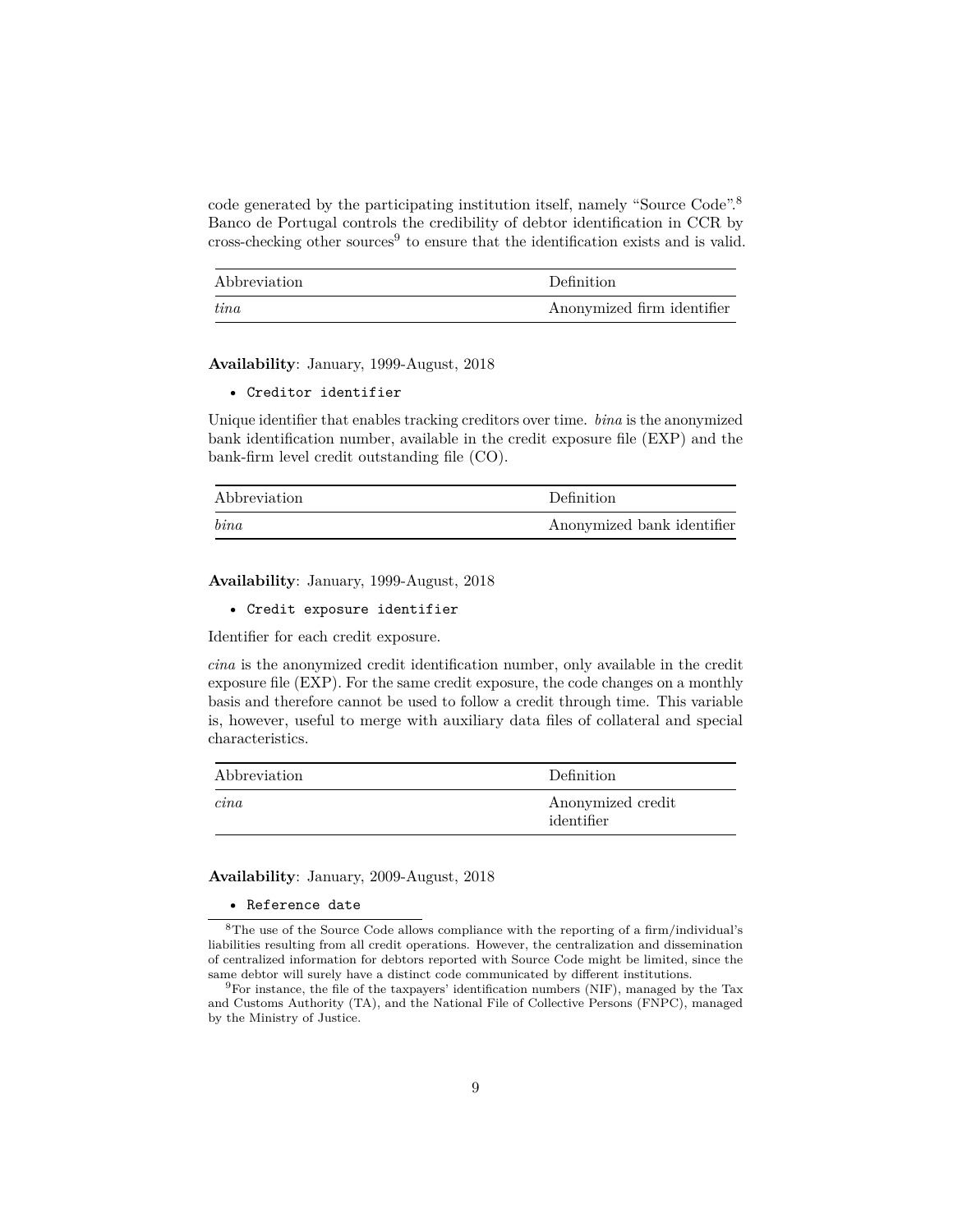code generated by the participating institution itself, namely "Source Code".[8](#page-8-0) Banco de Portugal controls the credibility of debtor identification in CCR by cross-checking other sources<sup>[9](#page-8-1)</sup> to ensure that the identification exists and is valid.

| Abbreviation | Definition                 |
|--------------|----------------------------|
| tina         | Anonymized firm identifier |

**Availability**: January, 1999-August, 2018

• Creditor identifier

Unique identifier that enables tracking creditors over time. *bina* is the anonymized bank identification number, available in the credit exposure file (EXP) and the bank-firm level credit outstanding file (CO).

| Abbreviation | Definition                 |
|--------------|----------------------------|
| bin a        | Anonymized bank identifier |

**Availability**: January, 1999-August, 2018

• Credit exposure identifier

Identifier for each credit exposure.

*cina* is the anonymized credit identification number, only available in the credit exposure file (EXP). For the same credit exposure, the code changes on a monthly basis and therefore cannot be used to follow a credit through time. This variable is, however, useful to merge with auxiliary data files of collateral and special characteristics.

| Abbreviation | Definition                      |
|--------------|---------------------------------|
| cina         | Anonymized credit<br>identifier |

**Availability**: January, 2009-August, 2018

#### <span id="page-8-0"></span>• Reference date

 ${}^{8}{\rm The}$ use of the Source Code allows compliance with the reporting of a firm/individual's liabilities resulting from all credit operations. However, the centralization and dissemination of centralized information for debtors reported with Source Code might be limited, since the same debtor will surely have a distinct code communicated by different institutions.

<span id="page-8-1"></span><sup>9</sup>For instance, the file of the taxpayers' identification numbers (NIF), managed by the Tax and Customs Authority (TA), and the National File of Collective Persons (FNPC), managed by the Ministry of Justice.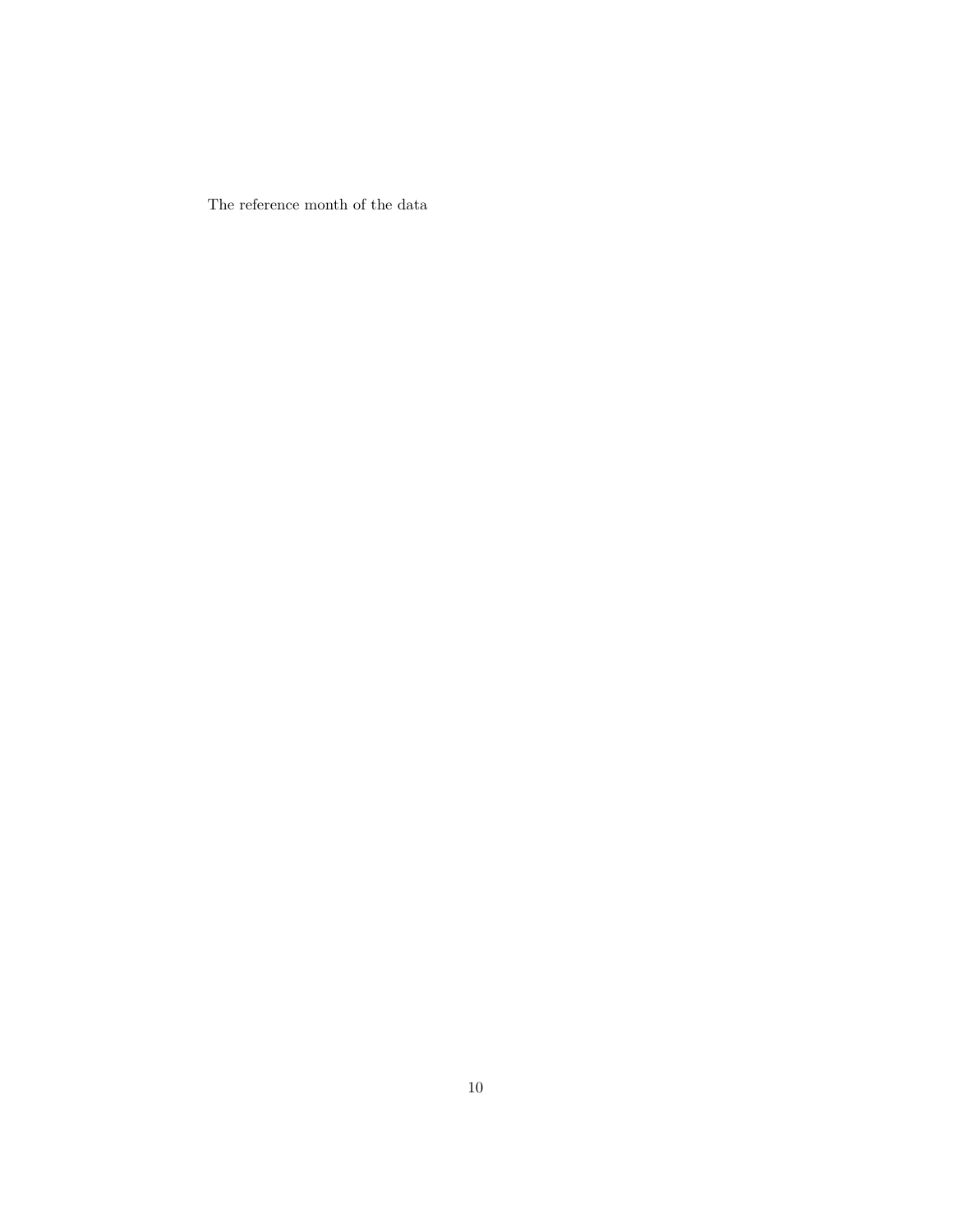The reference month of the data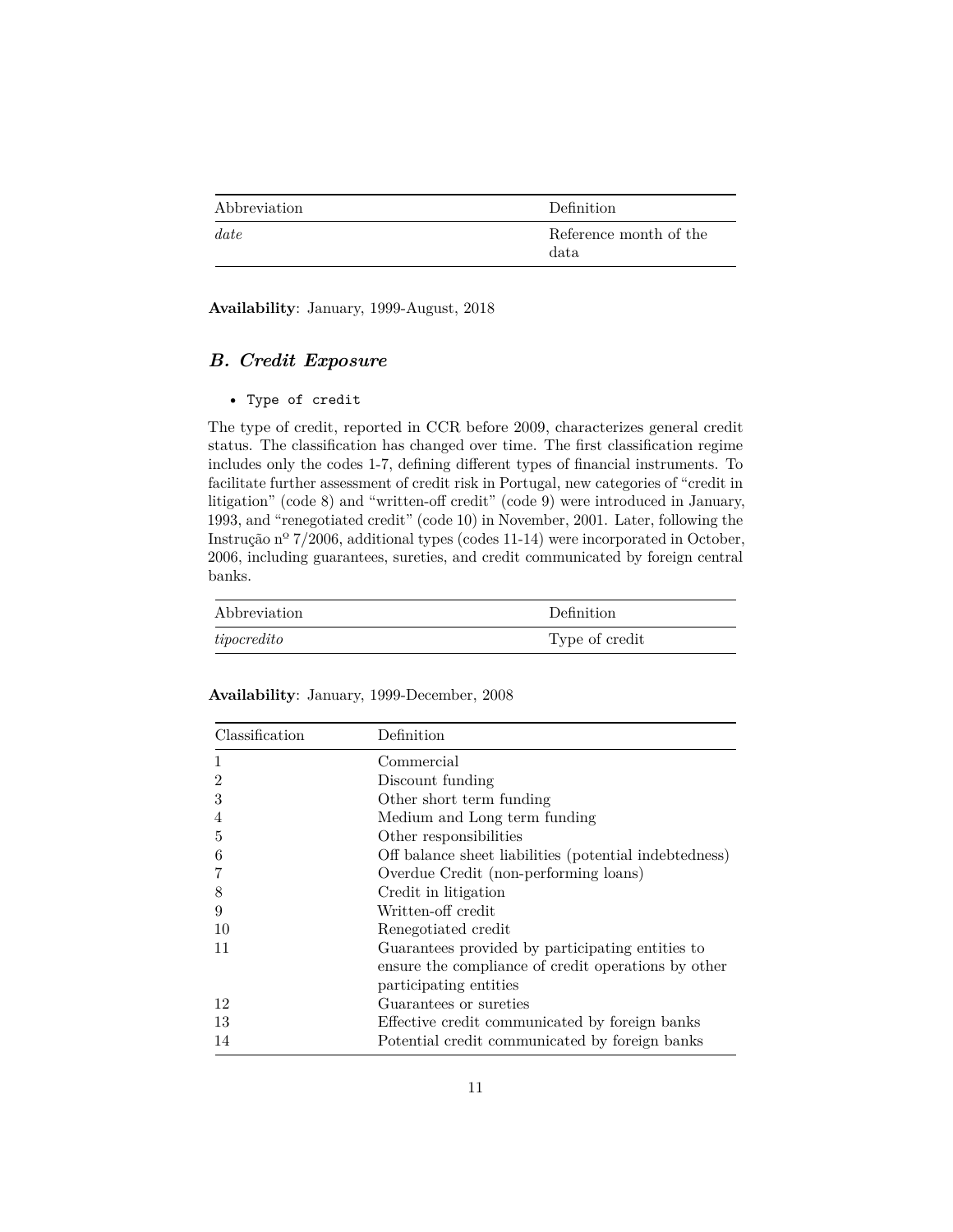| Abbreviation | Definition                     |
|--------------|--------------------------------|
| date         | Reference month of the<br>data |

<span id="page-10-0"></span>**Availability**: January, 1999-August, 2018

# *B. Credit Exposure*

### • Type of credit

The type of credit, reported in CCR before 2009, characterizes general credit status. The classification has changed over time. The first classification regime includes only the codes 1-7, defining different types of financial instruments. To facilitate further assessment of credit risk in Portugal, new categories of "credit in litigation" (code 8) and "written-off credit" (code 9) were introduced in January, 1993, and "renegotiated credit" (code 10) in November, 2001. Later, following the Instrução nº 7/2006, additional types (codes 11-14) were incorporated in October, 2006, including guarantees, sureties, and credit communicated by foreign central banks.

| Abbreviation  | Definition     |
|---------------|----------------|
| $tipocredito$ | Type of credit |

| Classification | Definition                                             |
|----------------|--------------------------------------------------------|
| 1              | Commercial                                             |
| $\overline{2}$ | Discount funding                                       |
| 3              | Other short term funding                               |
| 4              | Medium and Long term funding                           |
| 5              | Other responsibilities                                 |
| 6              | Off balance sheet liabilities (potential indebtedness) |
| 7              | Overdue Credit (non-performing loans)                  |
| 8              | Credit in litigation                                   |
| 9              | Written-off credit                                     |
| 10             | Renegotiated credit                                    |
| 11             | Guarantees provided by participating entities to       |
|                | ensure the compliance of credit operations by other    |
|                | participating entities                                 |
| 12             | Guarantees or sureties                                 |
| 13             | Effective credit communicated by foreign banks         |
| 14             | Potential credit communicated by foreign banks         |

**Availability**: January, 1999-December, 2008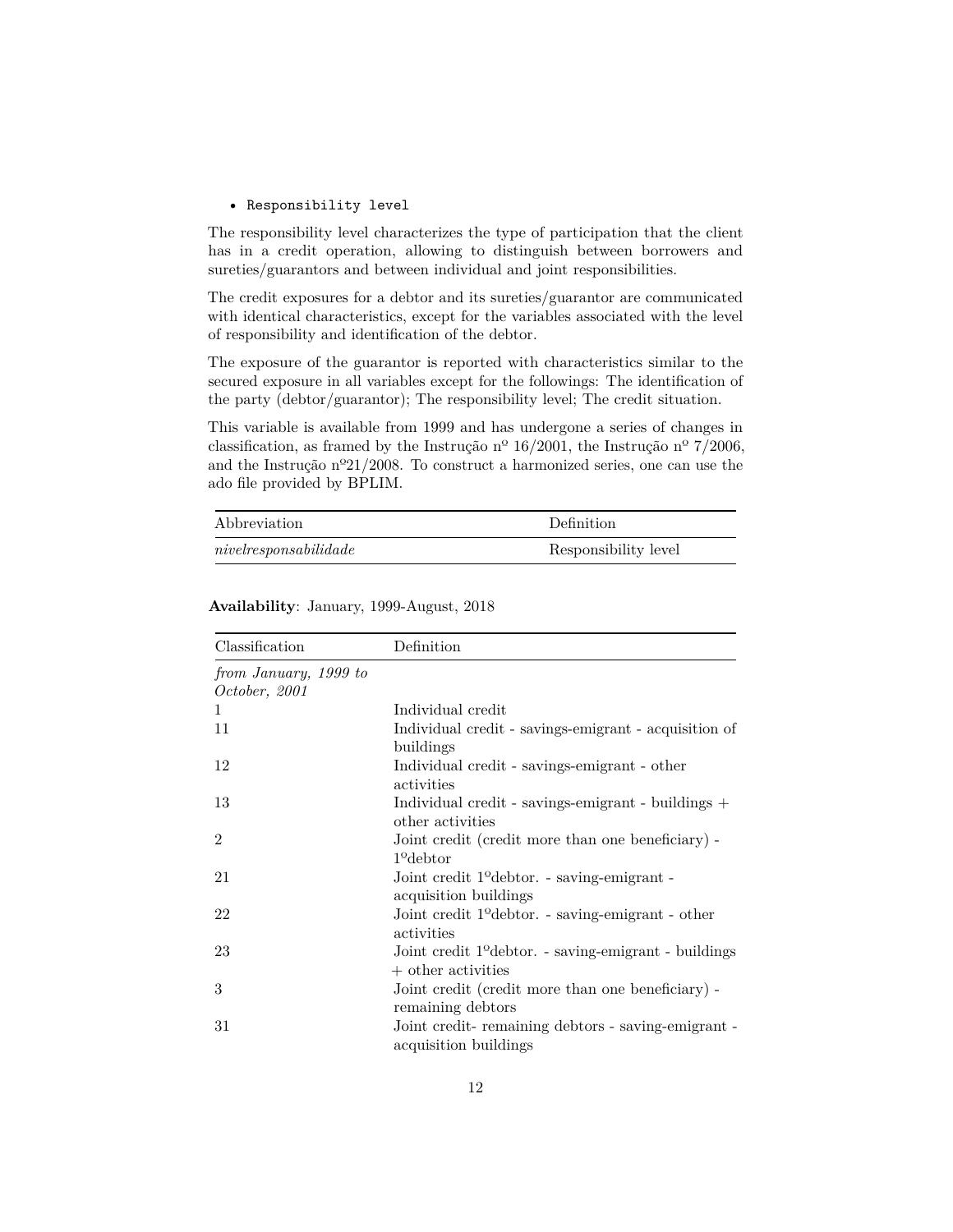#### • Responsibility level

The responsibility level characterizes the type of participation that the client has in a credit operation, allowing to distinguish between borrowers and sureties/guarantors and between individual and joint responsibilities.

The credit exposures for a debtor and its sureties/guarantor are communicated with identical characteristics, except for the variables associated with the level of responsibility and identification of the debtor.

The exposure of the guarantor is reported with characteristics similar to the secured exposure in all variables except for the followings: The identification of the party (debtor/guarantor); The responsibility level; The credit situation.

This variable is available from 1999 and has undergone a series of changes in classification, as framed by the Instrução nº 16/2001, the Instrução nº 7/2006, and the Instrução nº21/2008. To construct a harmonized series, one can use the ado file provided by BPLIM.

| Abbreviation             | Definition           |
|--------------------------|----------------------|
| nive lrespondi bili dade | Responsibility level |

| Classification        | Definition                                                        |
|-----------------------|-------------------------------------------------------------------|
| from January, 1999 to |                                                                   |
| October, 2001         |                                                                   |
| 1.                    | Individual credit                                                 |
| 11                    | Individual credit - savings-emigrant - acquisition of             |
|                       | buildings                                                         |
| 12                    | Individual credit - savings-emigrant - other                      |
|                       | activities                                                        |
| 13                    | Individual credit - savings-emigrant - buildings +                |
|                       | other activities                                                  |
| $\mathfrak{D}$        | Joint credit (credit more than one beneficiary) -                 |
|                       | $19$ debtor                                                       |
| 21                    | Joint credit 1 <sup>o</sup> debtor. - saving-emigrant -           |
|                       | acquisition buildings                                             |
| 22                    | Joint credit 1 <sup>o</sup> debtor. - saving-emigrant - other     |
|                       | activities                                                        |
| 23                    | Joint credit 1 <sup>o</sup> debtor. - saving-emigrant - buildings |
|                       | $+$ other activities                                              |
| 3                     | Joint credit (credit more than one beneficiary) -                 |
|                       | remaining debtors                                                 |
| 31                    | Joint credit-remaining debtors - saving-emigrant -                |
|                       | acquisition buildings                                             |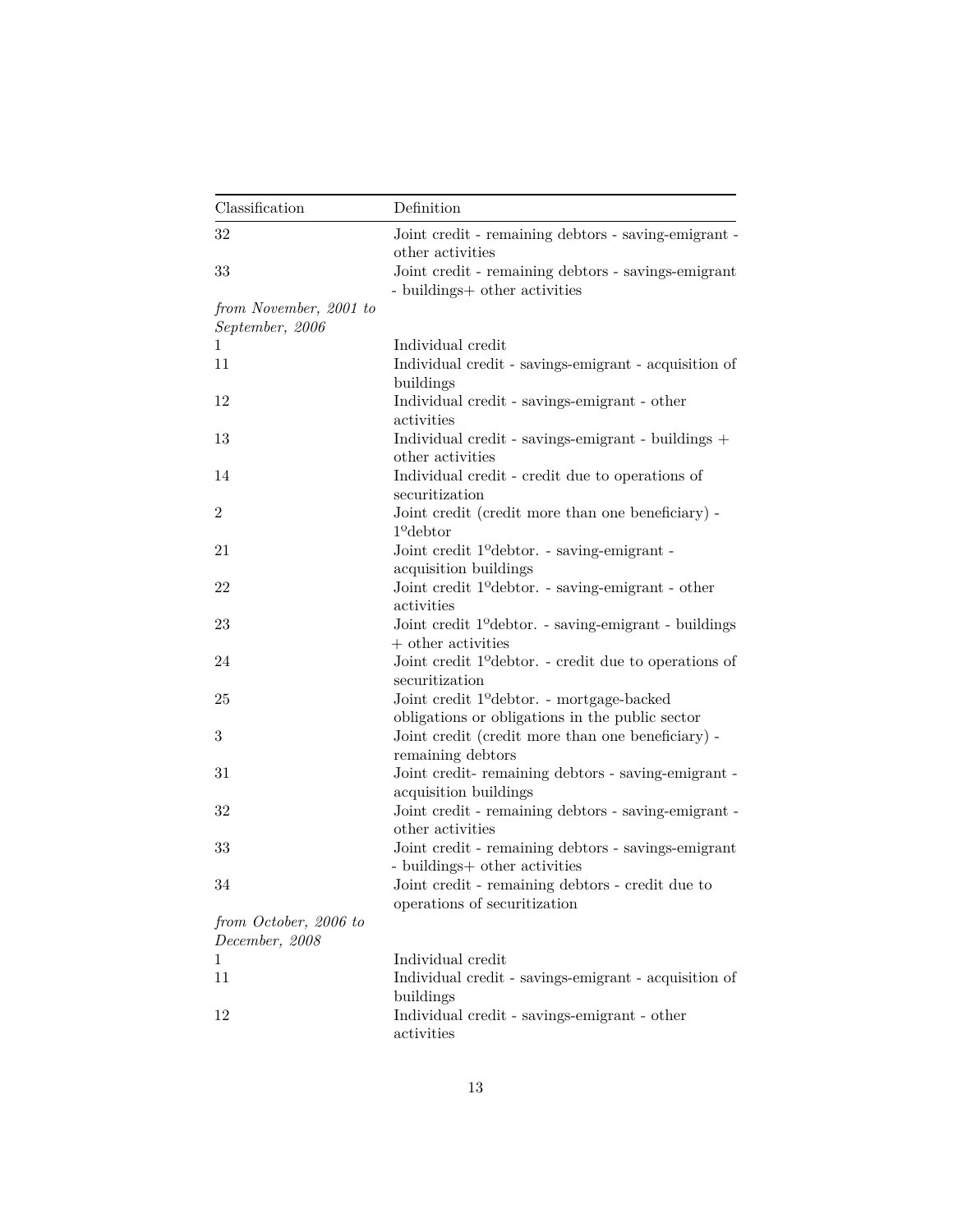| Classification                            | Definition                                                                                           |
|-------------------------------------------|------------------------------------------------------------------------------------------------------|
| 32                                        | Joint credit - remaining debtors - saving-emigrant -<br>other activities                             |
| 33                                        | Joint credit - remaining debtors - savings-emigrant<br>- buildings+ other activities                 |
| from November, 2001 to<br>September, 2006 |                                                                                                      |
| 1                                         | Individual credit                                                                                    |
| 11                                        | Individual credit - savings-emigrant - acquisition of<br>buildings                                   |
| 12                                        | Individual credit - savings-emigrant - other<br>activities                                           |
| 13                                        | Individual credit - savings-emigrant - buildings +<br>other activities                               |
| 14                                        | Individual credit - credit due to operations of<br>securitization                                    |
| 2                                         | Joint credit (credit more than one beneficiary) -<br>$1^{\circ}$ debtor                              |
| 21                                        | Joint credit 1 <sup>o</sup> debtor. - saving-emigrant -<br>acquisition buildings                     |
| 22                                        | Joint credit 1 <sup>o</sup> debtor. - saving-emigrant - other<br>activities                          |
| 23                                        | Joint credit 1 <sup>o</sup> debtor. - saving-emigrant - buildings<br>$+$ other activities            |
| 24                                        | Joint credit 1 <sup>o</sup> debtor. - credit due to operations of                                    |
| 25                                        | securitization<br>Joint credit 1 <sup>o</sup> debtor. - mortgage-backed                              |
| 3                                         | obligations or obligations in the public sector<br>Joint credit (credit more than one beneficiary) - |
| 31                                        | remaining debtors<br>Joint credit-remaining debtors - saving-emigrant -<br>acquisition buildings     |
| 32                                        | Joint credit - remaining debtors - saving-emigrant -<br>other activities                             |
| 33                                        | Joint credit - remaining debtors - savings-emigrant<br>- buildings+ other activities                 |
| 34                                        | Joint credit - remaining debtors - credit due to<br>operations of securitization                     |
|                                           |                                                                                                      |
| from October, 2006 to<br>December, 2008   |                                                                                                      |
| 1                                         | Individual credit                                                                                    |
| 11                                        | Individual credit - savings-emigrant - acquisition of                                                |
|                                           | buildings                                                                                            |
| 12                                        | Individual credit - savings-emigrant - other<br>activities                                           |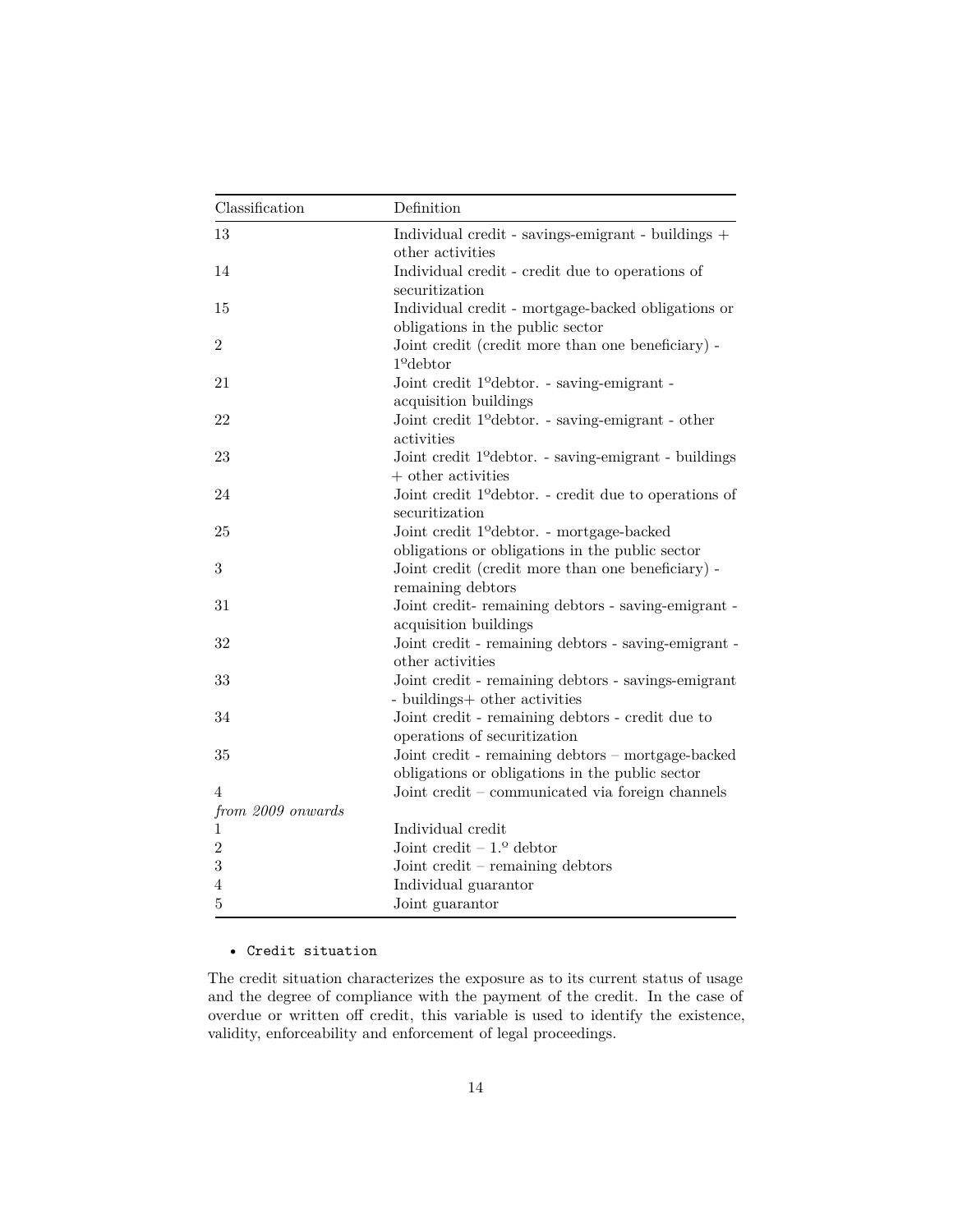| Classification    | Definition                                                                                          |  |
|-------------------|-----------------------------------------------------------------------------------------------------|--|
| 13                | Individual credit - savings-emigrant - buildings +                                                  |  |
|                   | other activities                                                                                    |  |
| 14                | Individual credit - credit due to operations of                                                     |  |
|                   | securitization                                                                                      |  |
| 15                | Individual credit - mortgage-backed obligations or                                                  |  |
|                   | obligations in the public sector                                                                    |  |
| $\overline{2}$    | Joint credit (credit more than one beneficiary) -                                                   |  |
|                   | $1o$ debtor                                                                                         |  |
| 21                | Joint credit 1 <sup>o</sup> debtor. - saving-emigrant -                                             |  |
|                   | acquisition buildings                                                                               |  |
| 22                | Joint credit 1 <sup>o</sup> debtor. - saving-emigrant - other                                       |  |
|                   | activities                                                                                          |  |
| 23                | Joint credit 1 <sup>o</sup> debtor. - saving-emigrant - buildings                                   |  |
|                   | $+$ other activities                                                                                |  |
| 24                | Joint credit 1 <sup>o</sup> debtor. - credit due to operations of                                   |  |
|                   | securitization                                                                                      |  |
| 25                | Joint credit 1 <sup>o</sup> debtor. - mortgage-backed                                               |  |
|                   | obligations or obligations in the public sector                                                     |  |
| 3                 | Joint credit (credit more than one beneficiary) -                                                   |  |
|                   | remaining debtors                                                                                   |  |
| 31                | Joint credit-remaining debtors - saving-emigrant -                                                  |  |
|                   | acquisition buildings                                                                               |  |
| 32                | Joint credit - remaining debtors - saving-emigrant -                                                |  |
|                   | other activities                                                                                    |  |
| 33                | Joint credit - remaining debtors - savings-emigrant                                                 |  |
|                   | - buildings+ other activities                                                                       |  |
| 34                | Joint credit - remaining debtors - credit due to                                                    |  |
|                   | operations of securitization                                                                        |  |
| 35                | Joint credit - remaining debtors - mortgage-backed                                                  |  |
| 4                 | obligations or obligations in the public sector<br>Joint credit – communicated via foreign channels |  |
| from 2009 onwards |                                                                                                     |  |
| $\mathbf{1}$      | Individual credit                                                                                   |  |
| $\overline{2}$    | Joint credit $-1.9$ debtor                                                                          |  |
| $\sqrt{3}$        | Joint credit $-$ remaining debtors                                                                  |  |
| $\overline{4}$    | Individual guarantor                                                                                |  |
| $\overline{5}$    | Joint guarantor                                                                                     |  |
|                   |                                                                                                     |  |

### • Credit situation

The credit situation characterizes the exposure as to its current status of usage and the degree of compliance with the payment of the credit. In the case of overdue or written off credit, this variable is used to identify the existence, validity, enforceability and enforcement of legal proceedings.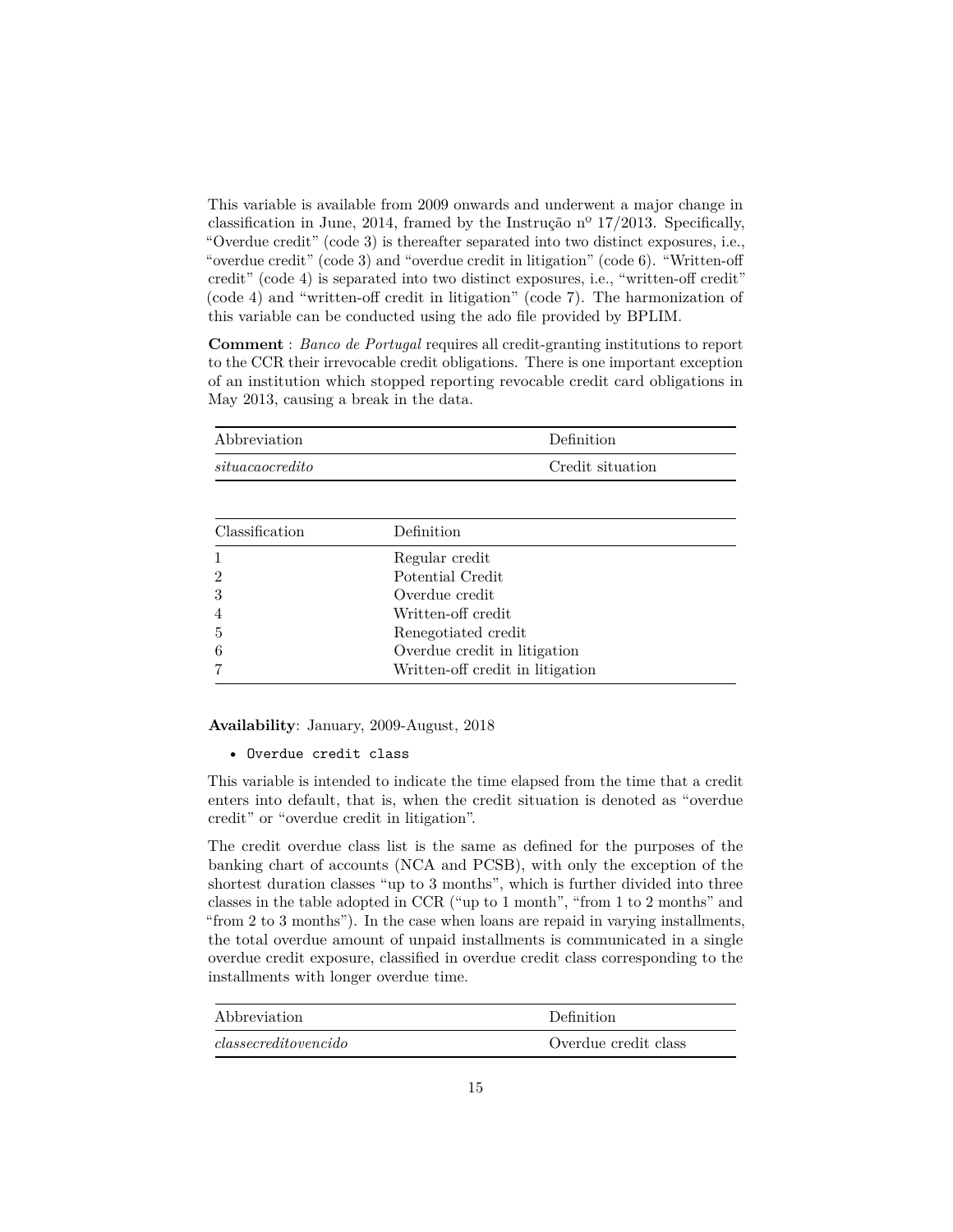This variable is available from 2009 onwards and underwent a major change in classification in June, 2014, framed by the Instrução nº 17/2013. Specifically, "Overdue credit" (code 3) is thereafter separated into two distinct exposures, i.e., "overdue credit" (code 3) and "overdue credit in litigation" (code 6). "Written-off credit" (code 4) is separated into two distinct exposures, i.e., "written-off credit" (code 4) and "written-off credit in litigation" (code 7). The harmonization of this variable can be conducted using the ado file provided by BPLIM.

**Comment** : *Banco de Portugal* requires all credit-granting institutions to report to the CCR their irrevocable credit obligations. There is one important exception of an institution which stopped reporting revocable credit card obligations in May 2013, causing a break in the data.

| Abbreviation    |                | Definition       |
|-----------------|----------------|------------------|
| situacaocredito |                | Credit situation |
|                 |                |                  |
| Classification  | Definition     |                  |
|                 | Regular credit |                  |

|                | Regular credit                   |
|----------------|----------------------------------|
| $\overline{2}$ | Potential Credit                 |
| 3              | Overdue credit                   |
| $\overline{4}$ | Written-off credit               |
| 5              | Renegotiated credit              |
| -6             | Overdue credit in litigation     |
| $\overline{7}$ | Written-off credit in litigation |

**Availability**: January, 2009-August, 2018

• Overdue credit class

This variable is intended to indicate the time elapsed from the time that a credit enters into default, that is, when the credit situation is denoted as "overdue credit" or "overdue credit in litigation".

The credit overdue class list is the same as defined for the purposes of the banking chart of accounts (NCA and PCSB), with only the exception of the shortest duration classes "up to 3 months", which is further divided into three classes in the table adopted in CCR ("up to 1 month", "from 1 to 2 months" and "from 2 to 3 months"). In the case when loans are repaid in varying installments, the total overdue amount of unpaid installments is communicated in a single overdue credit exposure, classified in overdue credit class corresponding to the installments with longer overdue time.

| Abbreviation         | Definition           |
|----------------------|----------------------|
| classecreditovencido | Overdue credit class |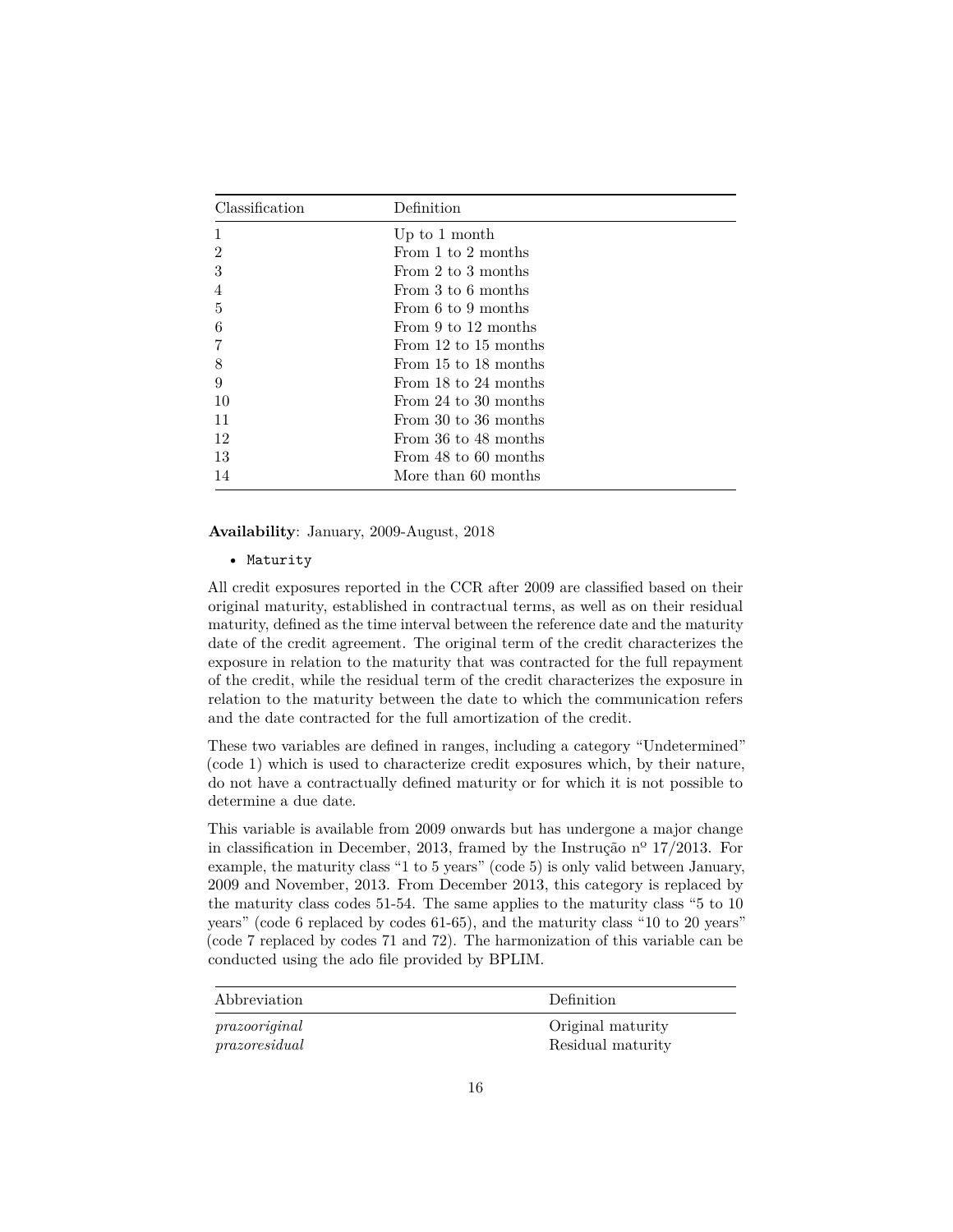| Classification | Definition           |
|----------------|----------------------|
| 1              | Up to 1 month        |
| $\overline{2}$ | From 1 to 2 months   |
| 3              | From 2 to 3 months   |
| 4              | From 3 to 6 months   |
| 5              | From 6 to 9 months   |
| 6              | From 9 to 12 months  |
|                | From 12 to 15 months |
| 8              | From 15 to 18 months |
| 9              | From 18 to 24 months |
| 10             | From 24 to 30 months |
| 11             | From 30 to 36 months |
| 12             | From 36 to 48 months |
| 13             | From 48 to 60 months |
| 14             | More than 60 months  |

**Availability**: January, 2009-August, 2018

• Maturity

All credit exposures reported in the CCR after 2009 are classified based on their original maturity, established in contractual terms, as well as on their residual maturity, defined as the time interval between the reference date and the maturity date of the credit agreement. The original term of the credit characterizes the exposure in relation to the maturity that was contracted for the full repayment of the credit, while the residual term of the credit characterizes the exposure in relation to the maturity between the date to which the communication refers and the date contracted for the full amortization of the credit.

These two variables are defined in ranges, including a category "Undetermined" (code 1) which is used to characterize credit exposures which, by their nature, do not have a contractually defined maturity or for which it is not possible to determine a due date.

This variable is available from 2009 onwards but has undergone a major change in classification in December, 2013, framed by the Instrução nº 17/2013. For example, the maturity class "1 to 5 years" (code 5) is only valid between January, 2009 and November, 2013. From December 2013, this category is replaced by the maturity class codes 51-54. The same applies to the maturity class "5 to 10 years" (code 6 replaced by codes 61-65), and the maturity class "10 to 20 years" (code 7 replaced by codes 71 and 72). The harmonization of this variable can be conducted using the ado file provided by BPLIM.

| Abbreviation  | <b>Definition</b> |
|---------------|-------------------|
| prazooriginal | Original maturity |
| prazoresidual | Residual maturity |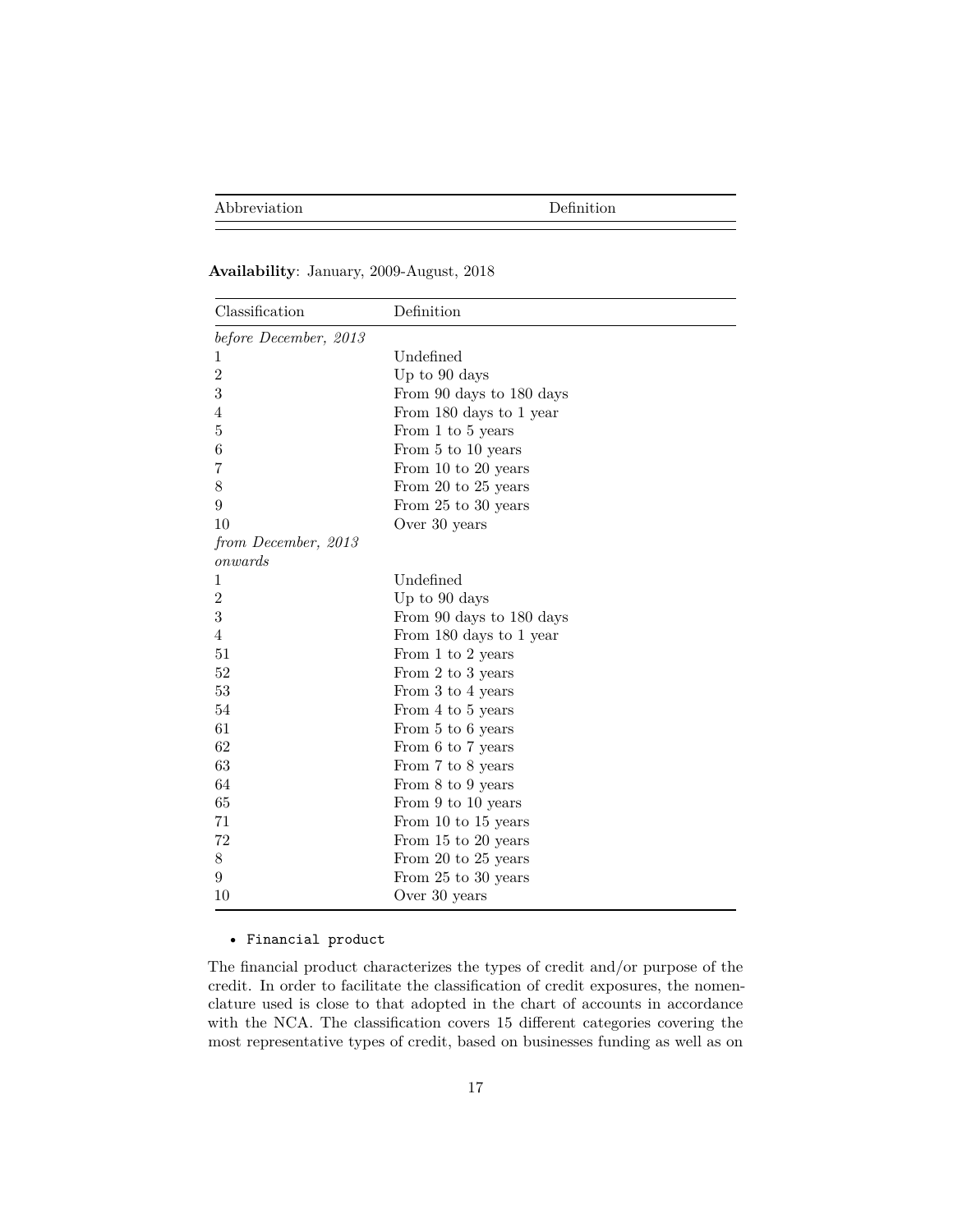### **Availability**: January, 2009-August, 2018

| Classification        | Definition               |
|-----------------------|--------------------------|
| before December, 2013 |                          |
| 1                     | Undefined                |
| $\overline{2}$        | Up to 90 days            |
| 3                     | From 90 days to 180 days |
| 4                     | From 180 days to 1 year  |
| 5                     | From 1 to 5 years        |
| 6                     | From 5 to 10 years       |
| 7                     | From 10 to 20 years      |
| 8                     | From 20 to 25 years      |
| 9                     | From 25 to 30 years      |
| 10                    | Over 30 years            |
| from December, 2013   |                          |
| onwards               |                          |
| 1                     | Undefined                |
| $\overline{2}$        | Up to 90 days            |
| 3                     | From 90 days to 180 days |
| 4                     | From 180 days to 1 year  |
| 51                    | From 1 to 2 years        |
| 52                    | From 2 to 3 years        |
| 53                    | From 3 to 4 years        |
| 54                    | From 4 to 5 years        |
| 61                    | From 5 to 6 years        |
| 62                    | From 6 to 7 years        |
| 63                    | From 7 to 8 years        |
| 64                    | From 8 to 9 years        |
| 65                    | From 9 to 10 years       |
| 71                    | From 10 to 15 years      |
| 72                    | From 15 to 20 years      |
| 8                     | From 20 to 25 years      |
| 9                     | From 25 to 30 years      |
| 10                    | Over 30 years            |

### • Financial product

The financial product characterizes the types of credit and/or purpose of the credit. In order to facilitate the classification of credit exposures, the nomenclature used is close to that adopted in the chart of accounts in accordance with the NCA. The classification covers 15 different categories covering the most representative types of credit, based on businesses funding as well as on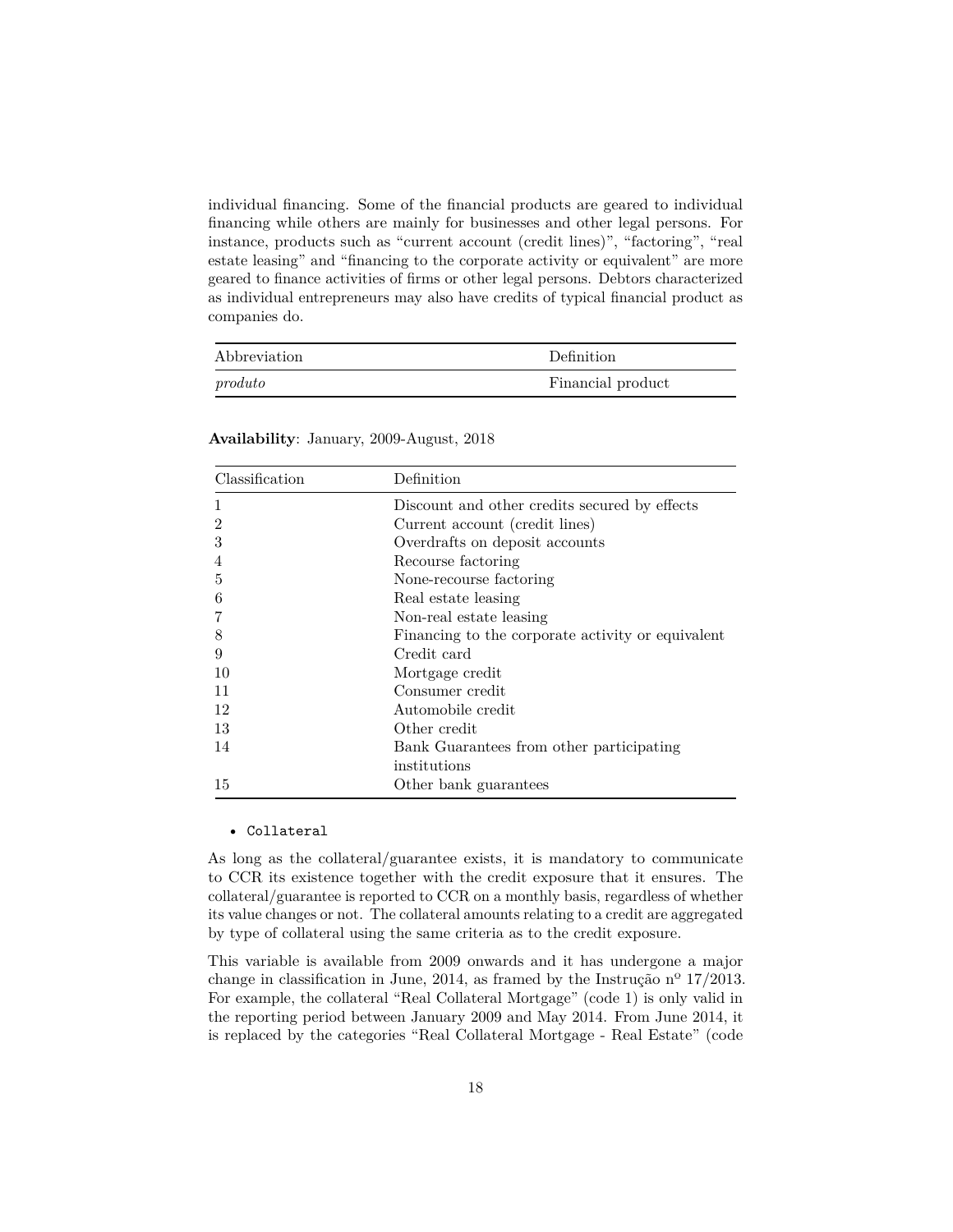individual financing. Some of the financial products are geared to individual financing while others are mainly for businesses and other legal persons. For instance, products such as "current account (credit lines)", "factoring", "real estate leasing" and "financing to the corporate activity or equivalent" are more geared to finance activities of firms or other legal persons. Debtors characterized as individual entrepreneurs may also have credits of typical financial product as companies do.

| Abbreviation | Definition        |
|--------------|-------------------|
| product      | Financial product |

| Classification | Definition                                        |
|----------------|---------------------------------------------------|
|                | Discount and other credits secured by effects     |
| 2              | Current account (credit lines)                    |
| 3              | Overdrafts on deposit accounts                    |
| 4              | Recourse factoring                                |
| 5              | None-recourse factoring                           |
| 6              | Real estate leasing                               |
|                | Non-real estate leasing                           |
| 8              | Financing to the corporate activity or equivalent |
| 9              | Credit card                                       |
| 10             | Mortgage credit                                   |
| 11             | Consumer credit                                   |
| 12             | Automobile credit                                 |
| 13             | Other credit                                      |
| 14             | Bank Guarantees from other participating          |
|                | institutions                                      |
| 15             | Other bank guarantees                             |

**Availability**: January, 2009-August, 2018

#### • Collateral

As long as the collateral/guarantee exists, it is mandatory to communicate to CCR its existence together with the credit exposure that it ensures. The collateral/guarantee is reported to CCR on a monthly basis, regardless of whether its value changes or not. The collateral amounts relating to a credit are aggregated by type of collateral using the same criteria as to the credit exposure.

This variable is available from 2009 onwards and it has undergone a major change in classification in June, 2014, as framed by the Instrução nº 17/2013. For example, the collateral "Real Collateral Mortgage" (code 1) is only valid in the reporting period between January 2009 and May 2014. From June 2014, it is replaced by the categories "Real Collateral Mortgage - Real Estate" (code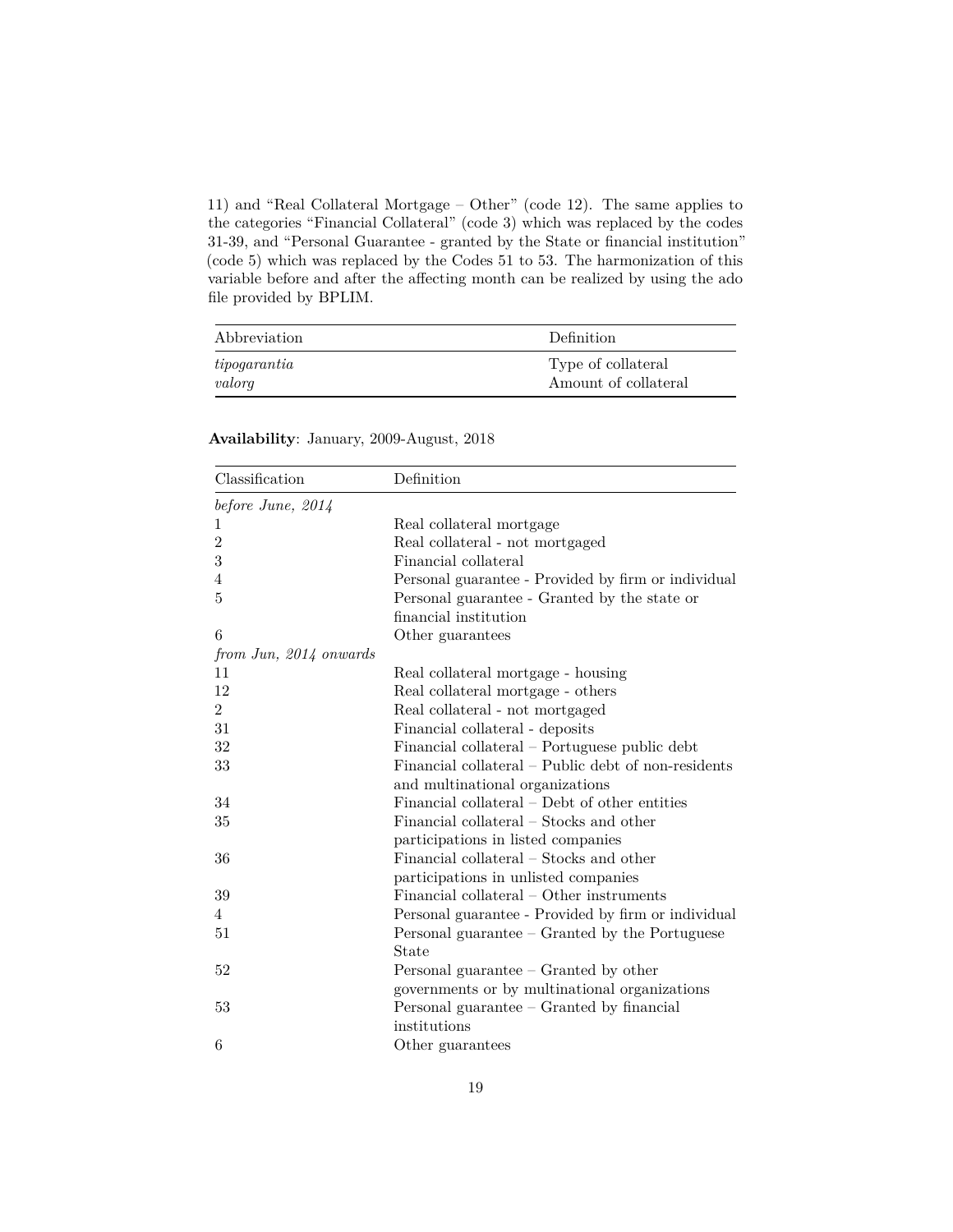11) and "Real Collateral Mortgage – Other" (code 12). The same applies to the categories "Financial Collateral" (code 3) which was replaced by the codes 31-39, and "Personal Guarantee - granted by the State or financial institution" (code 5) which was replaced by the Codes 51 to 53. The harmonization of this variable before and after the affecting month can be realized by using the ado file provided by BPLIM.

| Abbreviation | Definition           |
|--------------|----------------------|
| tipogarantia | Type of collateral   |
| valorg       | Amount of collateral |

| Classification         | Definition                                          |
|------------------------|-----------------------------------------------------|
| before June, $2014$    |                                                     |
| 1                      | Real collateral mortgage                            |
| $\overline{2}$         | Real collateral - not mortgaged                     |
| 3                      | Financial collateral                                |
| 4                      | Personal guarantee - Provided by firm or individual |
| 5                      | Personal guarantee - Granted by the state or        |
|                        | financial institution                               |
| 6                      | Other guarantees                                    |
| from Jun, 2014 onwards |                                                     |
| 11                     | Real collateral mortgage - housing                  |
| 12                     | Real collateral mortgage - others                   |
| $\overline{2}$         | Real collateral - not mortgaged                     |
| 31                     | Financial collateral - deposits                     |
| 32                     | Financial collateral – Portuguese public debt       |
| 33                     | Financial collateral – Public debt of non-residents |
|                        | and multinational organizations                     |
| 34                     | Financial collateral – Debt of other entities       |
| 35                     | Financial collateral – Stocks and other             |
|                        | participations in listed companies                  |
| 36                     | Financial collateral – Stocks and other             |
|                        | participations in unlisted companies                |
| 39                     | Financial collateral – Other instruments            |
| $\overline{4}$         | Personal guarantee - Provided by firm or individual |
| 51                     | Personal guarantee $-$ Granted by the Portuguese    |
|                        | State                                               |
| 52                     | Personal guarantee – Granted by other               |
|                        | governments or by multinational organizations       |
| 53                     | Personal guarantee $-$ Granted by financial         |
|                        | institutions                                        |
| 6                      | Other guarantees                                    |

**Availability**: January, 2009-August, 2018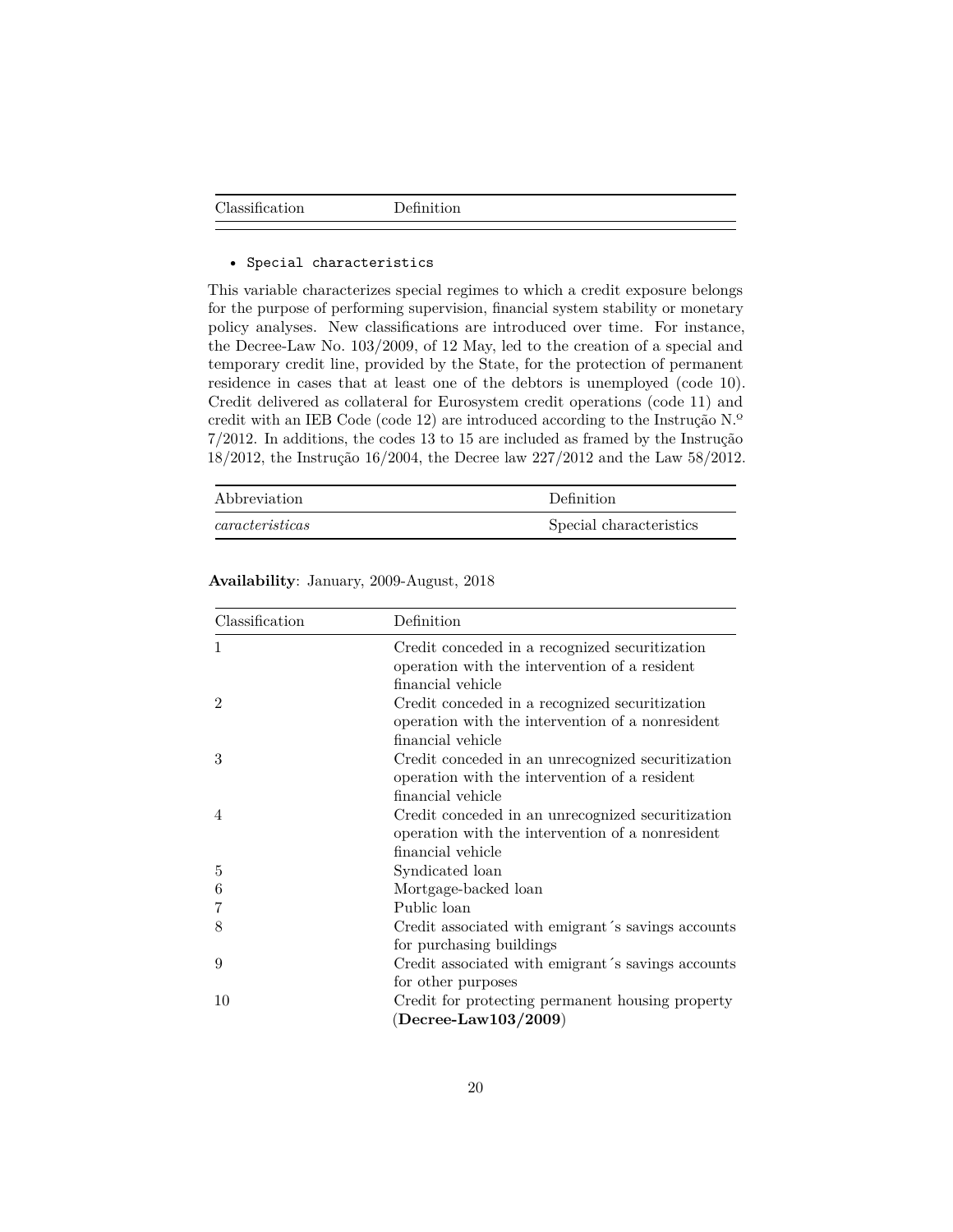#### • Special characteristics

This variable characterizes special regimes to which a credit exposure belongs for the purpose of performing supervision, financial system stability or monetary policy analyses. New classifications are introduced over time. For instance, the Decree-Law No. 103/2009, of 12 May, led to the creation of a special and temporary credit line, provided by the State, for the protection of permanent residence in cases that at least one of the debtors is unemployed (code 10). Credit delivered as collateral for Eurosystem credit operations (code 11) and credit with an IEB Code (code 12) are introduced according to the Instrução N.º 7/2012. In additions, the codes 13 to 15 are included as framed by the Instrução 18/2012, the Instrução 16/2004, the Decree law 227/2012 and the Law 58/2012.

| Abbreviation           | Definition              |
|------------------------|-------------------------|
| $\emph{carcteristics}$ | Special characteristics |

| Classification | Definition                                         |
|----------------|----------------------------------------------------|
| 1              | Credit conceded in a recognized securitization     |
|                | operation with the intervention of a resident      |
|                | financial vehicle                                  |
| $\mathfrak{D}$ | Credit conceded in a recognized securitization     |
|                | operation with the intervention of a nonresident   |
|                | financial vehicle                                  |
| 3              | Credit conceded in an unrecognized securitization  |
|                | operation with the intervention of a resident      |
|                | financial vehicle                                  |
| $\overline{4}$ | Credit conceded in an unrecognized securitization  |
|                | operation with the intervention of a nonresident   |
|                | financial vehicle                                  |
| 5              | Syndicated loan                                    |
| 6              | Mortgage-backed loan                               |
| 7              | Public loan                                        |
| 8              | Credit associated with emigrant's savings accounts |
|                | for purchasing buildings                           |
| 9              | Credit associated with emigrant's savings accounts |
|                | for other purposes                                 |
| 10             | Credit for protecting permanent housing property   |
|                | $(Decree-Law103/2009)$                             |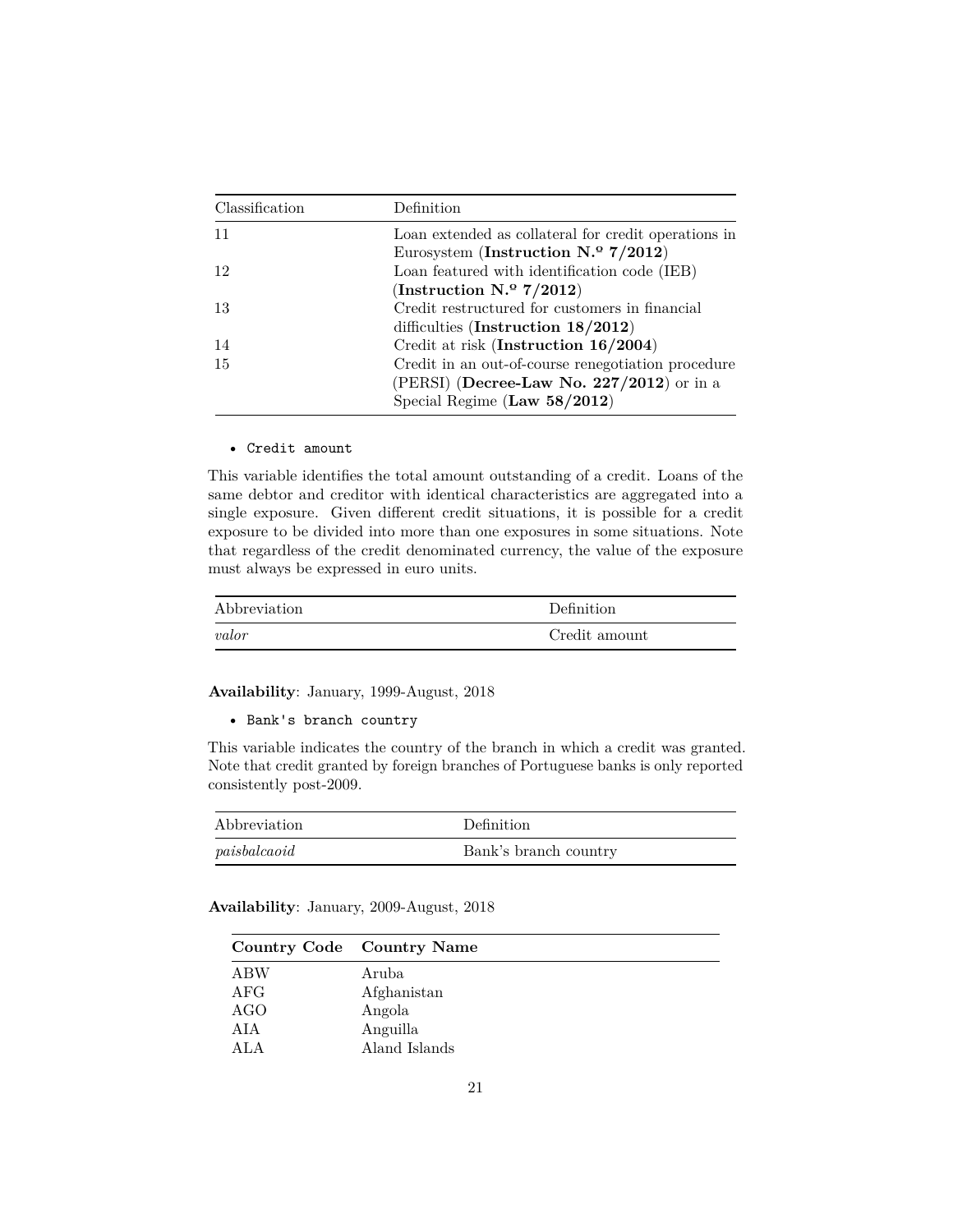| Classification | Definition                                           |
|----------------|------------------------------------------------------|
| 11             | Loan extended as collateral for credit operations in |
|                | Eurosystem (Instruction $N^{\circ}$ 7/2012)          |
| 12             | Loan featured with identification code (IEB)         |
|                | (Instruction $N^{\circ}$ 7/2012)                     |
| -13            | Credit restructured for customers in financial       |
|                | difficulties (Instruction $18/2012$ )                |
| -14            | Credit at risk (Instruction 16/2004)                 |
| 15             | Credit in an out-of-course renegotiation procedure   |
|                | (PERSI) (Decree-Law No. 227/2012) or in a            |
|                | Special Regime (Law $58/2012$ )                      |

#### • Credit amount

This variable identifies the total amount outstanding of a credit. Loans of the same debtor and creditor with identical characteristics are aggregated into a single exposure. Given different credit situations, it is possible for a credit exposure to be divided into more than one exposures in some situations. Note that regardless of the credit denominated currency, the value of the exposure must always be expressed in euro units.

| Abbreviation | Definition    |
|--------------|---------------|
| valor        | Credit amount |

**Availability**: January, 1999-August, 2018

• Bank's branch country

This variable indicates the country of the branch in which a credit was granted. Note that credit granted by foreign branches of Portuguese banks is only reported consistently post-2009.

| Abbreviation | Definition            |
|--------------|-----------------------|
| paisbalcaoid | Bank's branch country |

|                  | Country Code Country Name |
|------------------|---------------------------|
| <b>ABW</b>       | Aruba                     |
| AFG              | Afghanistan               |
| AGO              | Angola                    |
| AIA              | Anguilla                  |
| A <sub>L</sub> A | Aland Islands             |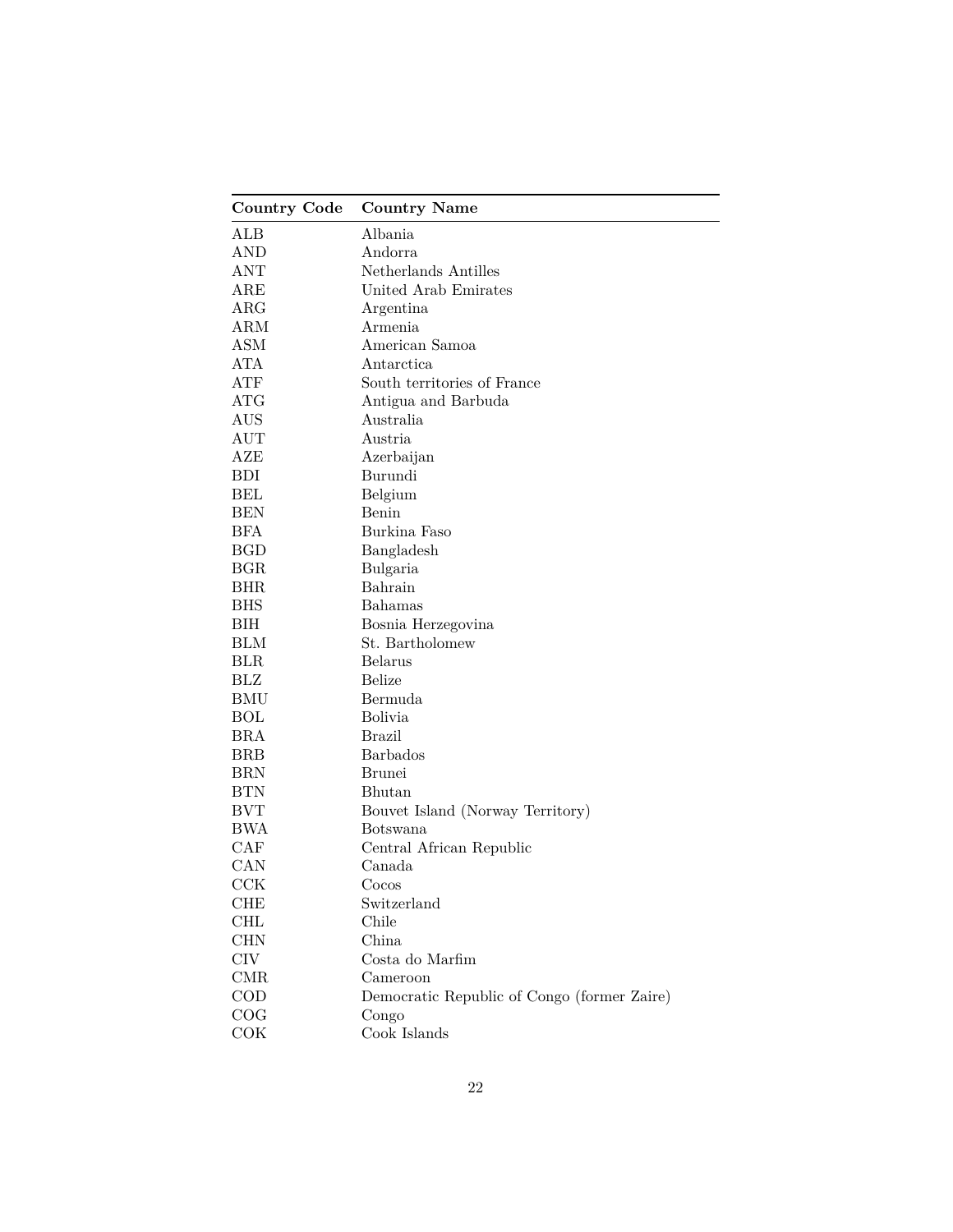| <b>Country Code</b> | <b>Country Name</b>                         |
|---------------------|---------------------------------------------|
| ALB                 | Albania                                     |
| AND                 | Andorra                                     |
| ANT                 | Netherlands Antilles                        |
| $_{\rm ARE}$        | United Arab Emirates                        |
| $\rm{ARG}$          | Argentina                                   |
| ARM                 | Armenia                                     |
| ASM                 | American Samoa                              |
| ATA                 | Antarctica                                  |
| ATF                 | South territories of France                 |
| ATG                 | Antigua and Barbuda                         |
| AUS                 | Australia                                   |
| AUT                 | Austria                                     |
| AZE                 | Azerbaijan                                  |
| <b>BDI</b>          | Burundi                                     |
| BEL                 | Belgium                                     |
| <b>BEN</b>          | Benin                                       |
| <b>BFA</b>          | Burkina Faso                                |
| <b>BGD</b>          | Bangladesh                                  |
| BGR                 | Bulgaria                                    |
| <b>BHR</b>          | Bahrain                                     |
| <b>BHS</b>          | <b>Bahamas</b>                              |
| BIH                 | Bosnia Herzegovina                          |
| <b>BLM</b>          | St. Bartholomew                             |
| <b>BLR</b>          | Belarus                                     |
| BLZ                 | Belize                                      |
| <b>BMU</b>          | Bermuda                                     |
| <b>BOL</b>          | <b>Bolivia</b>                              |
| <b>BRA</b>          | <b>Brazil</b>                               |
| <b>BRB</b>          | <b>Barbados</b>                             |
| <b>BRN</b>          | <b>Brunei</b>                               |
| <b>BTN</b>          | Bhutan                                      |
| <b>BVT</b>          | Bouvet Island (Norway Territory)            |
| <b>BWA</b>          | Botswana                                    |
| CAF                 | Central African Republic                    |
| CAN                 | Canada                                      |
| CCK                 | $\rm{Cocos}$                                |
| CHE                 | Switzerland                                 |
| CHL                 | Chile                                       |
| CHN                 | China                                       |
| $\rm CIV$           | Costa do Marfim                             |
| <b>CMR</b>          | Cameroon                                    |
| $\rm COD$           | Democratic Republic of Congo (former Zaire) |
| COG                 | Congo                                       |
| COK                 | Cook Islands                                |
|                     |                                             |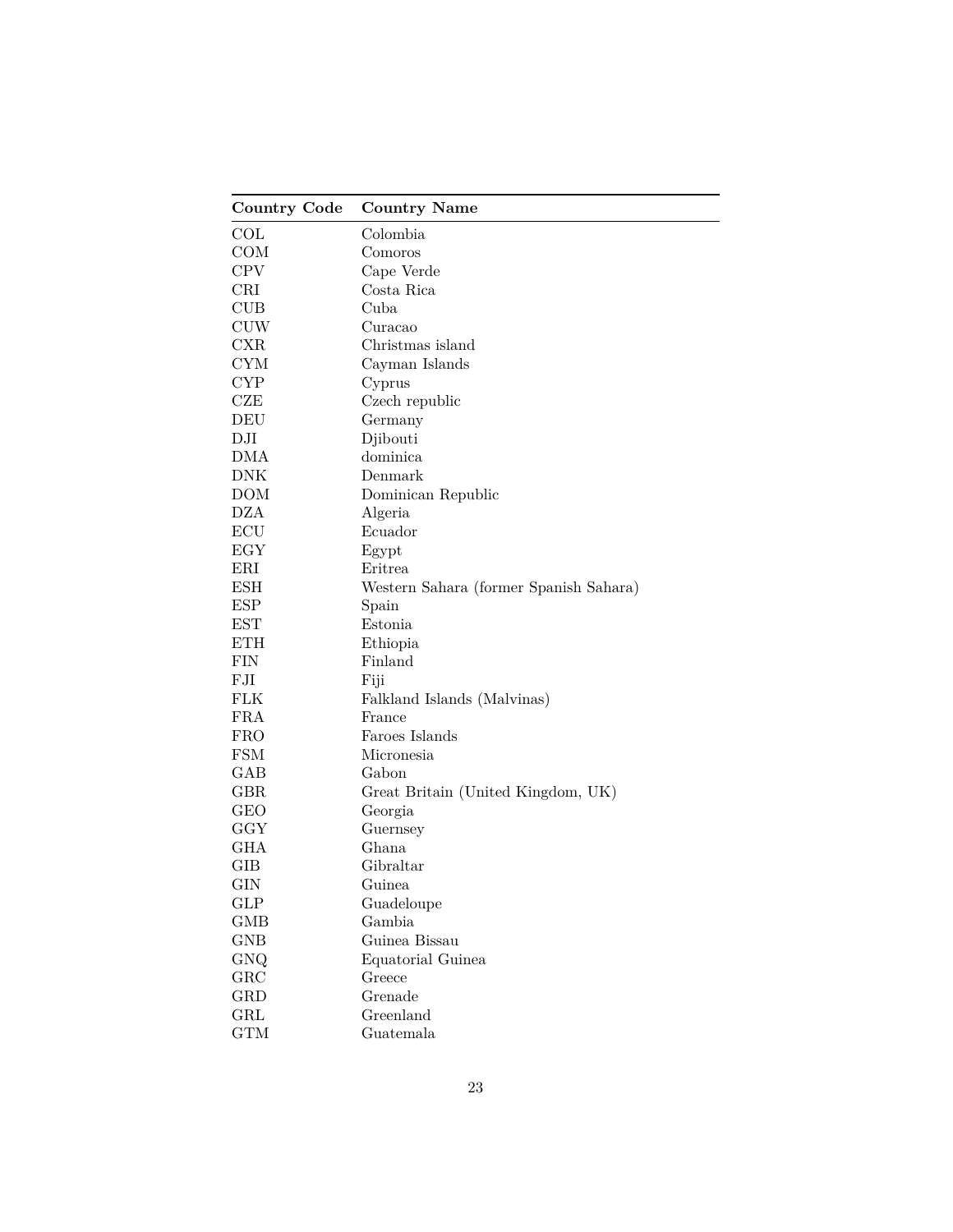| Colombia<br>Comoros<br>Cape Verde<br>Costa Rica<br>Cuba<br><b>CUW</b><br>Curacao<br>Christmas island<br>Cayman Islands<br>Cyprus<br>Czech republic<br>DEU<br>Germany<br>Djibouti<br>dominica<br>Denmark<br>DOM<br>Dominican Republic<br><b>DZA</b><br>Algeria<br>ECU<br>Ecuador<br>EGY<br>Egypt<br>ERI<br>Eritrea<br><b>ESH</b><br>Western Sahara (former Spanish Sahara)<br><b>ESP</b><br>Spain<br><b>EST</b><br>Estonia<br><b>ETH</b><br>Ethiopia<br>Finland<br>FJI<br>Fiji<br>FLK<br>Falkland Islands (Malvinas)<br><b>FRA</b><br>France<br>Faroes Islands<br><b>FRO</b><br><b>FSM</b><br>Micronesia<br>GAB<br>Gabon<br><b>GBR</b><br>Great Britain (United Kingdom, UK)<br><b>GEO</b><br>Georgia<br>GGY<br>Guernsey<br>GHA<br>Ghana<br>GIB<br>Gibraltar<br>GIN<br>Guinea<br>GLP<br>Guadeloupe<br>Gambia<br><b>GMB</b> | <b>Country Code</b> | <b>Country Name</b> |
|---------------------------------------------------------------------------------------------------------------------------------------------------------------------------------------------------------------------------------------------------------------------------------------------------------------------------------------------------------------------------------------------------------------------------------------------------------------------------------------------------------------------------------------------------------------------------------------------------------------------------------------------------------------------------------------------------------------------------------------------------------------------------------------------------------------------------|---------------------|---------------------|
|                                                                                                                                                                                                                                                                                                                                                                                                                                                                                                                                                                                                                                                                                                                                                                                                                           | COL                 |                     |
|                                                                                                                                                                                                                                                                                                                                                                                                                                                                                                                                                                                                                                                                                                                                                                                                                           | COM                 |                     |
|                                                                                                                                                                                                                                                                                                                                                                                                                                                                                                                                                                                                                                                                                                                                                                                                                           | <b>CPV</b>          |                     |
|                                                                                                                                                                                                                                                                                                                                                                                                                                                                                                                                                                                                                                                                                                                                                                                                                           | CRI                 |                     |
|                                                                                                                                                                                                                                                                                                                                                                                                                                                                                                                                                                                                                                                                                                                                                                                                                           | CUB                 |                     |
|                                                                                                                                                                                                                                                                                                                                                                                                                                                                                                                                                                                                                                                                                                                                                                                                                           |                     |                     |
|                                                                                                                                                                                                                                                                                                                                                                                                                                                                                                                                                                                                                                                                                                                                                                                                                           | CXR                 |                     |
|                                                                                                                                                                                                                                                                                                                                                                                                                                                                                                                                                                                                                                                                                                                                                                                                                           | <b>CYM</b>          |                     |
|                                                                                                                                                                                                                                                                                                                                                                                                                                                                                                                                                                                                                                                                                                                                                                                                                           | <b>CYP</b>          |                     |
|                                                                                                                                                                                                                                                                                                                                                                                                                                                                                                                                                                                                                                                                                                                                                                                                                           | CZE                 |                     |
|                                                                                                                                                                                                                                                                                                                                                                                                                                                                                                                                                                                                                                                                                                                                                                                                                           |                     |                     |
|                                                                                                                                                                                                                                                                                                                                                                                                                                                                                                                                                                                                                                                                                                                                                                                                                           | DJI                 |                     |
|                                                                                                                                                                                                                                                                                                                                                                                                                                                                                                                                                                                                                                                                                                                                                                                                                           | DMA                 |                     |
|                                                                                                                                                                                                                                                                                                                                                                                                                                                                                                                                                                                                                                                                                                                                                                                                                           | <b>DNK</b>          |                     |
|                                                                                                                                                                                                                                                                                                                                                                                                                                                                                                                                                                                                                                                                                                                                                                                                                           |                     |                     |
|                                                                                                                                                                                                                                                                                                                                                                                                                                                                                                                                                                                                                                                                                                                                                                                                                           |                     |                     |
|                                                                                                                                                                                                                                                                                                                                                                                                                                                                                                                                                                                                                                                                                                                                                                                                                           |                     |                     |
|                                                                                                                                                                                                                                                                                                                                                                                                                                                                                                                                                                                                                                                                                                                                                                                                                           |                     |                     |
|                                                                                                                                                                                                                                                                                                                                                                                                                                                                                                                                                                                                                                                                                                                                                                                                                           |                     |                     |
|                                                                                                                                                                                                                                                                                                                                                                                                                                                                                                                                                                                                                                                                                                                                                                                                                           |                     |                     |
|                                                                                                                                                                                                                                                                                                                                                                                                                                                                                                                                                                                                                                                                                                                                                                                                                           |                     |                     |
|                                                                                                                                                                                                                                                                                                                                                                                                                                                                                                                                                                                                                                                                                                                                                                                                                           |                     |                     |
|                                                                                                                                                                                                                                                                                                                                                                                                                                                                                                                                                                                                                                                                                                                                                                                                                           |                     |                     |
|                                                                                                                                                                                                                                                                                                                                                                                                                                                                                                                                                                                                                                                                                                                                                                                                                           | FIN                 |                     |
|                                                                                                                                                                                                                                                                                                                                                                                                                                                                                                                                                                                                                                                                                                                                                                                                                           |                     |                     |
|                                                                                                                                                                                                                                                                                                                                                                                                                                                                                                                                                                                                                                                                                                                                                                                                                           |                     |                     |
|                                                                                                                                                                                                                                                                                                                                                                                                                                                                                                                                                                                                                                                                                                                                                                                                                           |                     |                     |
|                                                                                                                                                                                                                                                                                                                                                                                                                                                                                                                                                                                                                                                                                                                                                                                                                           |                     |                     |
|                                                                                                                                                                                                                                                                                                                                                                                                                                                                                                                                                                                                                                                                                                                                                                                                                           |                     |                     |
|                                                                                                                                                                                                                                                                                                                                                                                                                                                                                                                                                                                                                                                                                                                                                                                                                           |                     |                     |
|                                                                                                                                                                                                                                                                                                                                                                                                                                                                                                                                                                                                                                                                                                                                                                                                                           |                     |                     |
|                                                                                                                                                                                                                                                                                                                                                                                                                                                                                                                                                                                                                                                                                                                                                                                                                           |                     |                     |
|                                                                                                                                                                                                                                                                                                                                                                                                                                                                                                                                                                                                                                                                                                                                                                                                                           |                     |                     |
|                                                                                                                                                                                                                                                                                                                                                                                                                                                                                                                                                                                                                                                                                                                                                                                                                           |                     |                     |
|                                                                                                                                                                                                                                                                                                                                                                                                                                                                                                                                                                                                                                                                                                                                                                                                                           |                     |                     |
|                                                                                                                                                                                                                                                                                                                                                                                                                                                                                                                                                                                                                                                                                                                                                                                                                           |                     |                     |
|                                                                                                                                                                                                                                                                                                                                                                                                                                                                                                                                                                                                                                                                                                                                                                                                                           |                     |                     |
|                                                                                                                                                                                                                                                                                                                                                                                                                                                                                                                                                                                                                                                                                                                                                                                                                           |                     |                     |
|                                                                                                                                                                                                                                                                                                                                                                                                                                                                                                                                                                                                                                                                                                                                                                                                                           | <b>GNB</b>          | Guinea Bissau       |
| Equatorial Guinea                                                                                                                                                                                                                                                                                                                                                                                                                                                                                                                                                                                                                                                                                                                                                                                                         | GNQ                 |                     |
| Greece                                                                                                                                                                                                                                                                                                                                                                                                                                                                                                                                                                                                                                                                                                                                                                                                                    | GRC                 |                     |
| Grenade                                                                                                                                                                                                                                                                                                                                                                                                                                                                                                                                                                                                                                                                                                                                                                                                                   | GRD                 |                     |
| Greenland                                                                                                                                                                                                                                                                                                                                                                                                                                                                                                                                                                                                                                                                                                                                                                                                                 | GRL                 |                     |
| Guatemala                                                                                                                                                                                                                                                                                                                                                                                                                                                                                                                                                                                                                                                                                                                                                                                                                 | <b>GTM</b>          |                     |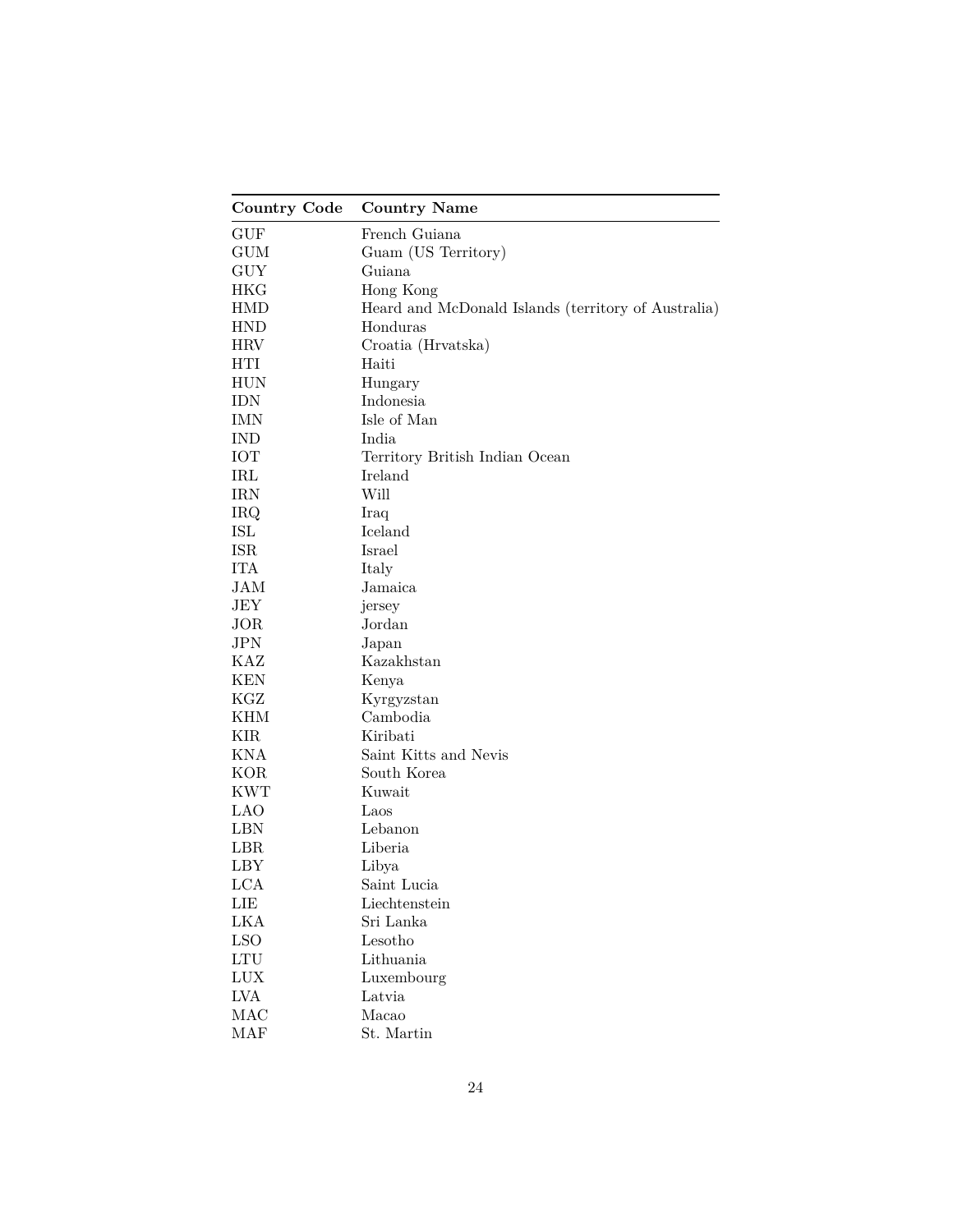| Country Code                | <b>Country Name</b>                                 |
|-----------------------------|-----------------------------------------------------|
| <b>GUF</b>                  | French Guiana                                       |
| <b>GUM</b>                  | Guam (US Territory)                                 |
| <b>GUY</b>                  | Guiana                                              |
| HKG                         | Hong Kong                                           |
| HMD                         | Heard and McDonald Islands (territory of Australia) |
| HND                         | Honduras                                            |
| HRV                         | Croatia (Hrvatska)                                  |
| HTI                         | Haiti                                               |
| HUN                         | Hungary                                             |
| IDN                         | Indonesia                                           |
| IMN                         | Isle of Man                                         |
| <b>IND</b>                  | India                                               |
| <b>IOT</b>                  | Territory British Indian Ocean                      |
| IRL                         | Ireland                                             |
| <b>IRN</b>                  | Will                                                |
| <b>IRQ</b>                  | Iraq                                                |
| ISL                         | Iceland                                             |
| <b>ISR</b>                  | Israel                                              |
| <b>ITA</b>                  | Italy                                               |
| JAM                         | Jamaica                                             |
| JEY                         | jersey                                              |
| JOR                         | Jordan                                              |
| JPN                         | Japan                                               |
| KAZ                         | Kazakhstan                                          |
| <b>KEN</b>                  | Kenya                                               |
| KGZ                         | Kyrgyzstan                                          |
| KHM                         | Cambodia                                            |
| KIR                         | Kiribati                                            |
| KNA                         | Saint Kitts and Nevis                               |
| <b>KOR</b>                  | South Korea                                         |
| <b>KWT</b>                  | Kuwait                                              |
| <b>LAO</b>                  | Laos                                                |
| <b>LBN</b>                  | Lebanon                                             |
| LBR                         | Liberia                                             |
| LBY                         | Libya                                               |
| <b>LCA</b>                  | Saint Lucia                                         |
| LIE                         | Liechtenstein                                       |
| LKA                         | Sri Lanka                                           |
| <b>LSO</b>                  | Lesotho                                             |
| $\mathop{\rm LTU}\nolimits$ | Lithuania                                           |
| LUX                         | Luxembourg                                          |
| <b>LVA</b>                  | Latvia                                              |
| MAC                         | Macao                                               |
| MAF                         | St. Martin                                          |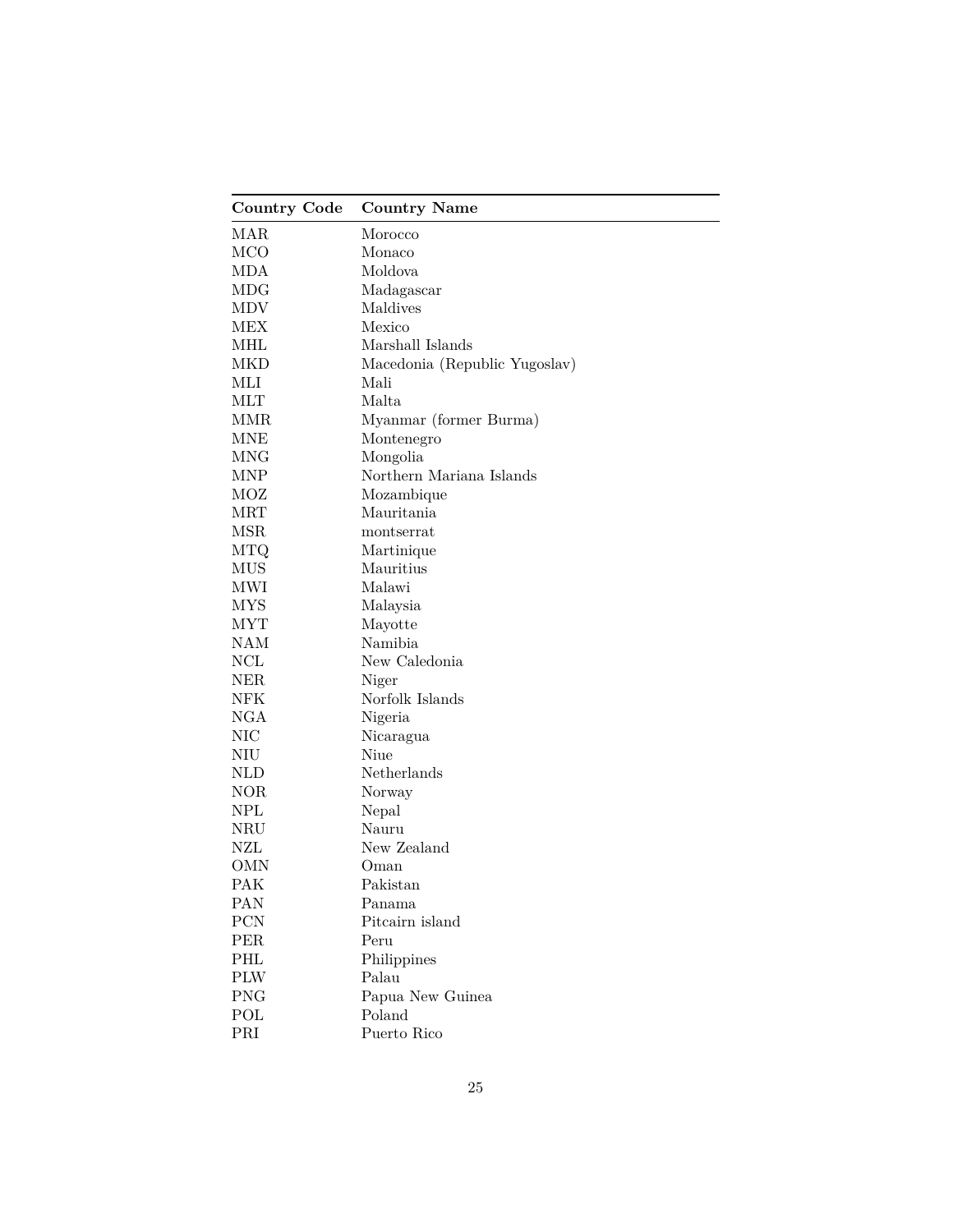| <b>Country Code</b> | <b>Country Name</b>           |
|---------------------|-------------------------------|
| MAR                 | Morocco                       |
| <b>MCO</b>          | Monaco                        |
| MDA                 | Moldova                       |
| MDG                 | Madagascar                    |
| MDV                 | Maldives                      |
| MEX                 | Mexico                        |
| MHL                 | Marshall Islands              |
| MKD                 | Macedonia (Republic Yugoslav) |
| MLI                 | Mali                          |
| MLT                 | Malta                         |
| MMR                 | Myanmar (former Burma)        |
| <b>MNE</b>          | Montenegro                    |
| <b>MNG</b>          | Mongolia                      |
| <b>MNP</b>          | Northern Mariana Islands      |
| MOZ                 | Mozambique                    |
| <b>MRT</b>          | Mauritania                    |
| <b>MSR</b>          | montserrat                    |
| MTQ                 | Martinique                    |
| <b>MUS</b>          | Mauritius                     |
| MWI                 | Malawi                        |
| <b>MYS</b>          | Malaysia                      |
| <b>MYT</b>          | Mayotte                       |
| <b>NAM</b>          | Namibia                       |
| NCL                 | New Caledonia                 |
| NER                 | Niger                         |
| NFK                 | Norfolk Islands               |
| NGA                 | Nigeria                       |
| NIC                 | Nicaragua                     |
| NIU                 | Niue                          |
| <b>NLD</b>          | Netherlands                   |
| <b>NOR</b>          | Norway                        |
| NPL                 | Nepal                         |
| NRU                 | Nauru                         |
| NZL                 | New Zealand                   |
| OMN                 | Oman                          |
| PAK                 | Pakistan                      |
| PAN                 | Panama                        |
| PCN                 | Pitcairn island               |
| PER                 | Peru                          |
| PHL                 | Philippines                   |
| <b>PLW</b>          | Palau                         |
| <b>PNG</b>          | Papua New Guinea              |
| POL                 | Poland                        |
| PRI                 | Puerto Rico                   |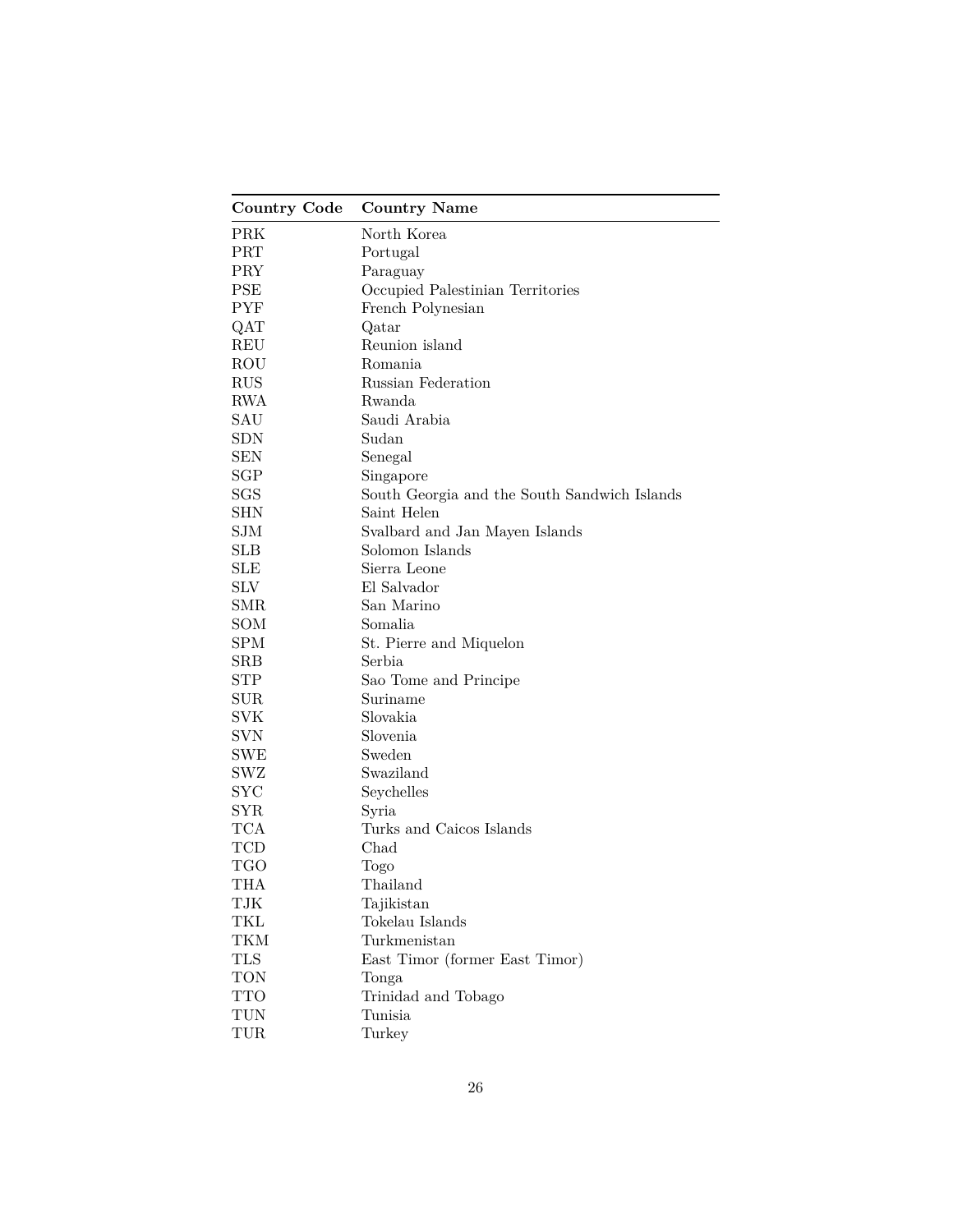| <b>Country Code</b> | <b>Country Name</b>                          |
|---------------------|----------------------------------------------|
| PRK                 | North Korea                                  |
| PRT                 | Portugal                                     |
| PRY                 | Paraguay                                     |
| <b>PSE</b>          | Occupied Palestinian Territories             |
| <b>PYF</b>          | French Polynesian                            |
| QAT                 | Qatar                                        |
| REU                 | Reunion island                               |
| ROU                 | Romania                                      |
| <b>RUS</b>          | Russian Federation                           |
| <b>RWA</b>          | Rwanda                                       |
| SAU                 | Saudi Arabia                                 |
| <b>SDN</b>          | Sudan                                        |
| <b>SEN</b>          | Senegal                                      |
| SGP                 | Singapore                                    |
| SGS                 | South Georgia and the South Sandwich Islands |
| <b>SHN</b>          | Saint Helen                                  |
| <b>SJM</b>          | Svalbard and Jan Mayen Islands               |
| <b>SLB</b>          | Solomon Islands                              |
| <b>SLE</b>          | Sierra Leone                                 |
| <b>SLV</b>          | El Salvador                                  |
| <b>SMR</b>          | San Marino                                   |
| SOM                 | Somalia                                      |
| SPM                 | St. Pierre and Miquelon                      |
| <b>SRB</b>          | Serbia                                       |
| <b>STP</b>          | Sao Tome and Principe                        |
| $\text{SUR}$        | Suriname                                     |
| SVK                 | Slovakia                                     |
| <b>SVN</b>          | Slovenia                                     |
| SWE                 | Sweden                                       |
| SWZ                 | Swaziland                                    |
| $_{\mathrm{SYC}}$   | Seychelles                                   |
| SYR                 | Syria                                        |
| <b>TCA</b>          | Turks and Caicos Islands                     |
| TCD                 | Chad                                         |
| <b>TGO</b>          | Togo                                         |
| THA                 | Thailand                                     |
| TJK                 | Tajikistan                                   |
| TKL                 | Tokelau Islands                              |
| TKM                 | Turkmenistan                                 |
| TLS                 | East Timor (former East Timor)               |
| TON                 | Tonga                                        |
| <b>TTO</b>          | Trinidad and Tobago                          |
| TUN                 | Tunisia                                      |
| TUR                 | Turkey                                       |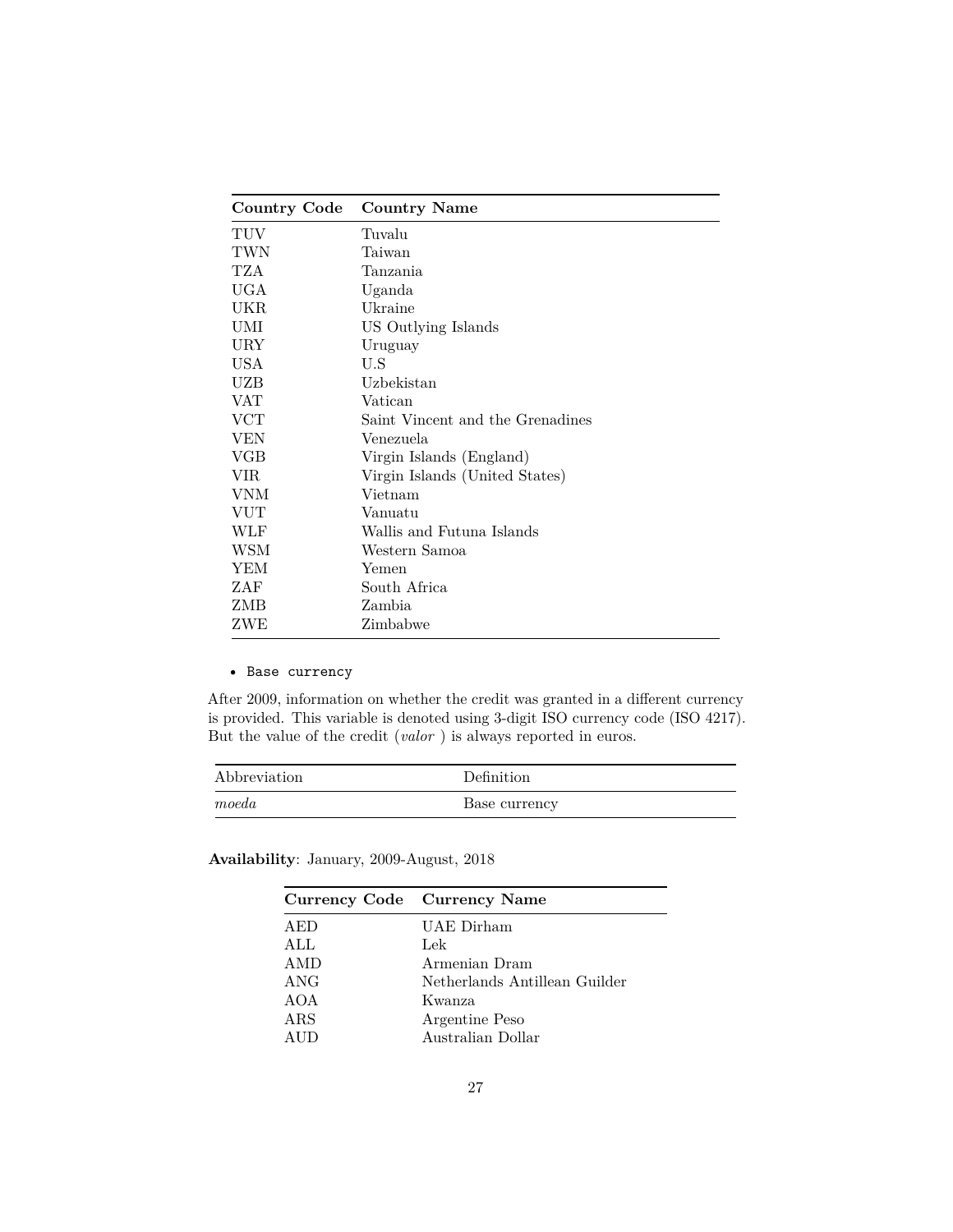| Country Code | <b>Country Name</b>              |
|--------------|----------------------------------|
| TUV          | Tuvalu                           |
| TWN          | Taiwan                           |
| TZA.         | Tanzania                         |
| <b>UGA</b>   | Uganda                           |
| UKR          | Ukraine                          |
| UMI          | US Outlying Islands              |
| URY          | Uruguay                          |
| USA          | U.S                              |
| UZB          | Uzbekistan                       |
| VAT          | Vatican                          |
| VCT          | Saint Vincent and the Grenadines |
| VEN          | Venezuela                        |
| VGB          | Virgin Islands (England)         |
| VIR          | Virgin Islands (United States)   |
| VNM          | Vietnam                          |
| VUT          | Vanuatu                          |
| WLF          | Wallis and Futuna Islands        |
| WSM          | Western Samoa                    |
| YEM          | Yemen                            |
| ZAF          | South Africa                     |
| ZMB          | Zambia                           |
| ZWE          | Zimbabwe                         |

### • Base currency

After 2009, information on whether the credit was granted in a different currency is provided. This variable is denoted using 3-digit ISO currency code (ISO 4217). But the value of the credit (*valor* ) is always reported in euros.

| Abbreviation | Definition    |
|--------------|---------------|
| moeda        | Base currency |

|     | Currency Code Currency Name   |
|-----|-------------------------------|
| AED | UAE Dirham                    |
| ALL | Lek                           |
| AMD | Armenian Dram                 |
| ANG | Netherlands Antillean Guilder |
| AOA | Kwanza                        |
| ARS | Argentine Peso                |
|     | Australian Dollar             |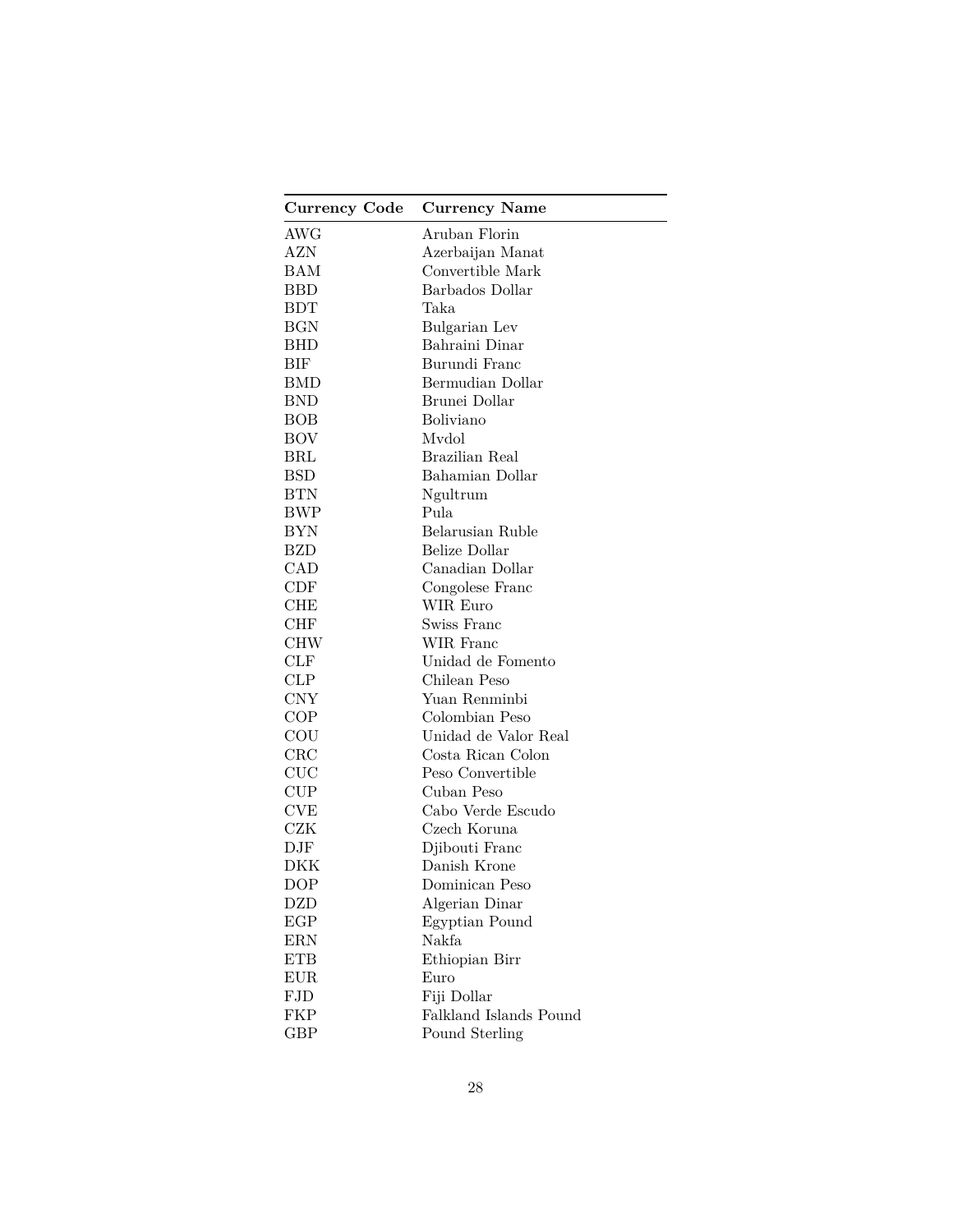| Currency Code | <b>Currency Name</b>   |
|---------------|------------------------|
| AWG           | Aruban Florin          |
| AZN           | Azerbaijan Manat       |
| BAM           | Convertible Mark       |
| <b>BBD</b>    | Barbados Dollar        |
| $_{\rm BDT}$  | Taka                   |
| $_{\rm BGN}$  | Bulgarian Lev          |
| <b>BHD</b>    | Bahraini Dinar         |
| BIF           | Burundi Franc          |
| <b>BMD</b>    | Bermudian Dollar       |
| <b>BND</b>    | Brunei Dollar          |
| BOB           | Boliviano              |
| <b>BOV</b>    | Mvdol                  |
| BRL           | Brazilian Real         |
| <b>BSD</b>    | Bahamian Dollar        |
| <b>BTN</b>    | Ngultrum               |
| <b>BWP</b>    | Pula                   |
| BYN           | Belarusian Ruble       |
| BZD           | <b>Belize Dollar</b>   |
| CAD           | Canadian Dollar        |
| CDF           | Congolese Franc        |
| <b>CHE</b>    | WIR Euro               |
| <b>CHF</b>    | Swiss Franc            |
| <b>CHW</b>    | WIR Franc              |
| CLF           | Unidad de Fomento      |
| CLP           | Chilean Peso           |
| <b>CNY</b>    | Yuan Renminbi          |
| COP           | Colombian Peso         |
| COU           | Unidad de Valor Real   |
| CRC           | Costa Rican Colon      |
| CUC           | Peso Convertible       |
| CUP           | Cuban Peso             |
| <b>CVE</b>    | Cabo Verde Escudo      |
| CZK           | Czech Koruna           |
| DJF           | Djibouti Franc         |
| <b>DKK</b>    | Danish Krone           |
| <b>DOP</b>    | Dominican Peso         |
| <b>DZD</b>    | Algerian Dinar         |
| EGP           | Egyptian Pound         |
| ERN           | Nakfa                  |
| <b>ETB</b>    | Ethiopian Birr         |
| <b>EUR</b>    | Euro                   |
| ${\rm FJD}$   | Fiji Dollar            |
| FKP           | Falkland Islands Pound |
| <b>GBP</b>    | Pound Sterling         |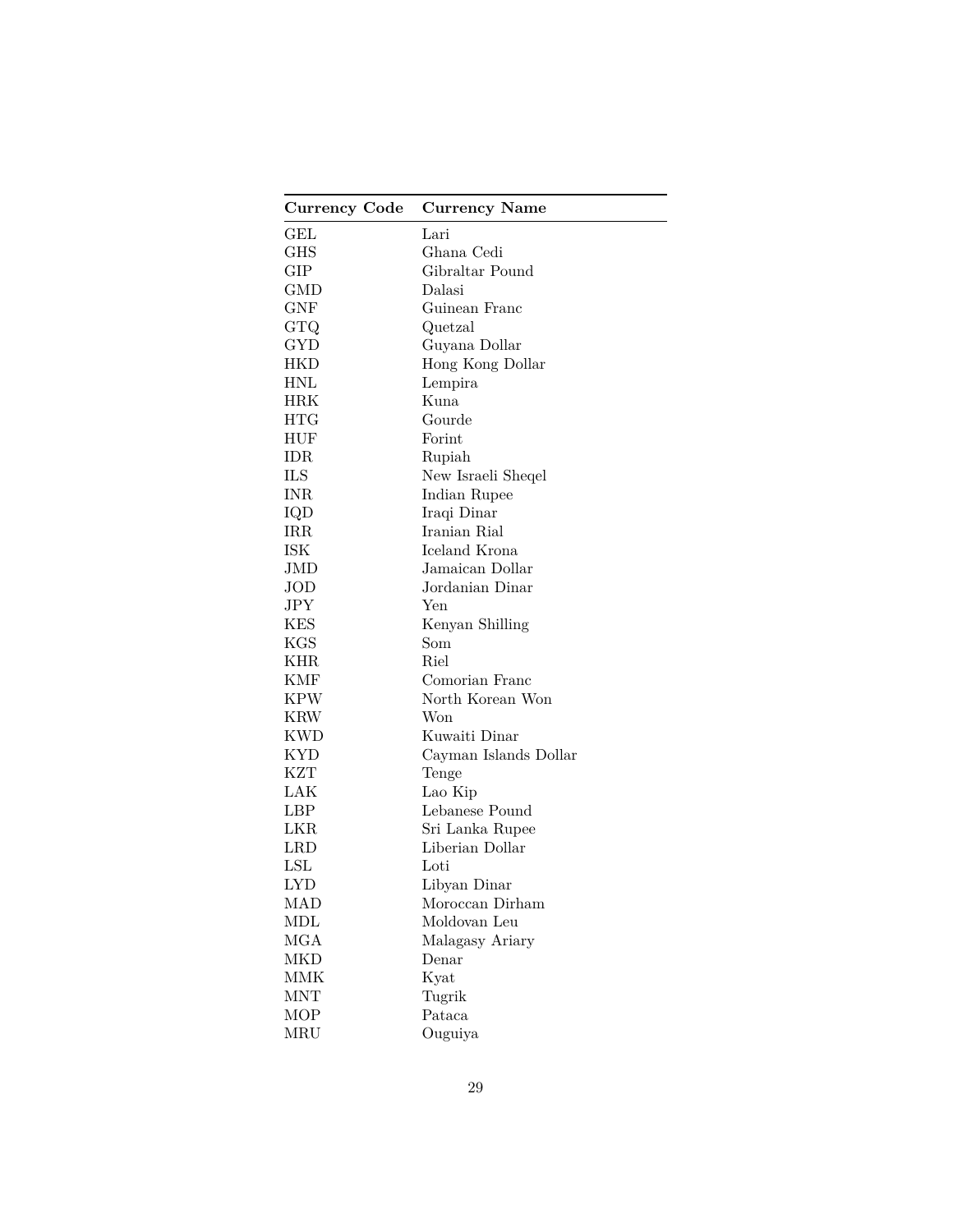| <b>Currency Code</b> | <b>Currency Name</b>  |
|----------------------|-----------------------|
| GEL                  | Lari                  |
| GHS                  | Ghana Cedi            |
| GIP                  | Gibraltar Pound       |
| GMD                  | Dalasi                |
| ${\rm GNF}$          | Guinean Franc         |
| GTQ                  | Quetzal               |
| GYD                  | Guyana Dollar         |
| HKD                  | Hong Kong Dollar      |
| <b>HNL</b>           | Lempira               |
| <b>HRK</b>           | Kuna                  |
| $_{\rm HTG}$         | Gourde                |
| HUF                  | Forint                |
| IDR                  | Rupiah                |
| ILS                  | New Israeli Sheqel    |
| <b>INR</b>           | Indian Rupee          |
| IQD                  | Iraqi Dinar           |
| <b>IRR</b>           | Iranian Rial          |
| ISK                  | Iceland Krona         |
| JMD                  | Jamaican Dollar       |
| JOD                  | Jordanian Dinar       |
| JPY                  | Yen                   |
| <b>KES</b>           | Kenyan Shilling       |
| <b>KGS</b>           | Som                   |
| <b>KHR</b>           | Riel                  |
| <b>KMF</b>           | Comorian Franc        |
| <b>KPW</b>           | North Korean Won      |
| <b>KRW</b>           | Won                   |
| <b>KWD</b>           | Kuwaiti Dinar         |
| <b>KYD</b>           | Cayman Islands Dollar |
| KZT                  | Tenge                 |
| LAK                  | Lao Kip               |
| LBP                  | Lebanese Pound        |
| LKR.                 | Sri Lanka Rupee       |
| <b>LRD</b>           | Liberian Dollar       |
| $_{\rm LSL}$         | Loti                  |
| LYD                  | Libyan Dinar          |
| MAD                  | Moroccan Dirham       |
| MDL                  | Moldovan Leu          |
| <b>MGA</b>           | Malagasy Ariary       |
| <b>MKD</b>           | Denar                 |
| <b>MMK</b>           | Kyat                  |
| <b>MNT</b>           | Tugrik                |
| <b>MOP</b>           | Pataca                |
| MRU                  | Ouguiya               |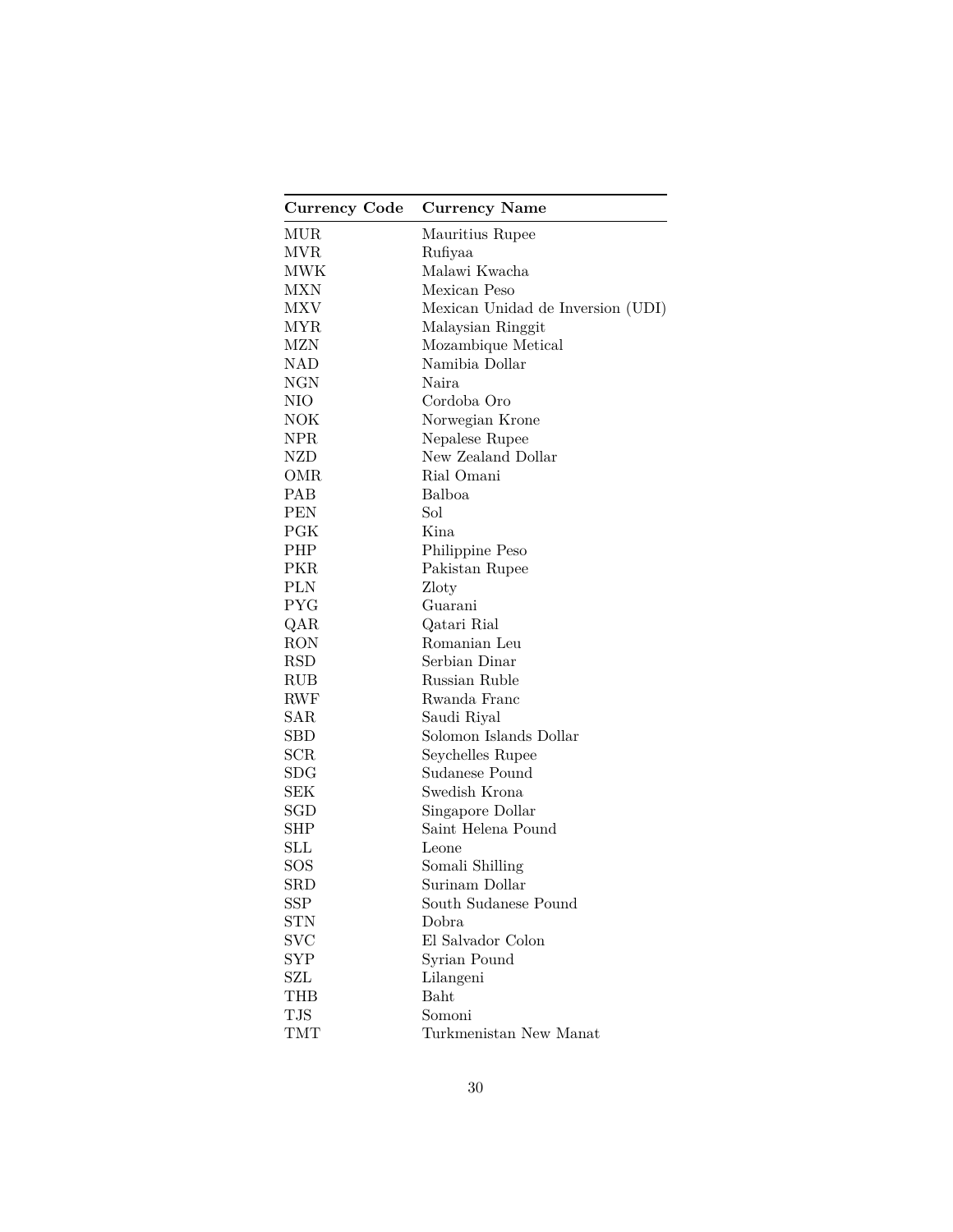| <b>Currency Code</b> | <b>Currency Name</b>              |
|----------------------|-----------------------------------|
| MUR                  | Mauritius Rupee                   |
| MVR                  | Rufiyaa                           |
| MWK                  | Malawi Kwacha                     |
| <b>MXN</b>           | Mexican Peso                      |
| MXV                  | Mexican Unidad de Inversion (UDI) |
| MYR                  | Malaysian Ringgit                 |
| MZN                  | Mozambique Metical                |
| NAD                  | Namibia Dollar                    |
| NGN                  | Naira                             |
| NIO                  | Cordoba Oro                       |
| NOK                  | Norwegian Krone                   |
| NPR.                 | Nepalese Rupee                    |
| NZD                  | New Zealand Dollar                |
| OMR                  | Rial Omani                        |
| <b>PAB</b>           | Balboa                            |
| PEN                  | Sol                               |
| $P\text{GK}$         | Kina                              |
| PHP                  | Philippine Peso                   |
| PKR.                 | Pakistan Rupee                    |
| PLN                  | Zloty                             |
| PYG                  | Guarani                           |
| QAR                  | Qatari Rial                       |
| <b>RON</b>           | Romanian Leu                      |
| <b>RSD</b>           | Serbian Dinar                     |
| RUB                  | Russian Ruble                     |
| RWF                  | Rwanda Franc                      |
| SAR                  | Saudi Riyal                       |
| SBD                  | Solomon Islands Dollar            |
| SCR                  | Seychelles Rupee                  |
| SDG                  | Sudanese Pound                    |
| SEK                  | Swedish Krona                     |
| SGD                  | Singapore Dollar                  |
| <b>SHP</b>           | Saint Helena Pound                |
| SLL                  | Leone                             |
| $_{\rm SOS}$         | Somali Shilling                   |
| SRD                  | Surinam Dollar                    |
| <b>SSP</b>           | South Sudanese Pound              |
| STN                  | Dobra                             |
| <b>SVC</b>           | El Salvador Colon                 |
| <b>SYP</b>           | Syrian Pound                      |
| SZL                  | Lilangeni                         |
| THB                  | Baht                              |
| <b>TJS</b>           | Somoni                            |
| TMT                  | Turkmenistan New Manat            |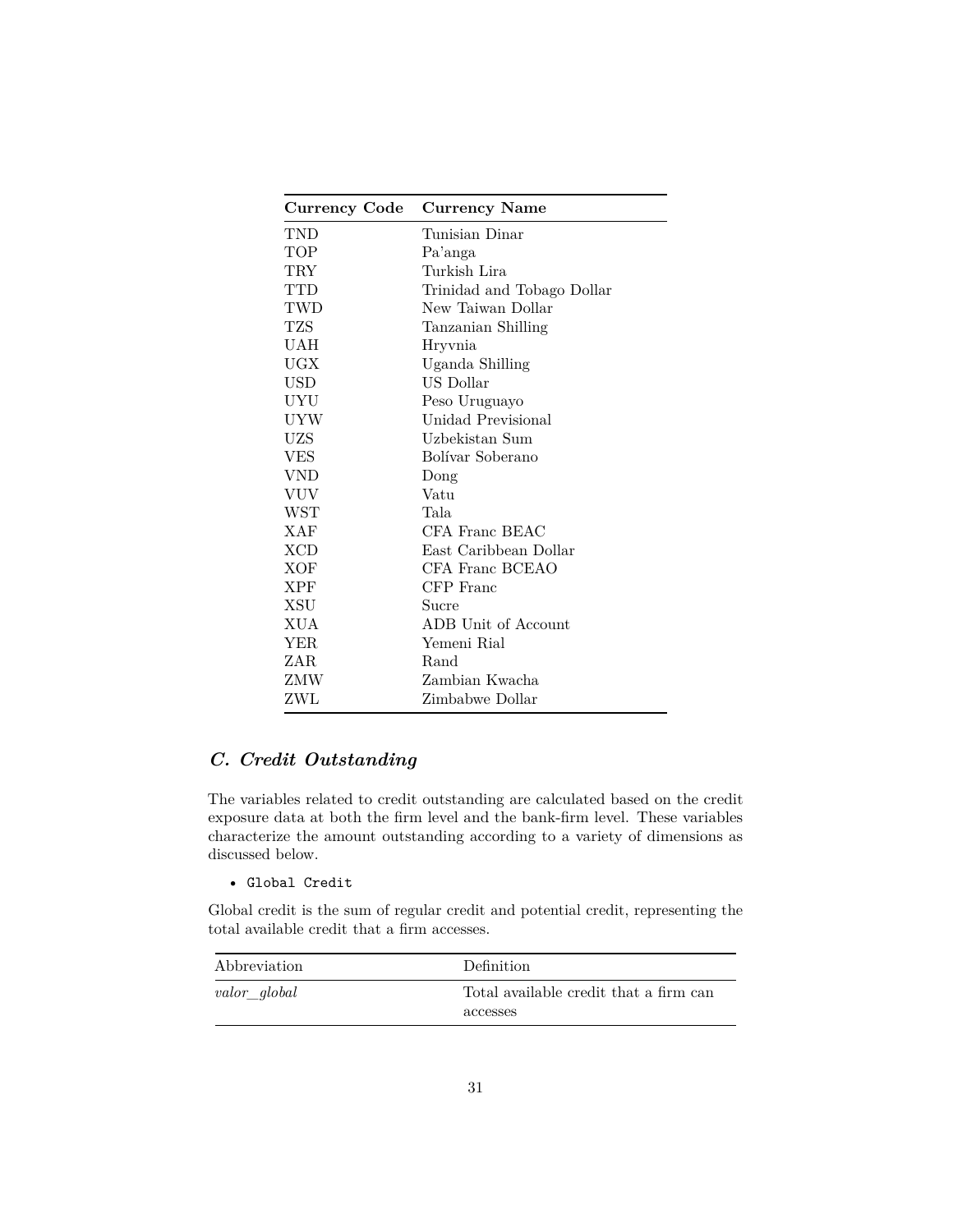| <b>Currency Code</b> | <b>Currency Name</b>       |
|----------------------|----------------------------|
| TND                  | Tunisian Dinar             |
| TOP                  | Pa'anga                    |
| $\rm{TRY}$           | Turkish Lira               |
| TTD                  | Trinidad and Tobago Dollar |
| TWD                  | New Taiwan Dollar          |
| TZS                  | Tanzanian Shilling         |
| UAH                  | Hryvnia                    |
| UGX                  | Uganda Shilling            |
| <b>USD</b>           | US Dollar                  |
| UYU                  | Peso Uruguayo              |
| UYW                  | Unidad Previsional         |
| UZS                  | Uzbekistan Sum             |
| <b>VES</b>           | Bolívar Soberano           |
| VND                  | Dong                       |
| <b>VUV</b>           | Vatu                       |
| WST                  | Tala                       |
| XAF                  | CFA Franc BEAC             |
| <b>XCD</b>           | East Caribbean Dollar      |
| XOF                  | CFA Franc BCEAO            |
| <b>XPF</b>           | CFP Franc                  |
| XSU                  | Sucre                      |
| XUA                  | ADB Unit of Account        |
| YER.                 | Yemeni Rial                |
| ZAR.                 | Rand                       |
| ZMW                  | Zambian Kwacha             |
| ZWL                  | Zimbabwe Dollar            |

# <span id="page-30-0"></span>*C. Credit Outstanding*

The variables related to credit outstanding are calculated based on the credit exposure data at both the firm level and the bank-firm level. These variables characterize the amount outstanding according to a variety of dimensions as discussed below.

### • Global Credit

Global credit is the sum of regular credit and potential credit, representing the total available credit that a firm accesses.

| Abbreviation | <b>Definition</b>                                  |
|--------------|----------------------------------------------------|
| valor_global | Total available credit that a firm can<br>accesses |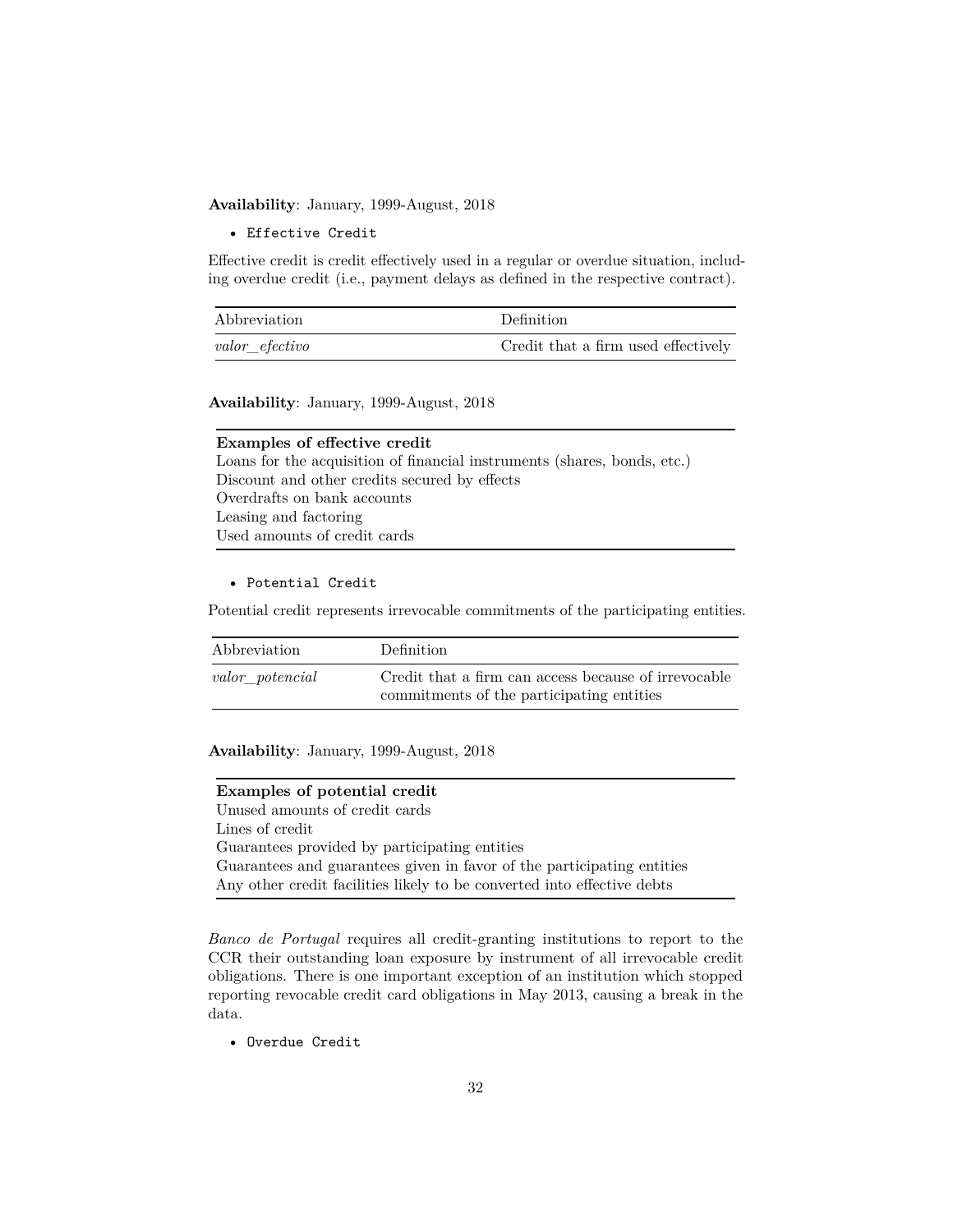**Availability**: January, 1999-August, 2018

• Effective Credit

Effective credit is credit effectively used in a regular or overdue situation, including overdue credit (i.e., payment delays as defined in the respective contract).

| Abbreviation   | Definition                          |
|----------------|-------------------------------------|
| valor efectivo | Credit that a firm used effectively |

**Availability**: January, 1999-August, 2018

| <b>Examples of effective credit</b>                                      |
|--------------------------------------------------------------------------|
| Loans for the acquisition of financial instruments (shares, bonds, etc.) |
| Discount and other credits secured by effects                            |
| Overdrafts on bank accounts                                              |
| Leasing and factoring                                                    |
| Used amounts of credit cards                                             |

### • Potential Credit

Potential credit represents irrevocable commitments of the participating entities.

| Abbreviation    | <b>Definition</b>                                                                                 |
|-----------------|---------------------------------------------------------------------------------------------------|
| valor potencial | Credit that a firm can access because of irrevocable<br>commitments of the participating entities |

**Availability**: January, 1999-August, 2018

### **Examples of potential credit**

Unused amounts of credit cards Lines of credit Guarantees provided by participating entities Guarantees and guarantees given in favor of the participating entities Any other credit facilities likely to be converted into effective debts

*Banco de Portugal* requires all credit-granting institutions to report to the CCR their outstanding loan exposure by instrument of all irrevocable credit obligations. There is one important exception of an institution which stopped reporting revocable credit card obligations in May 2013, causing a break in the data.

• Overdue Credit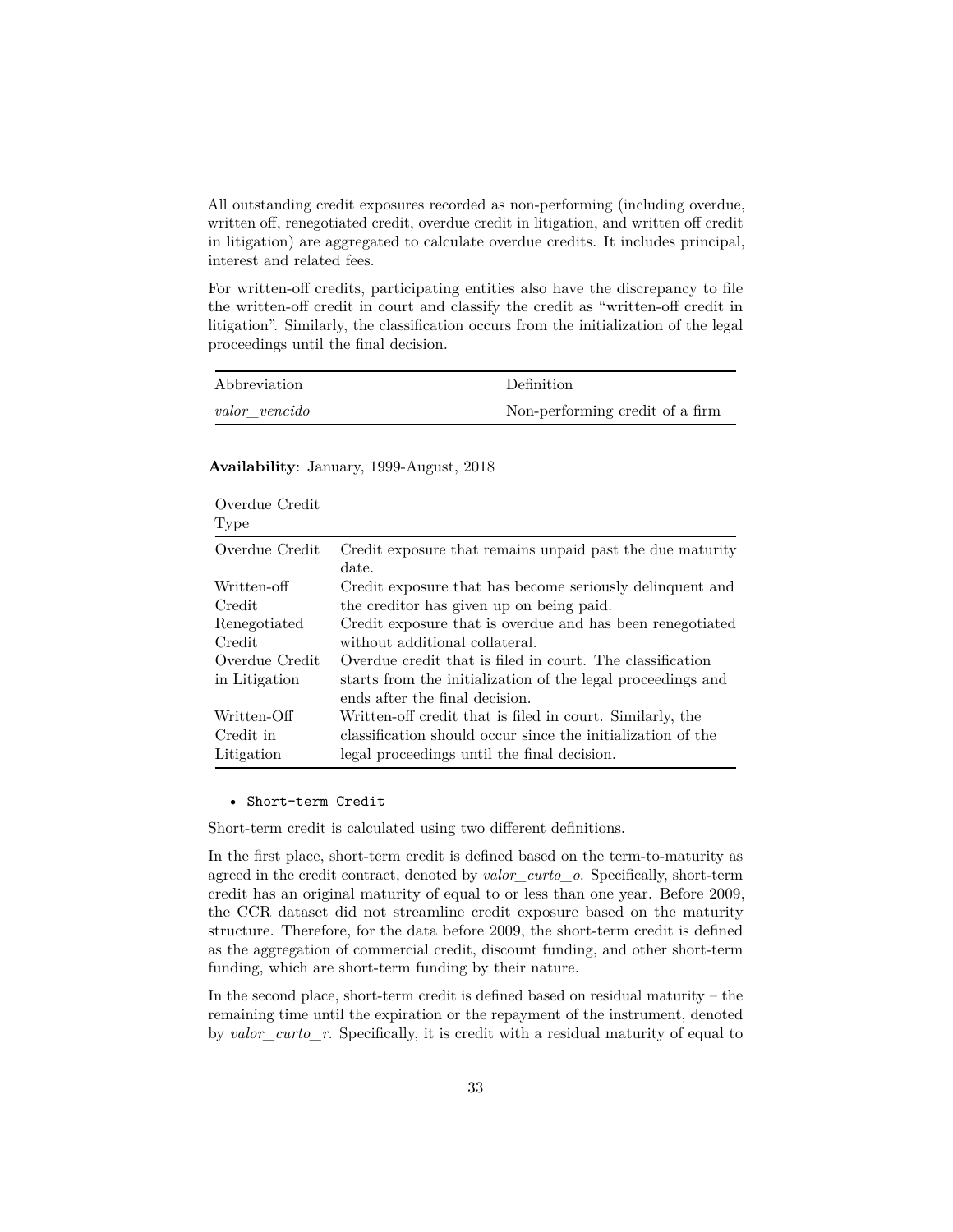All outstanding credit exposures recorded as non-performing (including overdue, written off, renegotiated credit, overdue credit in litigation, and written off credit in litigation) are aggregated to calculate overdue credits. It includes principal, interest and related fees.

For written-off credits, participating entities also have the discrepancy to file the written-off credit in court and classify the credit as "written-off credit in litigation". Similarly, the classification occurs from the initialization of the legal proceedings until the final decision.

| Abbreviation  | Definition                      |
|---------------|---------------------------------|
| valor vencido | Non-performing credit of a firm |

### **Availability**: January, 1999-August, 2018

| Overdue Credit<br>Type |                                                                    |
|------------------------|--------------------------------------------------------------------|
| Overdue Credit         | Credit exposure that remains unpaid past the due maturity<br>date. |
| Written-off-           | Credit exposure that has become seriously delinquent and           |
| Credit                 | the creditor has given up on being paid.                           |
| Renegotiated           | Credit exposure that is overdue and has been renegotiated          |
| Credit                 | without additional collateral.                                     |
| Overdue Credit         | Overdue credit that is filed in court. The classification          |
| in Litigation          | starts from the initialization of the legal proceedings and        |
|                        | ends after the final decision.                                     |
| Written-Off            | Written-off credit that is filed in court. Similarly, the          |
| Credit in              | classification should occur since the initialization of the        |
| Litigation             | legal proceedings until the final decision.                        |

#### • Short-term Credit

Short-term credit is calculated using two different definitions.

In the first place, short-term credit is defined based on the term-to-maturity as agreed in the credit contract, denoted by *valor\_curto\_o*. Specifically, short-term credit has an original maturity of equal to or less than one year. Before 2009, the CCR dataset did not streamline credit exposure based on the maturity structure. Therefore, for the data before 2009, the short-term credit is defined as the aggregation of commercial credit, discount funding, and other short-term funding, which are short-term funding by their nature.

In the second place, short-term credit is defined based on residual maturity – the remaining time until the expiration or the repayment of the instrument, denoted by *valor\_curto\_r*. Specifically, it is credit with a residual maturity of equal to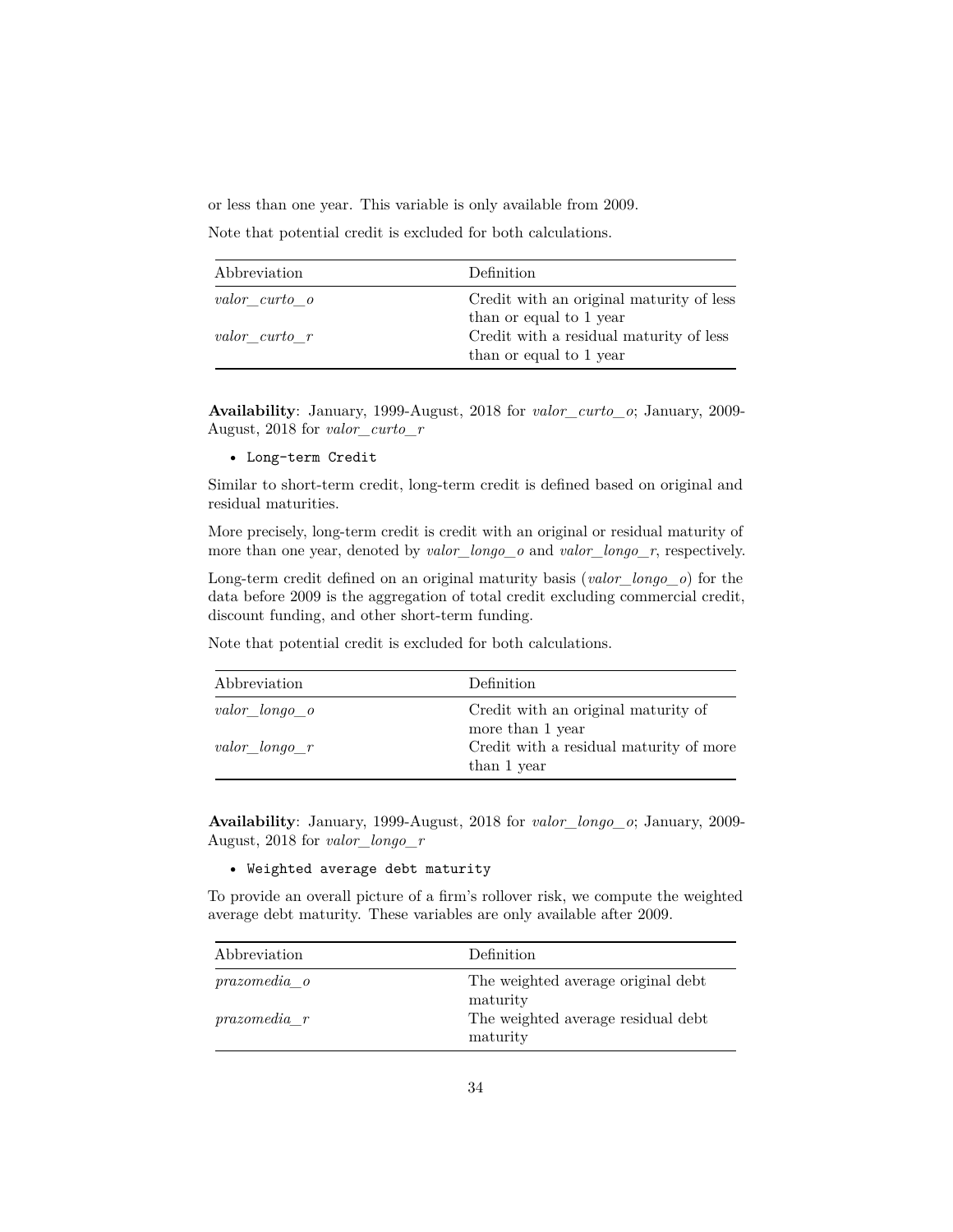or less than one year. This variable is only available from 2009.

Note that potential credit is excluded for both calculations.

| Abbreviation  | Definition                                                          |
|---------------|---------------------------------------------------------------------|
| valor curto o | Credit with an original maturity of less<br>than or equal to 1 year |
| valor curto r | Credit with a residual maturity of less<br>than or equal to 1 year  |

**Availability**: January, 1999-August, 2018 for *valor\_curto\_o*; January, 2009- August, 2018 for *valor\_curto\_r*

• Long-term Credit

Similar to short-term credit, long-term credit is defined based on original and residual maturities.

More precisely, long-term credit is credit with an original or residual maturity of more than one year, denoted by *valor\_longo\_o* and *valor\_longo\_r*, respectively.

Long-term credit defined on an original maturity basis (*valor\_longo\_o*) for the data before 2009 is the aggregation of total credit excluding commercial credit, discount funding, and other short-term funding.

Note that potential credit is excluded for both calculations.

| Abbreviation  | Definition                                              |
|---------------|---------------------------------------------------------|
| valor longo o | Credit with an original maturity of<br>more than 1 year |
| valor longo r | Credit with a residual maturity of more<br>than 1 year  |

**Availability**: January, 1999-August, 2018 for *valor\_longo\_o*; January, 2009- August, 2018 for *valor\_longo\_r*

### • Weighted average debt maturity

To provide an overall picture of a firm's rollover risk, we compute the weighted average debt maturity. These variables are only available after 2009.

| Abbreviation        | Definition                                     |
|---------------------|------------------------------------------------|
| <i>prazomedia</i> o | The weighted average original debt             |
| $prazomedia$ $r$    | maturity<br>The weighted average residual debt |
|                     | maturity                                       |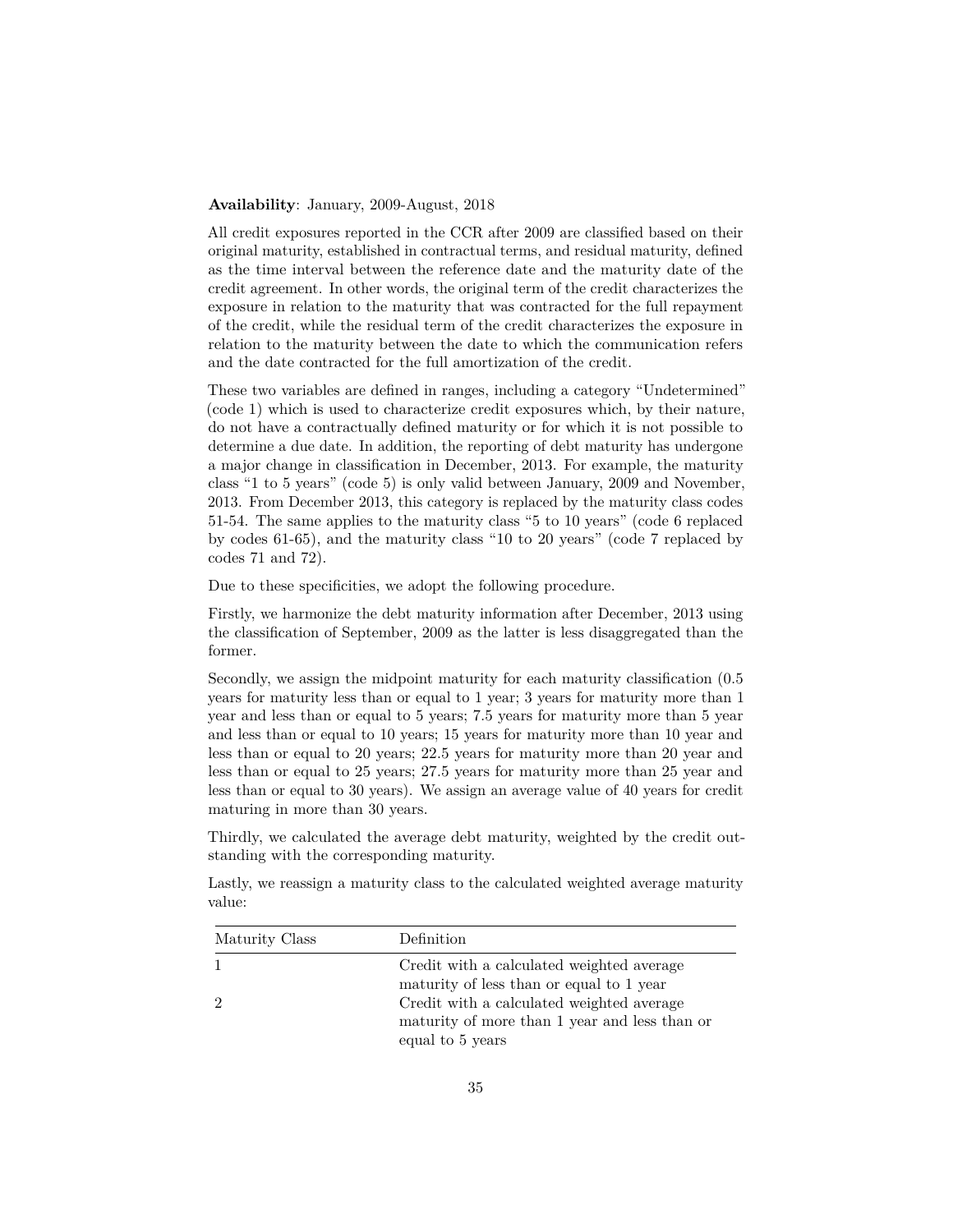### **Availability**: January, 2009-August, 2018

All credit exposures reported in the CCR after 2009 are classified based on their original maturity, established in contractual terms, and residual maturity, defined as the time interval between the reference date and the maturity date of the credit agreement. In other words, the original term of the credit characterizes the exposure in relation to the maturity that was contracted for the full repayment of the credit, while the residual term of the credit characterizes the exposure in relation to the maturity between the date to which the communication refers and the date contracted for the full amortization of the credit.

These two variables are defined in ranges, including a category "Undetermined" (code 1) which is used to characterize credit exposures which, by their nature, do not have a contractually defined maturity or for which it is not possible to determine a due date. In addition, the reporting of debt maturity has undergone a major change in classification in December, 2013. For example, the maturity class "1 to 5 years" (code 5) is only valid between January, 2009 and November, 2013. From December 2013, this category is replaced by the maturity class codes 51-54. The same applies to the maturity class "5 to 10 years" (code 6 replaced by codes 61-65), and the maturity class "10 to 20 years" (code 7 replaced by codes 71 and 72).

Due to these specificities, we adopt the following procedure.

Firstly, we harmonize the debt maturity information after December, 2013 using the classification of September, 2009 as the latter is less disaggregated than the former.

Secondly, we assign the midpoint maturity for each maturity classification (0.5 years for maturity less than or equal to 1 year; 3 years for maturity more than 1 year and less than or equal to 5 years; 7.5 years for maturity more than 5 year and less than or equal to 10 years; 15 years for maturity more than 10 year and less than or equal to 20 years; 22.5 years for maturity more than 20 year and less than or equal to 25 years; 27.5 years for maturity more than 25 year and less than or equal to 30 years). We assign an average value of 40 years for credit maturing in more than 30 years.

Thirdly, we calculated the average debt maturity, weighted by the credit outstanding with the corresponding maturity.

Lastly, we reassign a maturity class to the calculated weighted average maturity value:

| Maturity Class | Definition                                    |
|----------------|-----------------------------------------------|
|                | Credit with a calculated weighted average     |
|                | maturity of less than or equal to 1 year      |
| 2              | Credit with a calculated weighted average     |
|                | maturity of more than 1 year and less than or |
|                | equal to 5 years                              |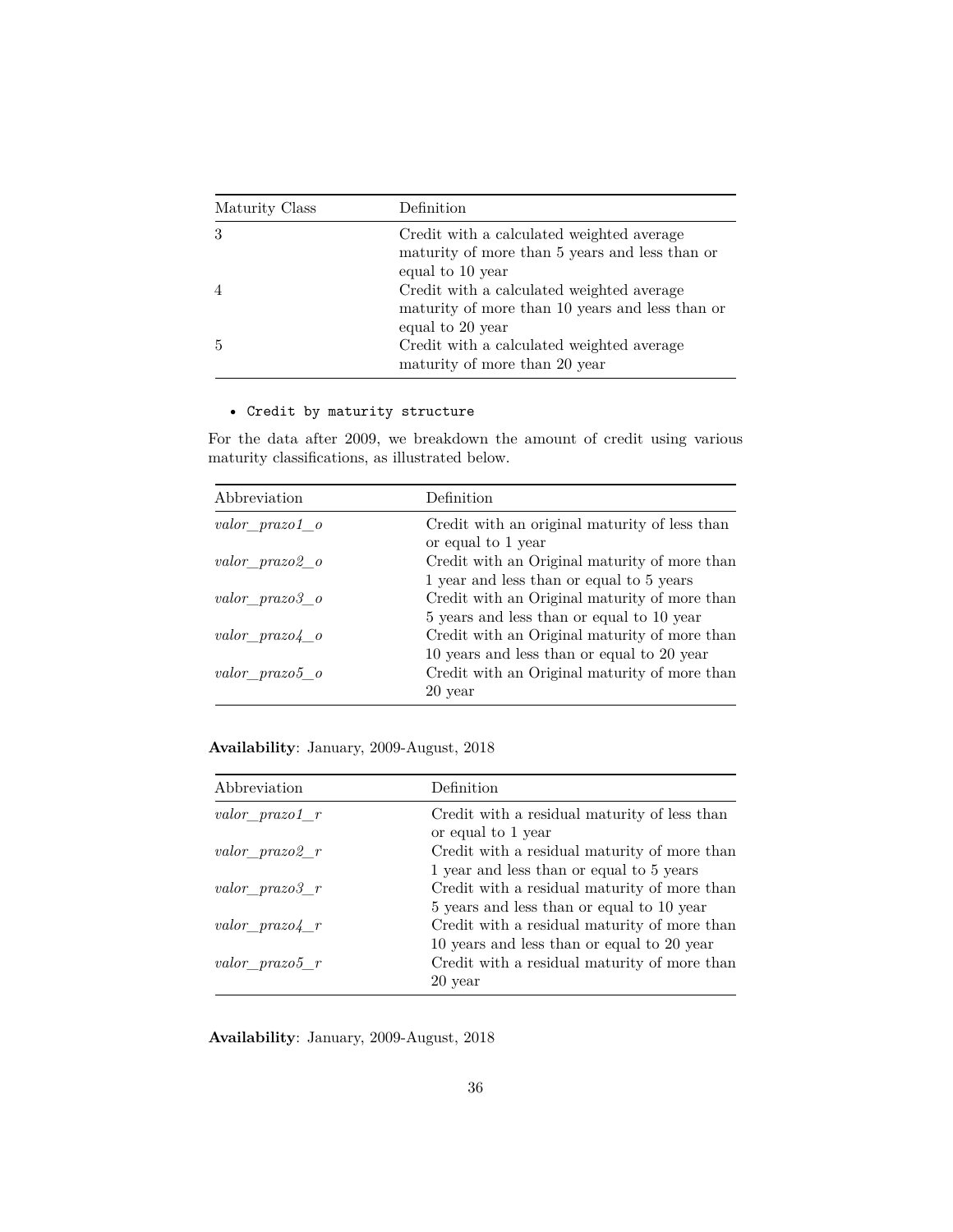| Maturity Class | Definition                                                                                                      |
|----------------|-----------------------------------------------------------------------------------------------------------------|
| 3              | Credit with a calculated weighted average<br>maturity of more than 5 years and less than or<br>equal to 10 year |
|                | Credit with a calculated weighted average<br>maturity of more than 10 years and less than or                    |
| .5             | equal to 20 year<br>Credit with a calculated weighted average<br>maturity of more than 20 year                  |

# • Credit by maturity structure

For the data after 2009, we breakdown the amount of credit using various maturity classifications, as illustrated below.

| Abbreviation      | Definition                                    |
|-------------------|-----------------------------------------------|
| valor prazo1 o    | Credit with an original maturity of less than |
|                   | or equal to 1 year                            |
| valor prazo2 o    | Credit with an Original maturity of more than |
|                   | 1 year and less than or equal to 5 years      |
| valor prazo3 o    | Credit with an Original maturity of more than |
|                   | 5 years and less than or equal to 10 year     |
| valor prazo4 o    | Credit with an Original maturity of more than |
|                   | 10 years and less than or equal to 20 year    |
| $valor\_prazo5_o$ | Credit with an Original maturity of more than |
|                   | 20 year                                       |

**Availability**: January, 2009-August, 2018

| Abbreviation     | Definition                                                                                 |
|------------------|--------------------------------------------------------------------------------------------|
| valor $prazo1$ r | Credit with a residual maturity of less than<br>or equal to 1 year                         |
| valor prazo2 r   | Credit with a residual maturity of more than<br>1 year and less than or equal to 5 years   |
| valor $prazo3$ r | Credit with a residual maturity of more than<br>5 years and less than or equal to 10 year  |
| valor $prazo4$ r | Credit with a residual maturity of more than<br>10 years and less than or equal to 20 year |
| valor prazo $5r$ | Credit with a residual maturity of more than<br>20 year                                    |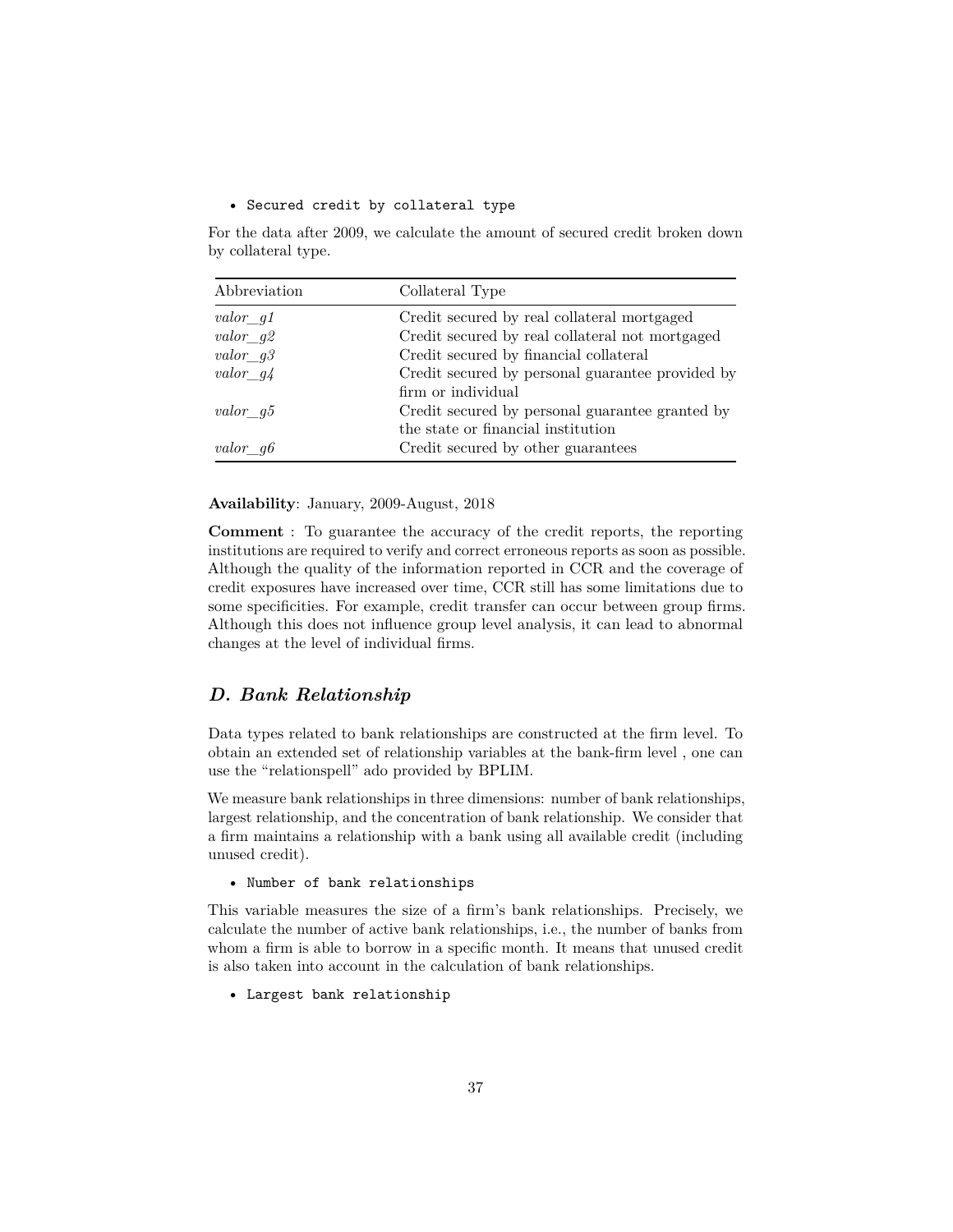### • Secured credit by collateral type

For the data after 2009, we calculate the amount of secured credit broken down by collateral type.

| Abbreviation        | Collateral Type                                  |
|---------------------|--------------------------------------------------|
| $valor\_g1$         | Credit secured by real collateral mortgaged      |
| $valor\_g2$         | Credit secured by real collateral not mortgaged  |
| valor $q3$          | Credit secured by financial collateral           |
| valor $q\downarrow$ | Credit secured by personal guarantee provided by |
|                     | firm or individual                               |
| $valor\_g5$         | Credit secured by personal guarantee granted by  |
|                     | the state or financial institution               |
| valor $q6$          | Credit secured by other guarantees               |

**Availability**: January, 2009-August, 2018

**Comment** : To guarantee the accuracy of the credit reports, the reporting institutions are required to verify and correct erroneous reports as soon as possible. Although the quality of the information reported in CCR and the coverage of credit exposures have increased over time, CCR still has some limitations due to some specificities. For example, credit transfer can occur between group firms. Although this does not influence group level analysis, it can lead to abnormal changes at the level of individual firms.

### <span id="page-36-0"></span>*D. Bank Relationship*

Data types related to bank relationships are constructed at the firm level. To obtain an extended set of relationship variables at the bank-firm level , one can use the "relationspell" ado provided by BPLIM.

We measure bank relationships in three dimensions: number of bank relationships, largest relationship, and the concentration of bank relationship. We consider that a firm maintains a relationship with a bank using all available credit (including unused credit).

• Number of bank relationships

This variable measures the size of a firm's bank relationships. Precisely, we calculate the number of active bank relationships, i.e., the number of banks from whom a firm is able to borrow in a specific month. It means that unused credit is also taken into account in the calculation of bank relationships.

• Largest bank relationship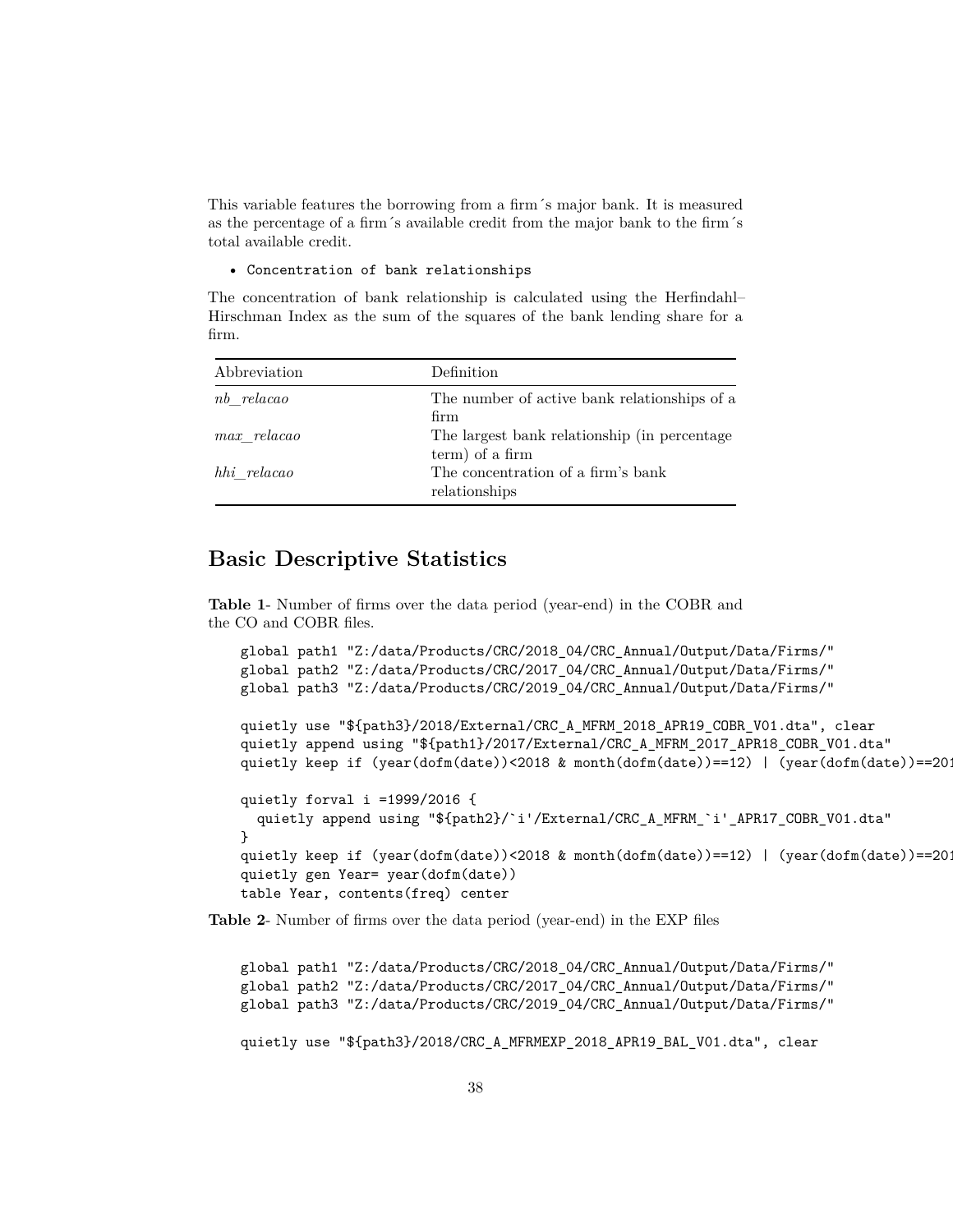This variable features the borrowing from a firm´s major bank. It is measured as the percentage of a firm´s available credit from the major bank to the firm´s total available credit.

#### • Concentration of bank relationships

The concentration of bank relationship is calculated using the Herfindahl– Hirschman Index as the sum of the squares of the bank lending share for a firm.

| Abbreviation  | Definition                                                       |
|---------------|------------------------------------------------------------------|
| nb relacao    | The number of active bank relationships of a<br>firm             |
| $max$ relacao | The largest bank relationship (in percentage)<br>term) of a firm |
| hhi relacao   | The concentration of a firm's bank<br>relationships              |

# <span id="page-37-0"></span>**Basic Descriptive Statistics**

**Table 1**- Number of firms over the data period (year-end) in the COBR and the CO and COBR files.

```
global path1 "Z:/data/Products/CRC/2018_04/CRC_Annual/Output/Data/Firms/"
global path2 "Z:/data/Products/CRC/2017_04/CRC_Annual/Output/Data/Firms/"
global path3 "Z:/data/Products/CRC/2019_04/CRC_Annual/Output/Data/Firms/"
quietly use "${path3}/2018/External/CRC_A_MFRM_2018_APR19_COBR_V01.dta", clear
quietly append using "${path1}/2017/External/CRC_A_MFRM_2017_APR18_COBR_V01.dta"
quietly keep if (year(dofm(date))<2018 & month(dofm(date))==12) | (year(dofm(date))==2018
quietly forval i =1999/2016 {
  quietly append using "${path2}/`i'/External/CRC_A_MFRM_`i'_APR17_COBR_V01.dta"
}
quietly keep if (year(dofm(date))<2018 & month(dofm(date))==12) | (year(dofm(date))==201
quietly gen Year= year(dofm(date))
table Year, contents(freq) center
```
**Table 2**- Number of firms over the data period (year-end) in the EXP files

global path1 "Z:/data/Products/CRC/2018\_04/CRC\_Annual/Output/Data/Firms/" global path2 "Z:/data/Products/CRC/2017\_04/CRC\_Annual/Output/Data/Firms/" global path3 "Z:/data/Products/CRC/2019\_04/CRC\_Annual/Output/Data/Firms/" quietly use "\${path3}/2018/CRC\_A\_MFRMEXP\_2018\_APR19\_BAL\_V01.dta", clear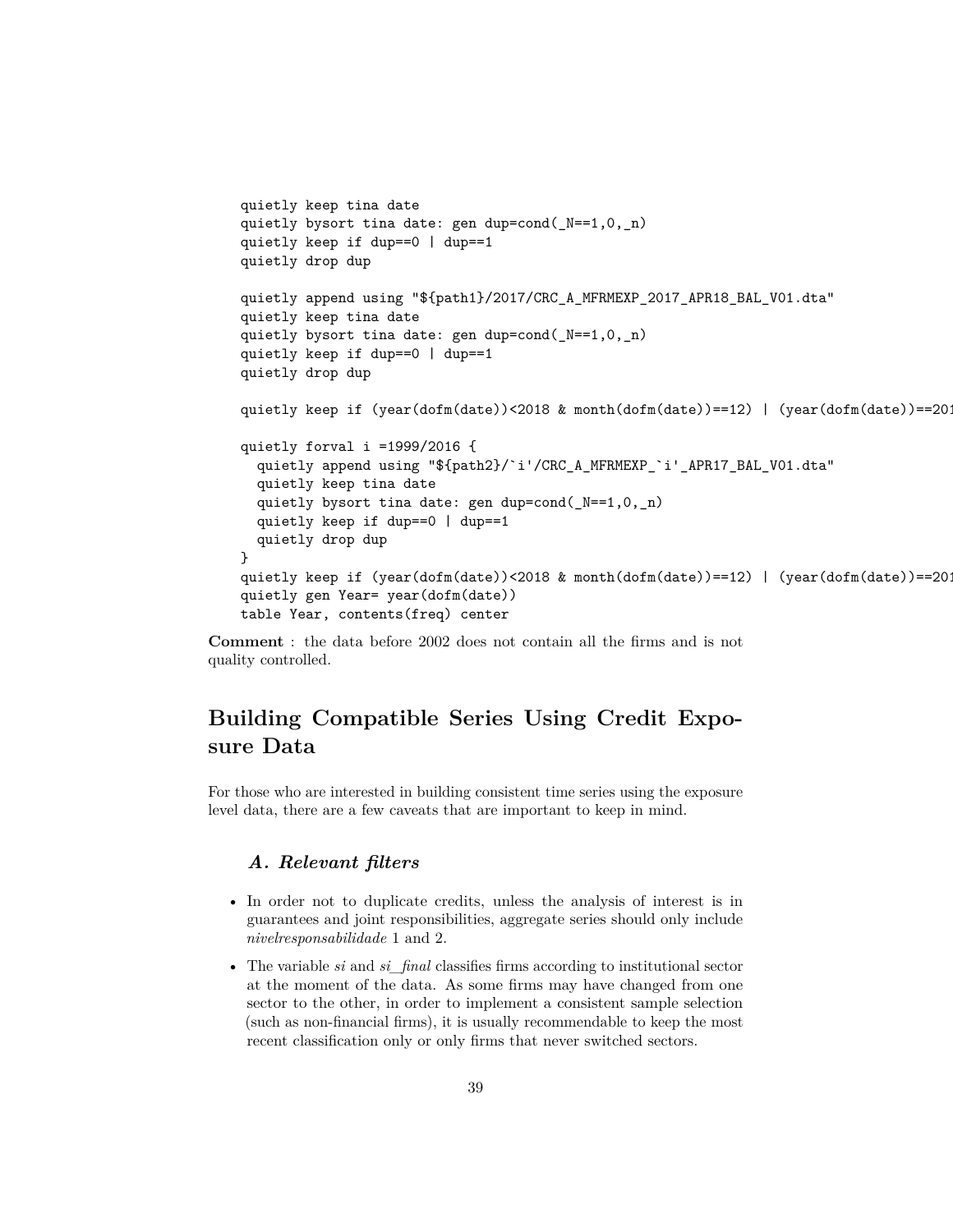```
quietly keep tina date
quietly bysort tina date: gen dup=cond(_N==1,0,_n)
quietly keep if dup==0 | dup==1
quietly drop dup
quietly append using "${path1}/2017/CRC_A_MFRMEXP_2017_APR18_BAL_V01.dta"
quietly keep tina date
quietly bysort tina date: gen dup=cond(_N==1,0,_n)
quietly keep if dup==0 | dup==1
quietly drop dup
quietly keep if (year(dofm(date))<2018 & month(dofm(date))==12) | (year(dofm(date))==2018
quietly forval i =1999/2016 {
  quietly append using "${path2}/`i'/CRC_A_MFRMEXP_`i'_APR17_BAL_V01.dta"
  quietly keep tina date
  quietly bysort tina date: gen dup=cond(_N==1,0,_n)
  quietly keep if dup==0 | dup==1
  quietly drop dup
}
quietly keep if (year(dofm(date))<2018 & month(dofm(date))==12) | (year(dofm(date))==2018
quietly gen Year= year(dofm(date))
table Year, contents(freq) center
```
<span id="page-38-0"></span>**Comment** : the data before 2002 does not contain all the firms and is not quality controlled.

# **Building Compatible Series Using Credit Exposure Data**

<span id="page-38-1"></span>For those who are interested in building consistent time series using the exposure level data, there are a few caveats that are important to keep in mind.

### *A. Relevant filters*

- In order not to duplicate credits, unless the analysis of interest is in guarantees and joint responsibilities, aggregate series should only include *nivelresponsabilidade* 1 and 2.
- The variable *si* and *si\_final* classifies firms according to institutional sector at the moment of the data. As some firms may have changed from one sector to the other, in order to implement a consistent sample selection (such as non-financial firms), it is usually recommendable to keep the most recent classification only or only firms that never switched sectors.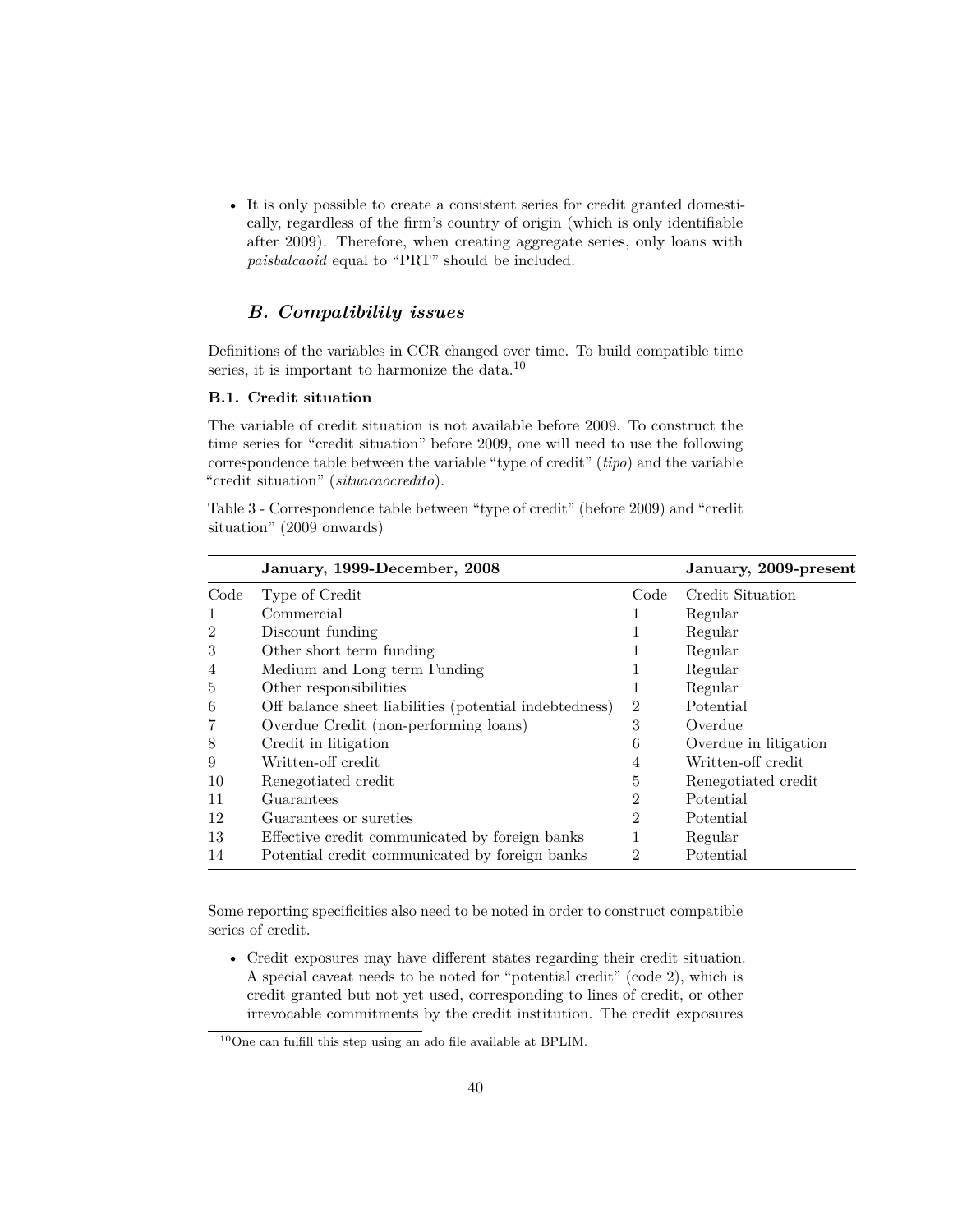• It is only possible to create a consistent series for credit granted domestically, regardless of the firm's country of origin (which is only identifiable after 2009). Therefore, when creating aggregate series, only loans with *paisbalcaoid* equal to "PRT" should be included.

### <span id="page-39-0"></span>*B. Compatibility issues*

Definitions of the variables in CCR changed over time. To build compatible time series, it is important to harmonize the data.<sup>[10](#page-39-1)</sup>

### **B.1. Credit situation**

The variable of credit situation is not available before 2009. To construct the time series for "credit situation" before 2009, one will need to use the following correspondence table between the variable "type of credit" (*tipo*) and the variable "credit situation" (*situacaocredito*).

Table 3 - Correspondence table between "type of credit" (before 2009) and "credit situation" (2009 onwards)

|                | January, 1999-December, 2008                           |                             | January, 2009-present |
|----------------|--------------------------------------------------------|-----------------------------|-----------------------|
| Code           | Type of Credit                                         | Code                        | Credit Situation      |
| 1              | Commercial                                             |                             | Regular               |
| $\overline{2}$ | Discount funding                                       | 1                           | Regular               |
| 3              | Other short term funding                               |                             | Regular               |
| $\overline{4}$ | Medium and Long term Funding                           |                             | Regular               |
| 5              | Other responsibilities                                 |                             | Regular               |
| 6              | Off balance sheet liabilities (potential indebtedness) | $\overline{2}$              | Potential             |
| 7              | Overdue Credit (non-performing loans)                  | 3                           | Overdue               |
| 8              | Credit in litigation                                   | 6                           | Overdue in litigation |
| 9              | Written-off credit                                     | 4                           | Written-off credit    |
| 10             | Renegotiated credit                                    | 5                           | Renegotiated credit   |
| 11             | Guarantees                                             | $\overline{2}$              | Potential             |
| 12             | Guarantees or sureties                                 | $\mathcal{D}_{\mathcal{L}}$ | Potential             |
| 13             | Effective credit communicated by foreign banks         |                             | Regular               |
| 14             | Potential credit communicated by foreign banks         | 2                           | Potential             |

Some reporting specificities also need to be noted in order to construct compatible series of credit.

• Credit exposures may have different states regarding their credit situation. A special caveat needs to be noted for "potential credit" (code 2), which is credit granted but not yet used, corresponding to lines of credit, or other irrevocable commitments by the credit institution. The credit exposures

<span id="page-39-1"></span> $^{10}\mathrm{One}$  can fulfill this step using an ado file available at BPLIM.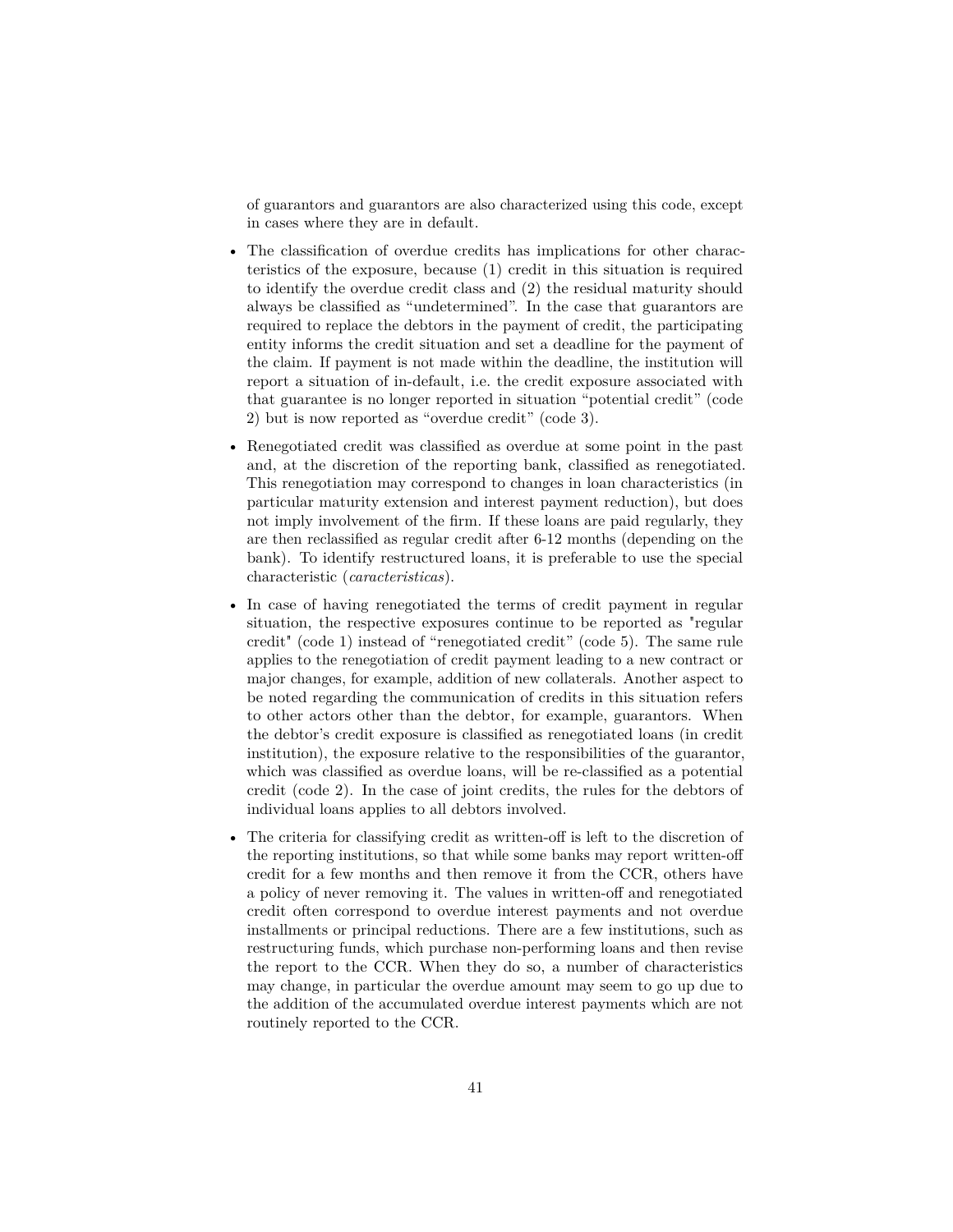of guarantors and guarantors are also characterized using this code, except in cases where they are in default.

- The classification of overdue credits has implications for other characteristics of the exposure, because (1) credit in this situation is required to identify the overdue credit class and (2) the residual maturity should always be classified as "undetermined". In the case that guarantors are required to replace the debtors in the payment of credit, the participating entity informs the credit situation and set a deadline for the payment of the claim. If payment is not made within the deadline, the institution will report a situation of in-default, i.e. the credit exposure associated with that guarantee is no longer reported in situation "potential credit" (code 2) but is now reported as "overdue credit" (code 3).
- Renegotiated credit was classified as overdue at some point in the past and, at the discretion of the reporting bank, classified as renegotiated. This renegotiation may correspond to changes in loan characteristics (in particular maturity extension and interest payment reduction), but does not imply involvement of the firm. If these loans are paid regularly, they are then reclassified as regular credit after 6-12 months (depending on the bank). To identify restructured loans, it is preferable to use the special characteristic (*caracteristicas*).
- In case of having renegotiated the terms of credit payment in regular situation, the respective exposures continue to be reported as "regular credit" (code 1) instead of "renegotiated credit" (code 5). The same rule applies to the renegotiation of credit payment leading to a new contract or major changes, for example, addition of new collaterals. Another aspect to be noted regarding the communication of credits in this situation refers to other actors other than the debtor, for example, guarantors. When the debtor's credit exposure is classified as renegotiated loans (in credit institution), the exposure relative to the responsibilities of the guarantor, which was classified as overdue loans, will be re-classified as a potential credit (code 2). In the case of joint credits, the rules for the debtors of individual loans applies to all debtors involved.
- The criteria for classifying credit as written-off is left to the discretion of the reporting institutions, so that while some banks may report written-off credit for a few months and then remove it from the CCR, others have a policy of never removing it. The values in written-off and renegotiated credit often correspond to overdue interest payments and not overdue installments or principal reductions. There are a few institutions, such as restructuring funds, which purchase non-performing loans and then revise the report to the CCR. When they do so, a number of characteristics may change, in particular the overdue amount may seem to go up due to the addition of the accumulated overdue interest payments which are not routinely reported to the CCR.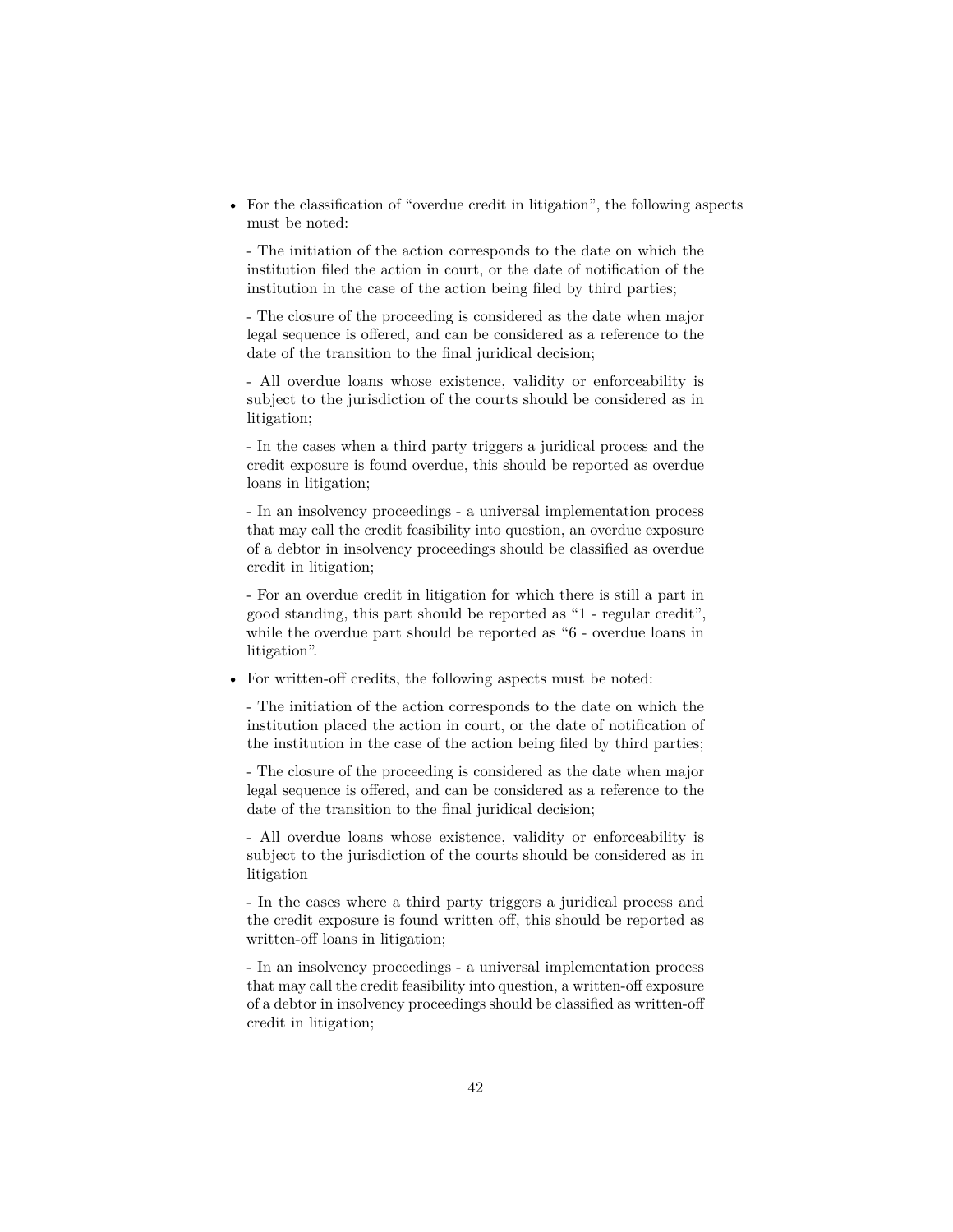• For the classification of "overdue credit in litigation", the following aspects must be noted:

- The initiation of the action corresponds to the date on which the institution filed the action in court, or the date of notification of the institution in the case of the action being filed by third parties;

- The closure of the proceeding is considered as the date when major legal sequence is offered, and can be considered as a reference to the date of the transition to the final juridical decision;

- All overdue loans whose existence, validity or enforceability is subject to the jurisdiction of the courts should be considered as in litigation;

- In the cases when a third party triggers a juridical process and the credit exposure is found overdue, this should be reported as overdue loans in litigation;

- In an insolvency proceedings - a universal implementation process that may call the credit feasibility into question, an overdue exposure of a debtor in insolvency proceedings should be classified as overdue credit in litigation;

- For an overdue credit in litigation for which there is still a part in good standing, this part should be reported as "1 - regular credit", while the overdue part should be reported as "6 - overdue loans in litigation".

• For written-off credits, the following aspects must be noted:

- The initiation of the action corresponds to the date on which the institution placed the action in court, or the date of notification of the institution in the case of the action being filed by third parties;

- The closure of the proceeding is considered as the date when major legal sequence is offered, and can be considered as a reference to the date of the transition to the final juridical decision;

- All overdue loans whose existence, validity or enforceability is subject to the jurisdiction of the courts should be considered as in litigation

- In the cases where a third party triggers a juridical process and the credit exposure is found written off, this should be reported as written-off loans in litigation;

- In an insolvency proceedings - a universal implementation process that may call the credit feasibility into question, a written-off exposure of a debtor in insolvency proceedings should be classified as written-off credit in litigation;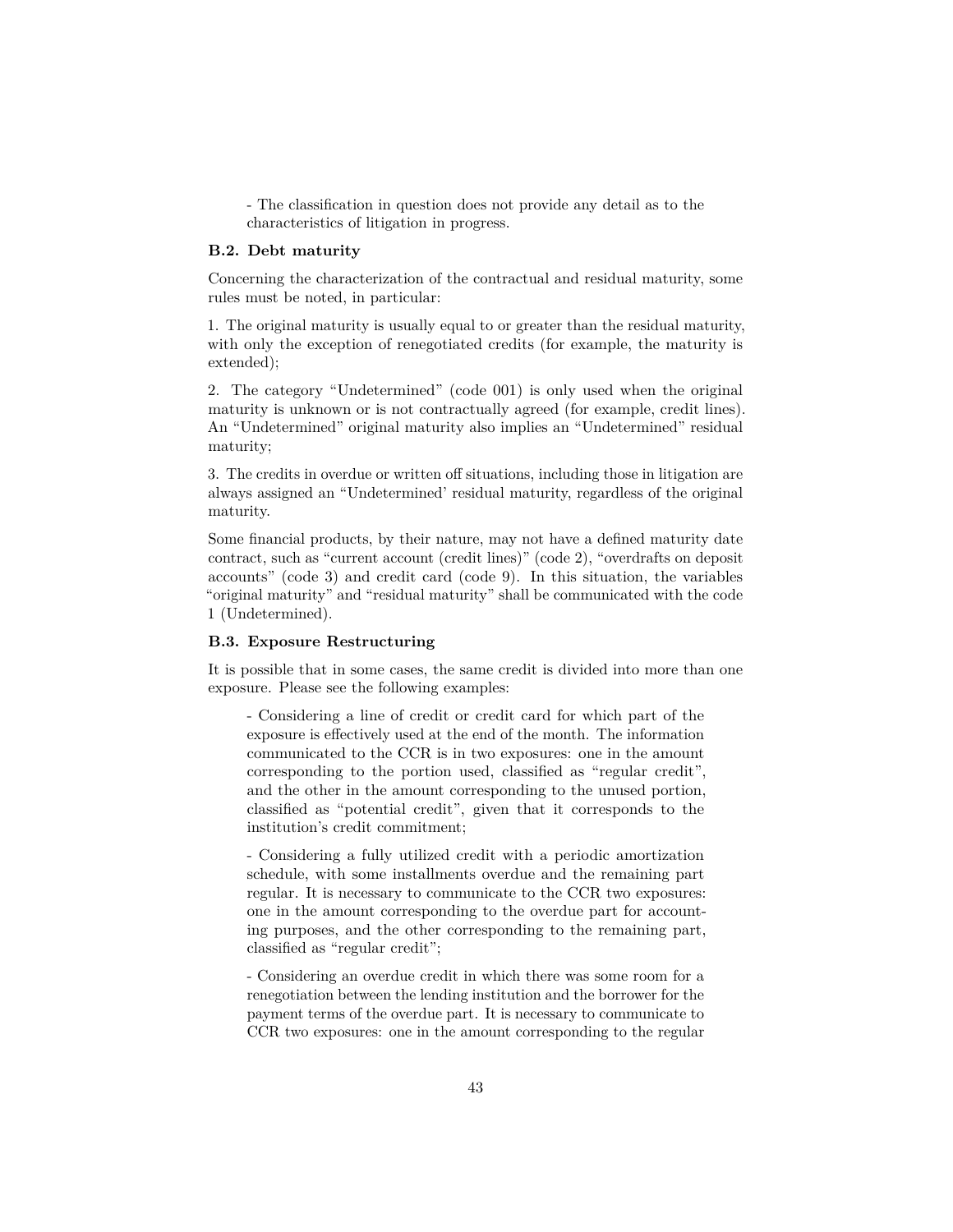- The classification in question does not provide any detail as to the characteristics of litigation in progress.

#### **B.2. Debt maturity**

Concerning the characterization of the contractual and residual maturity, some rules must be noted, in particular:

1. The original maturity is usually equal to or greater than the residual maturity, with only the exception of renegotiated credits (for example, the maturity is extended);

2. The category "Undetermined" (code 001) is only used when the original maturity is unknown or is not contractually agreed (for example, credit lines). An "Undetermined" original maturity also implies an "Undetermined" residual maturity;

3. The credits in overdue or written off situations, including those in litigation are always assigned an "Undetermined' residual maturity, regardless of the original maturity.

Some financial products, by their nature, may not have a defined maturity date contract, such as "current account (credit lines)" (code 2), "overdrafts on deposit accounts" (code 3) and credit card (code 9). In this situation, the variables "original maturity" and "residual maturity" shall be communicated with the code 1 (Undetermined).

### **B.3. Exposure Restructuring**

It is possible that in some cases, the same credit is divided into more than one exposure. Please see the following examples:

- Considering a line of credit or credit card for which part of the exposure is effectively used at the end of the month. The information communicated to the CCR is in two exposures: one in the amount corresponding to the portion used, classified as "regular credit", and the other in the amount corresponding to the unused portion, classified as "potential credit", given that it corresponds to the institution's credit commitment;

- Considering a fully utilized credit with a periodic amortization schedule, with some installments overdue and the remaining part regular. It is necessary to communicate to the CCR two exposures: one in the amount corresponding to the overdue part for accounting purposes, and the other corresponding to the remaining part, classified as "regular credit";

- Considering an overdue credit in which there was some room for a renegotiation between the lending institution and the borrower for the payment terms of the overdue part. It is necessary to communicate to CCR two exposures: one in the amount corresponding to the regular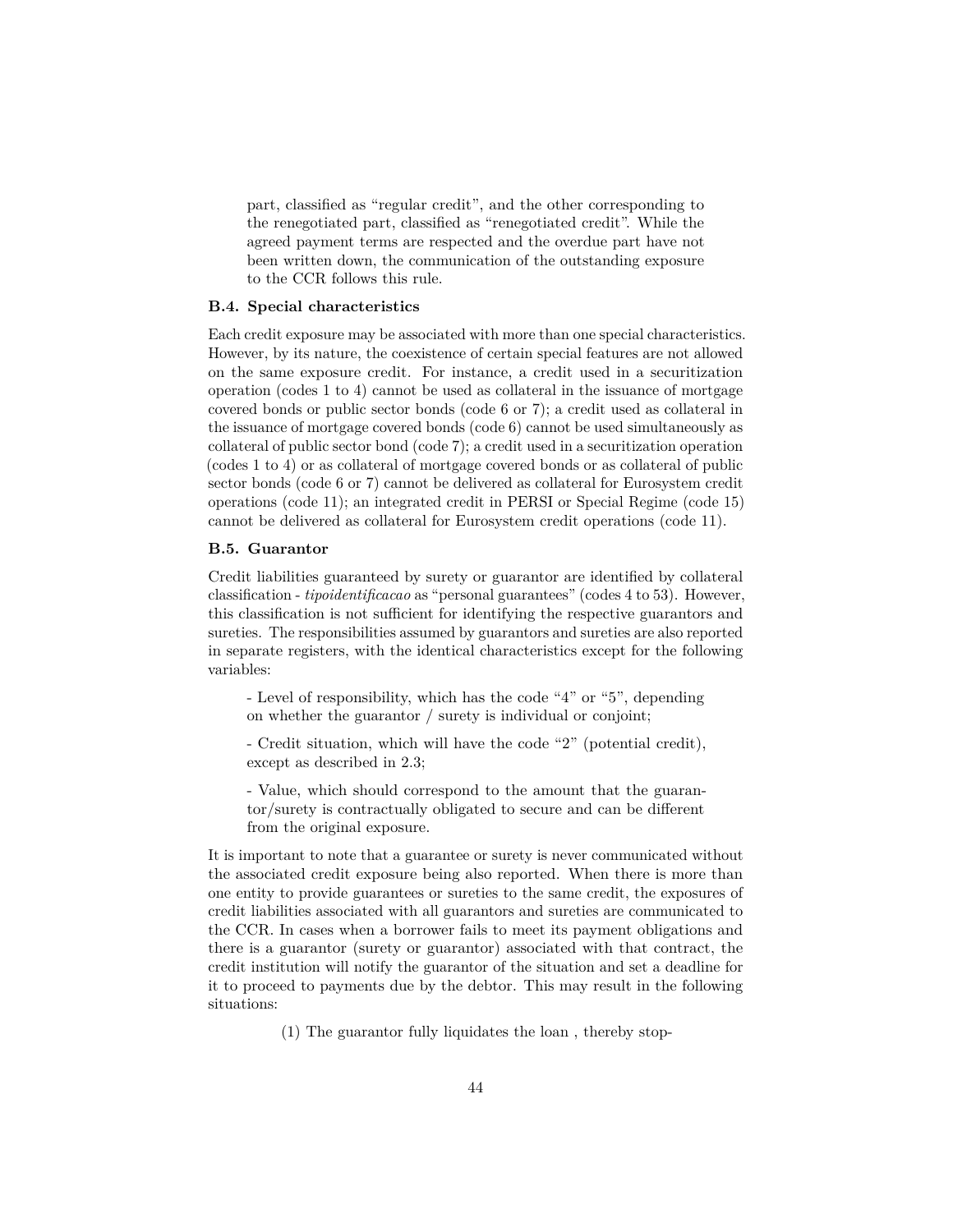part, classified as "regular credit", and the other corresponding to the renegotiated part, classified as "renegotiated credit". While the agreed payment terms are respected and the overdue part have not been written down, the communication of the outstanding exposure to the CCR follows this rule.

### **B.4. Special characteristics**

Each credit exposure may be associated with more than one special characteristics. However, by its nature, the coexistence of certain special features are not allowed on the same exposure credit. For instance, a credit used in a securitization operation (codes 1 to 4) cannot be used as collateral in the issuance of mortgage covered bonds or public sector bonds (code 6 or 7); a credit used as collateral in the issuance of mortgage covered bonds (code 6) cannot be used simultaneously as collateral of public sector bond (code 7); a credit used in a securitization operation (codes 1 to 4) or as collateral of mortgage covered bonds or as collateral of public sector bonds (code 6 or 7) cannot be delivered as collateral for Eurosystem credit operations (code 11); an integrated credit in PERSI or Special Regime (code 15) cannot be delivered as collateral for Eurosystem credit operations (code 11).

#### **B.5. Guarantor**

Credit liabilities guaranteed by surety or guarantor are identified by collateral classification - *tipoidentificacao* as "personal guarantees" (codes 4 to 53). However, this classification is not sufficient for identifying the respective guarantors and sureties. The responsibilities assumed by guarantors and sureties are also reported in separate registers, with the identical characteristics except for the following variables:

- Level of responsibility, which has the code "4" or "5", depending on whether the guarantor / surety is individual or conjoint;

- Credit situation, which will have the code "2" (potential credit), except as described in 2.3;

- Value, which should correspond to the amount that the guarantor/surety is contractually obligated to secure and can be different from the original exposure.

It is important to note that a guarantee or surety is never communicated without the associated credit exposure being also reported. When there is more than one entity to provide guarantees or sureties to the same credit, the exposures of credit liabilities associated with all guarantors and sureties are communicated to the CCR. In cases when a borrower fails to meet its payment obligations and there is a guarantor (surety or guarantor) associated with that contract, the credit institution will notify the guarantor of the situation and set a deadline for it to proceed to payments due by the debtor. This may result in the following situations:

(1) The guarantor fully liquidates the loan , thereby stop-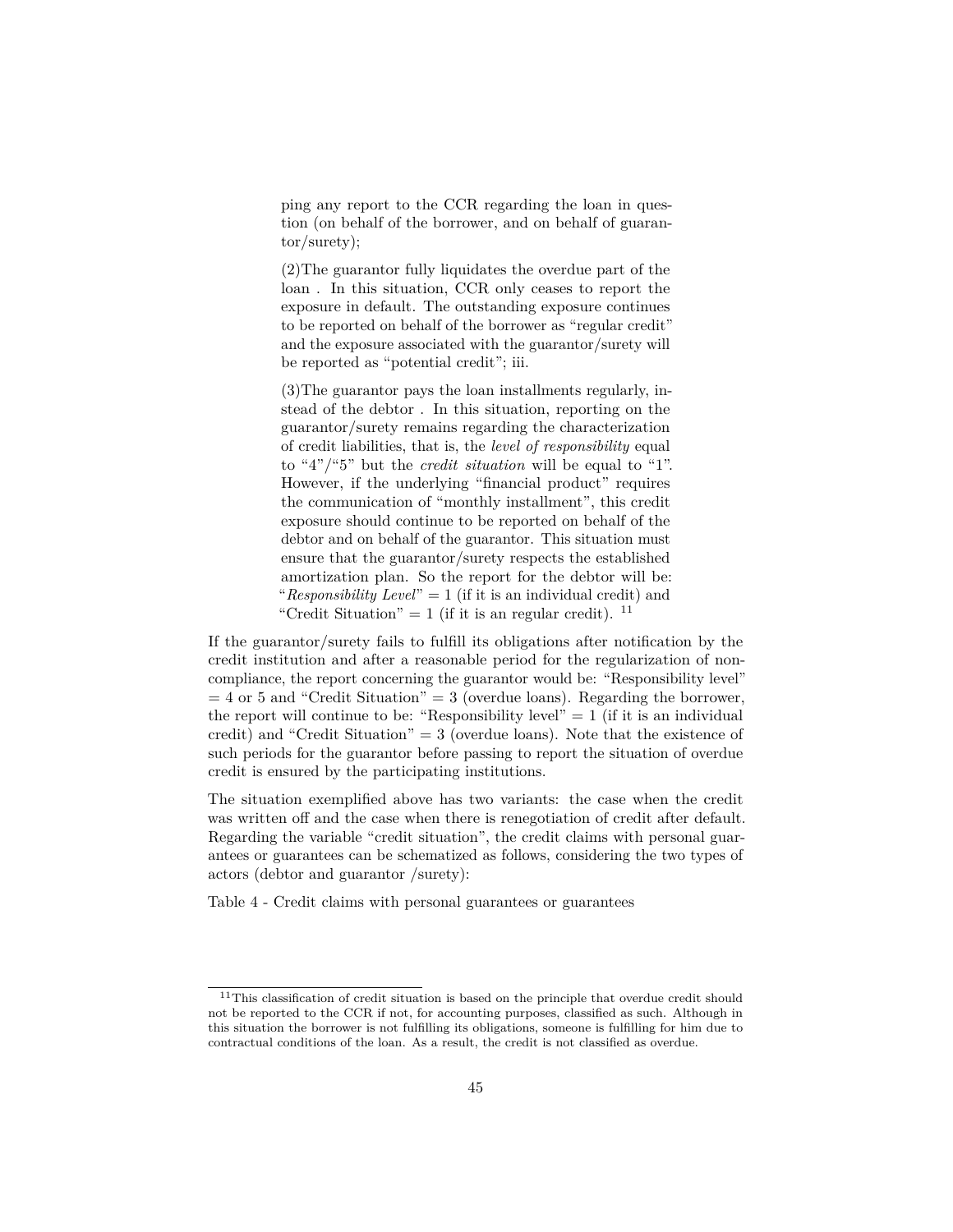ping any report to the CCR regarding the loan in question (on behalf of the borrower, and on behalf of guarantor/surety);

(2)The guarantor fully liquidates the overdue part of the loan . In this situation, CCR only ceases to report the exposure in default. The outstanding exposure continues to be reported on behalf of the borrower as "regular credit" and the exposure associated with the guarantor/surety will be reported as "potential credit"; iii.

(3)The guarantor pays the loan installments regularly, instead of the debtor . In this situation, reporting on the guarantor/surety remains regarding the characterization of credit liabilities, that is, the *level of responsibility* equal to "4"/"5" but the *credit situation* will be equal to "1". However, if the underlying "financial product" requires the communication of "monthly installment", this credit exposure should continue to be reported on behalf of the debtor and on behalf of the guarantor. This situation must ensure that the guarantor/surety respects the established amortization plan. So the report for the debtor will be: "*Responsibility Level*" = 1 (if it is an individual credit) and "Credit Situation" = 1 (if it is an regular credit).  $11$ 

If the guarantor/surety fails to fulfill its obligations after notification by the credit institution and after a reasonable period for the regularization of noncompliance, the report concerning the guarantor would be: "Responsibility level"  $= 4$  or 5 and "Credit Situation"  $= 3$  (overdue loans). Regarding the borrower, the report will continue to be: "Responsibility level"  $= 1$  (if it is an individual credit) and "Credit Situation"  $= 3$  (overdue loans). Note that the existence of such periods for the guarantor before passing to report the situation of overdue credit is ensured by the participating institutions.

The situation exemplified above has two variants: the case when the credit was written off and the case when there is renegotiation of credit after default. Regarding the variable "credit situation", the credit claims with personal guarantees or guarantees can be schematized as follows, considering the two types of actors (debtor and guarantor /surety):

Table 4 - Credit claims with personal guarantees or guarantees

<span id="page-44-0"></span><sup>&</sup>lt;sup>11</sup>This classification of credit situation is based on the principle that overdue credit should not be reported to the CCR if not, for accounting purposes, classified as such. Although in this situation the borrower is not fulfilling its obligations, someone is fulfilling for him due to contractual conditions of the loan. As a result, the credit is not classified as overdue.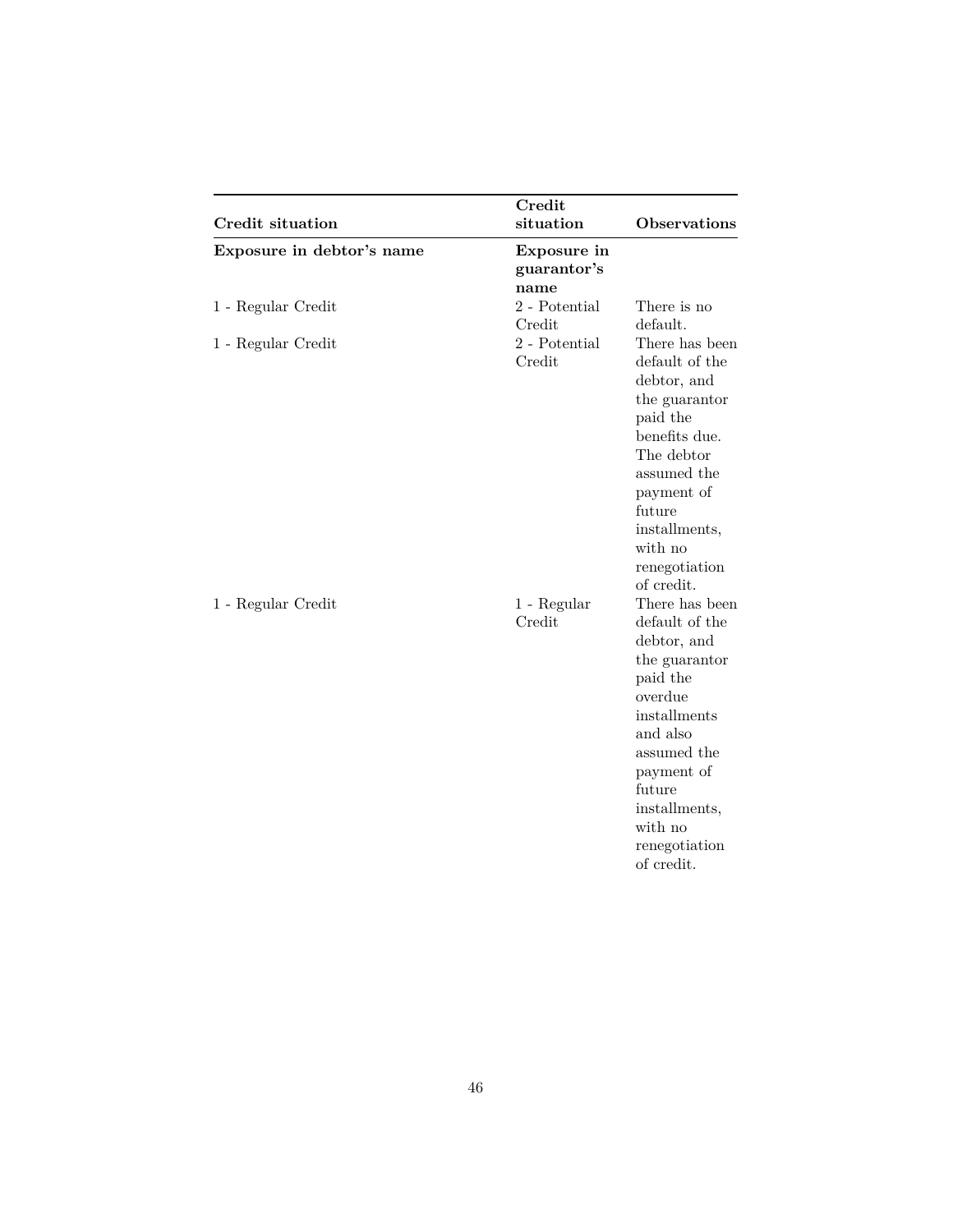| Credit situation          | Credit<br>situation                | Observations                                                                                                                                                                                                          |
|---------------------------|------------------------------------|-----------------------------------------------------------------------------------------------------------------------------------------------------------------------------------------------------------------------|
| Exposure in debtor's name | Exposure in<br>guarantor's<br>name |                                                                                                                                                                                                                       |
| 1 - Regular Credit        | 2 - Potential<br>Credit            | There is no<br>default.                                                                                                                                                                                               |
| 1 - Regular Credit        | 2 - Potential<br>Credit            | There has been<br>default of the<br>debtor, and<br>the guarantor<br>paid the<br>benefits due.<br>The debtor<br>assumed the<br>payment of<br>future<br>installments,<br>with no<br>renegotiation<br>of credit.         |
| 1 - Regular Credit        | 1 - Regular<br>Credit              | There has been<br>default of the<br>debtor, and<br>the guarantor<br>paid the<br>overdue<br>installments<br>and also<br>assumed the<br>payment of<br>future<br>installments,<br>with no<br>renegotiation<br>of credit. |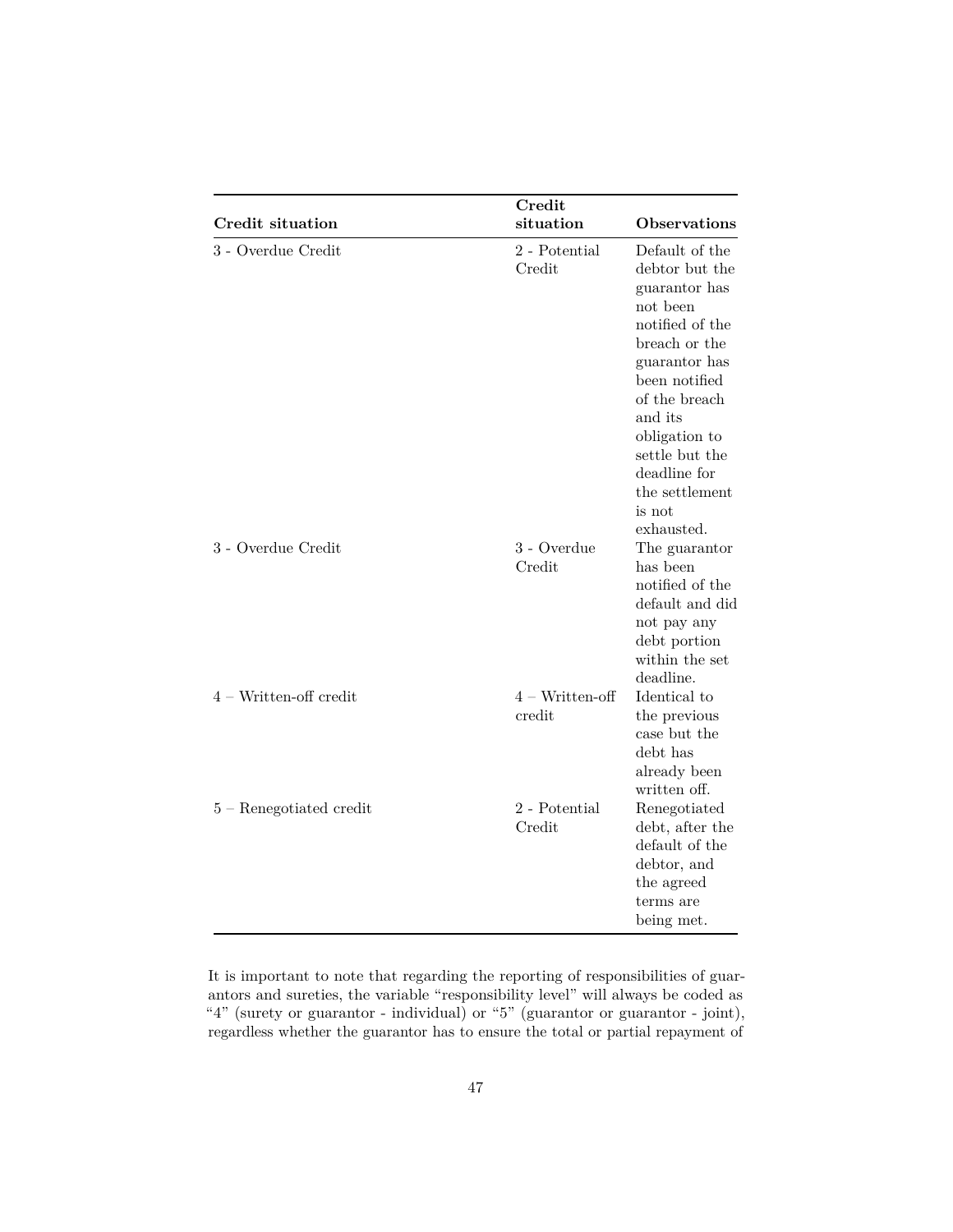|                           | Credit                         |                                                                                                                                                                                                                                                              |  |  |  |
|---------------------------|--------------------------------|--------------------------------------------------------------------------------------------------------------------------------------------------------------------------------------------------------------------------------------------------------------|--|--|--|
| <b>Credit situation</b>   | situation                      | <b>Observations</b>                                                                                                                                                                                                                                          |  |  |  |
| 3 - Overdue Credit        | $2$ - Potential $\,$<br>Credit | Default of the<br>debtor but the<br>guarantor has<br>not been<br>notified of the<br>breach or the<br>guarantor has<br>been notified<br>of the breach<br>and its<br>obligation to<br>settle but the<br>deadline for<br>the settlement<br>is not<br>exhausted. |  |  |  |
| 3 - Overdue Credit        | 3 - Overdue<br>Credit          | The guarantor<br>has been<br>notified of the<br>default and did<br>not pay any<br>debt portion<br>within the set<br>deadline.                                                                                                                                |  |  |  |
| $4 - W$ ritten-off credit | $4 - Written-off$<br>credit    | Identical to<br>the previous<br>case but the<br>debt has<br>already been<br>written off.                                                                                                                                                                     |  |  |  |
| $5 -$ Renegotiated credit | 2 - Potential<br>Credit        | Renegotiated<br>debt, after the<br>default of the<br>debtor, and<br>the agreed<br>terms are<br>being met.                                                                                                                                                    |  |  |  |

It is important to note that regarding the reporting of responsibilities of guarantors and sureties, the variable "responsibility level" will always be coded as "4" (surety or guarantor - individual) or "5" (guarantor or guarantor - joint), regardless whether the guarantor has to ensure the total or partial repayment of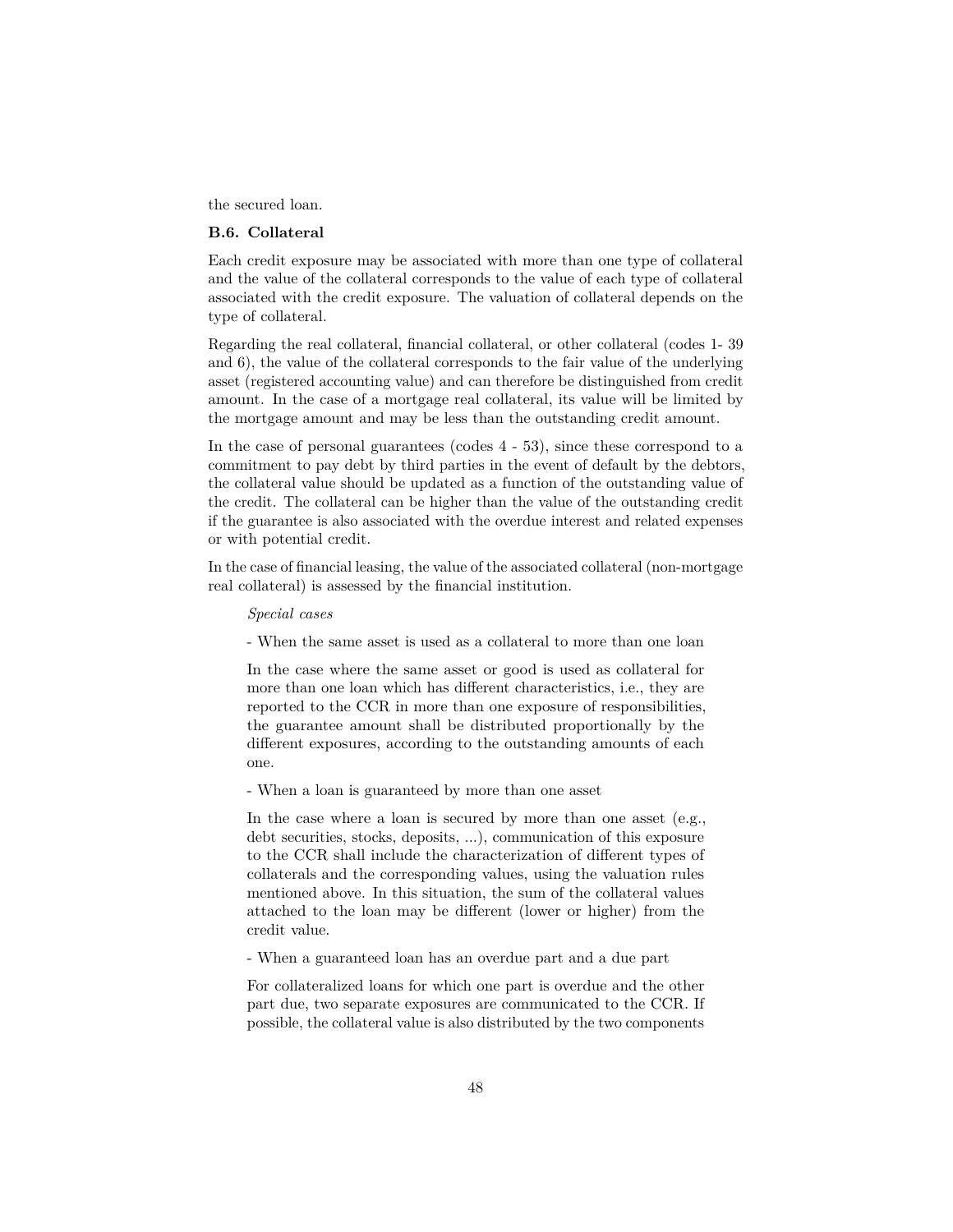the secured loan.

### **B.6. Collateral**

Each credit exposure may be associated with more than one type of collateral and the value of the collateral corresponds to the value of each type of collateral associated with the credit exposure. The valuation of collateral depends on the type of collateral.

Regarding the real collateral, financial collateral, or other collateral (codes 1- 39 and 6), the value of the collateral corresponds to the fair value of the underlying asset (registered accounting value) and can therefore be distinguished from credit amount. In the case of a mortgage real collateral, its value will be limited by the mortgage amount and may be less than the outstanding credit amount.

In the case of personal guarantees (codes 4 - 53), since these correspond to a commitment to pay debt by third parties in the event of default by the debtors, the collateral value should be updated as a function of the outstanding value of the credit. The collateral can be higher than the value of the outstanding credit if the guarantee is also associated with the overdue interest and related expenses or with potential credit.

In the case of financial leasing, the value of the associated collateral (non-mortgage real collateral) is assessed by the financial institution.

*Special cases*

- When the same asset is used as a collateral to more than one loan

In the case where the same asset or good is used as collateral for more than one loan which has different characteristics, i.e., they are reported to the CCR in more than one exposure of responsibilities, the guarantee amount shall be distributed proportionally by the different exposures, according to the outstanding amounts of each one.

- When a loan is guaranteed by more than one asset

In the case where a loan is secured by more than one asset (e.g., debt securities, stocks, deposits, ...), communication of this exposure to the CCR shall include the characterization of different types of collaterals and the corresponding values, using the valuation rules mentioned above. In this situation, the sum of the collateral values attached to the loan may be different (lower or higher) from the credit value.

- When a guaranteed loan has an overdue part and a due part

For collateralized loans for which one part is overdue and the other part due, two separate exposures are communicated to the CCR. If possible, the collateral value is also distributed by the two components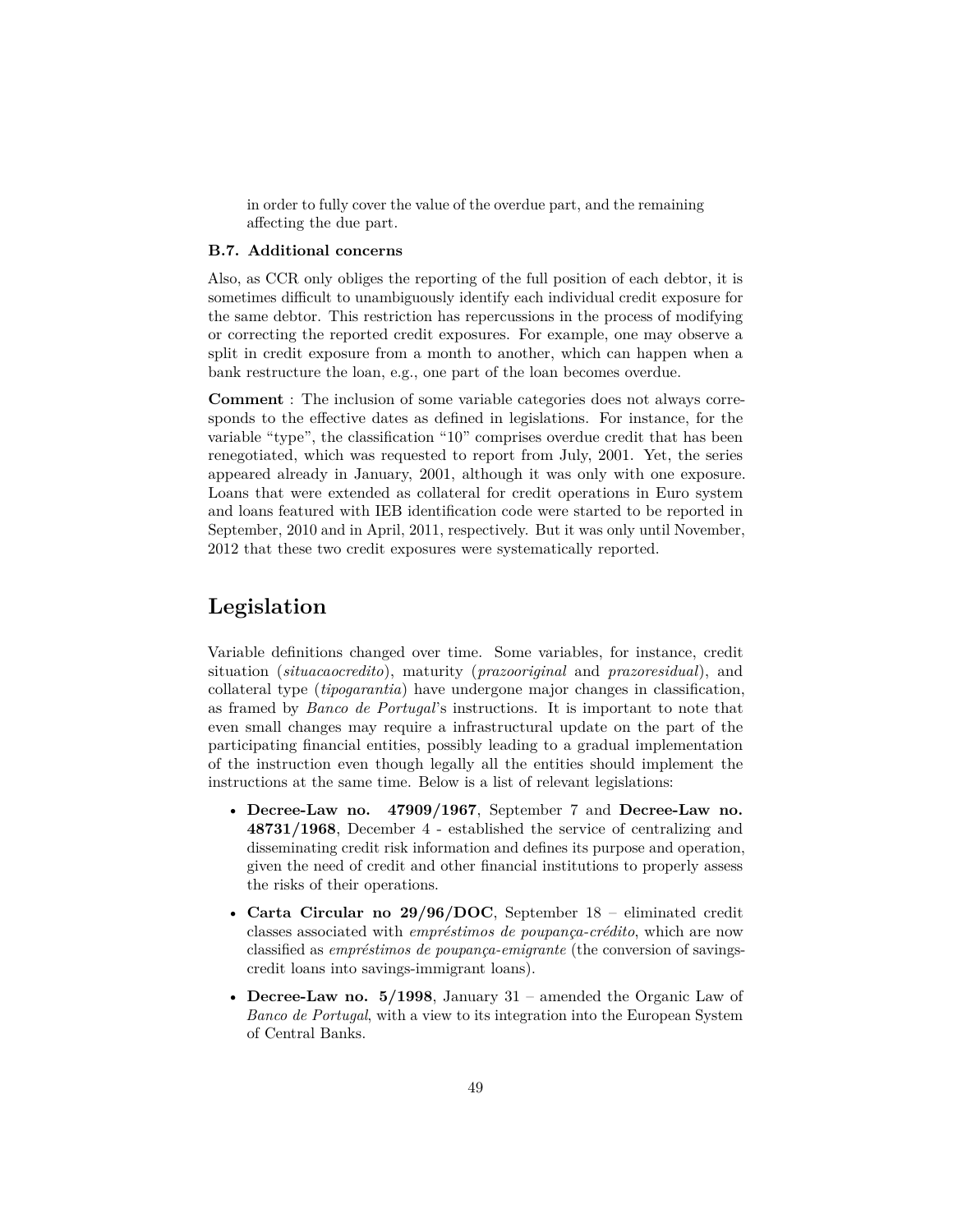in order to fully cover the value of the overdue part, and the remaining affecting the due part.

#### **B.7. Additional concerns**

Also, as CCR only obliges the reporting of the full position of each debtor, it is sometimes difficult to unambiguously identify each individual credit exposure for the same debtor. This restriction has repercussions in the process of modifying or correcting the reported credit exposures. For example, one may observe a split in credit exposure from a month to another, which can happen when a bank restructure the loan, e.g., one part of the loan becomes overdue.

**Comment** : The inclusion of some variable categories does not always corresponds to the effective dates as defined in legislations. For instance, for the variable "type", the classification "10" comprises overdue credit that has been renegotiated, which was requested to report from July, 2001. Yet, the series appeared already in January, 2001, although it was only with one exposure. Loans that were extended as collateral for credit operations in Euro system and loans featured with IEB identification code were started to be reported in September, 2010 and in April, 2011, respectively. But it was only until November, 2012 that these two credit exposures were systematically reported.

# <span id="page-48-0"></span>**Legislation**

Variable definitions changed over time. Some variables, for instance, credit situation (*situacaocredito*), maturity (*prazooriginal* and *prazoresidual*), and collateral type (*tipogarantia*) have undergone major changes in classification, as framed by *Banco de Portugal*'s instructions. It is important to note that even small changes may require a infrastructural update on the part of the participating financial entities, possibly leading to a gradual implementation of the instruction even though legally all the entities should implement the instructions at the same time. Below is a list of relevant legislations:

- **[Decree-Law no. 47909/1967](#page-0-0)**, September 7 and **[Decree-Law no.](#page-0-0) [48731/1968](#page-0-0)**, December 4 - established the service of centralizing and disseminating credit risk information and defines its purpose and operation, given the need of credit and other financial institutions to properly assess the risks of their operations.
- **[Carta Circular no 29/96/DOC](#page-0-0)**, September 18 eliminated credit classes associated with *empréstimos de poupança-crédito*, which are now classified as *empréstimos de poupança-emigrante* (the conversion of savingscredit loans into savings-immigrant loans).
- **[Decree-Law no. 5/1998](#page-0-0)**, January 31 amended the Organic Law of *Banco de Portugal*, with a view to its integration into the European System of Central Banks.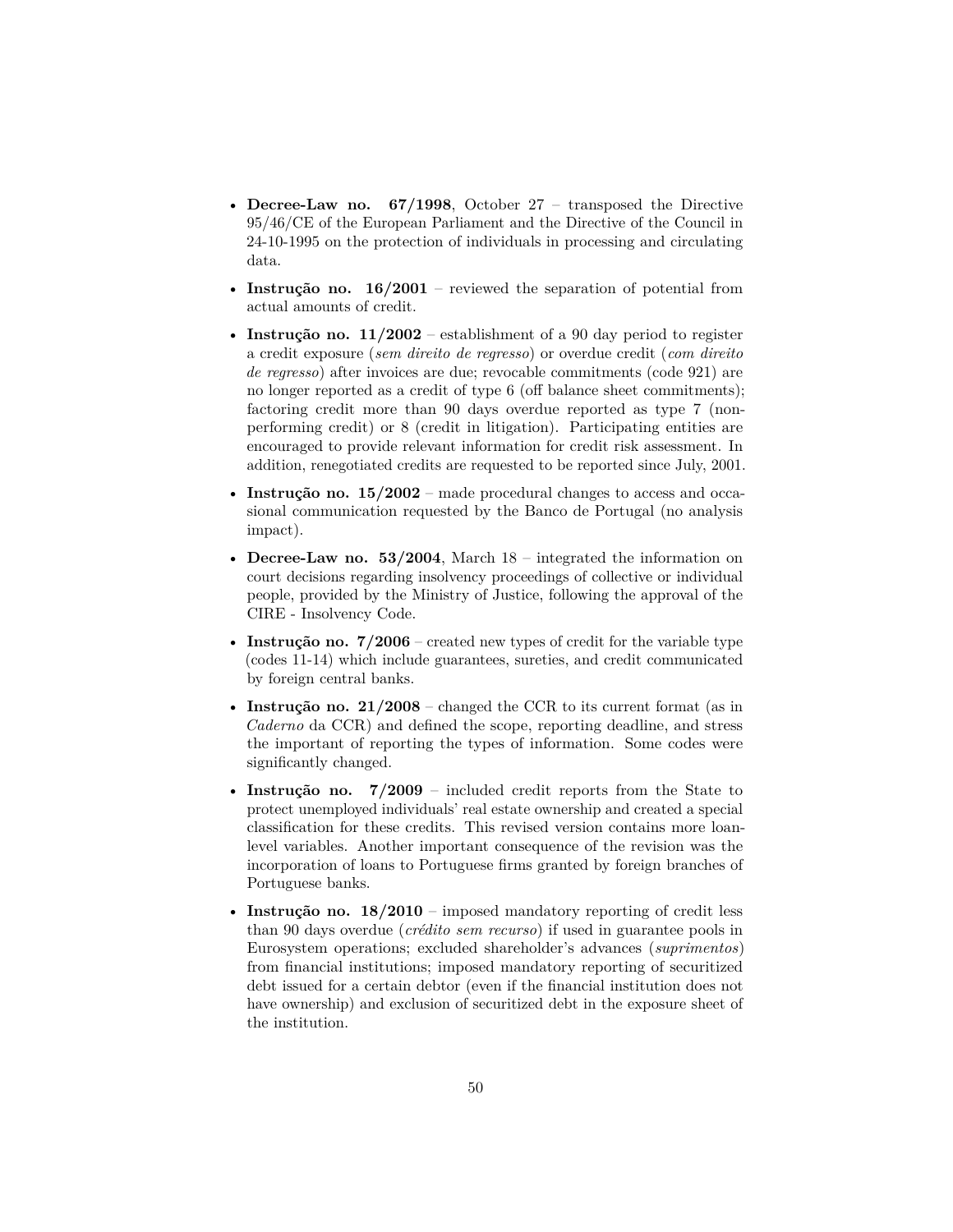- **[Decree-Law no. 67/1998](#page-0-0)**, October 27 transposed the Directive 95/46/CE of the European Parliament and the Directive of the Council in 24-10-1995 on the protection of individuals in processing and circulating data.
- **[Instrução no. 16/2001](#page-0-0)** reviewed the separation of potential from actual amounts of credit.
- **[Instrução no. 11/2002](#page-0-0)** establishment of a 90 day period to register a credit exposure (*sem direito de regresso*) or overdue credit (*com direito de regresso*) after invoices are due; revocable commitments (code 921) are no longer reported as a credit of type 6 (off balance sheet commitments); factoring credit more than 90 days overdue reported as type 7 (nonperforming credit) or 8 (credit in litigation). Participating entities are encouraged to provide relevant information for credit risk assessment. In addition, renegotiated credits are requested to be reported since July, 2001.
- **[Instrução no. 15/2002](#page-0-0)** made procedural changes to access and occasional communication requested by the Banco de Portugal (no analysis impact).
- **[Decree-Law no. 53/2004](#page-0-0)**, March 18 integrated the information on court decisions regarding insolvency proceedings of collective or individual people, provided by the Ministry of Justice, following the approval of the CIRE - Insolvency Code.
- **[Instrução no. 7/2006](#page-0-0)** created new types of credit for the variable type (codes 11-14) which include guarantees, sureties, and credit communicated by foreign central banks.
- **Instrução no.**  $21/2008$  changed the CCR to its current format (as in *Caderno* da CCR) and defined the scope, reporting deadline, and stress the important of reporting the types of information. Some codes were significantly changed.
- **[Instrução no. 7/2009](#page-0-0)** included credit reports from the State to protect unemployed individuals' real estate ownership and created a special classification for these credits. This revised version contains more loanlevel variables. Another important consequence of the revision was the incorporation of loans to Portuguese firms granted by foreign branches of Portuguese banks.
- **[Instrução no. 18/2010](#page-0-0)** imposed mandatory reporting of credit less than 90 days overdue (*crédito sem recurso*) if used in guarantee pools in Eurosystem operations; excluded shareholder's advances (*suprimentos*) from financial institutions; imposed mandatory reporting of securitized debt issued for a certain debtor (even if the financial institution does not have ownership) and exclusion of securitized debt in the exposure sheet of the institution.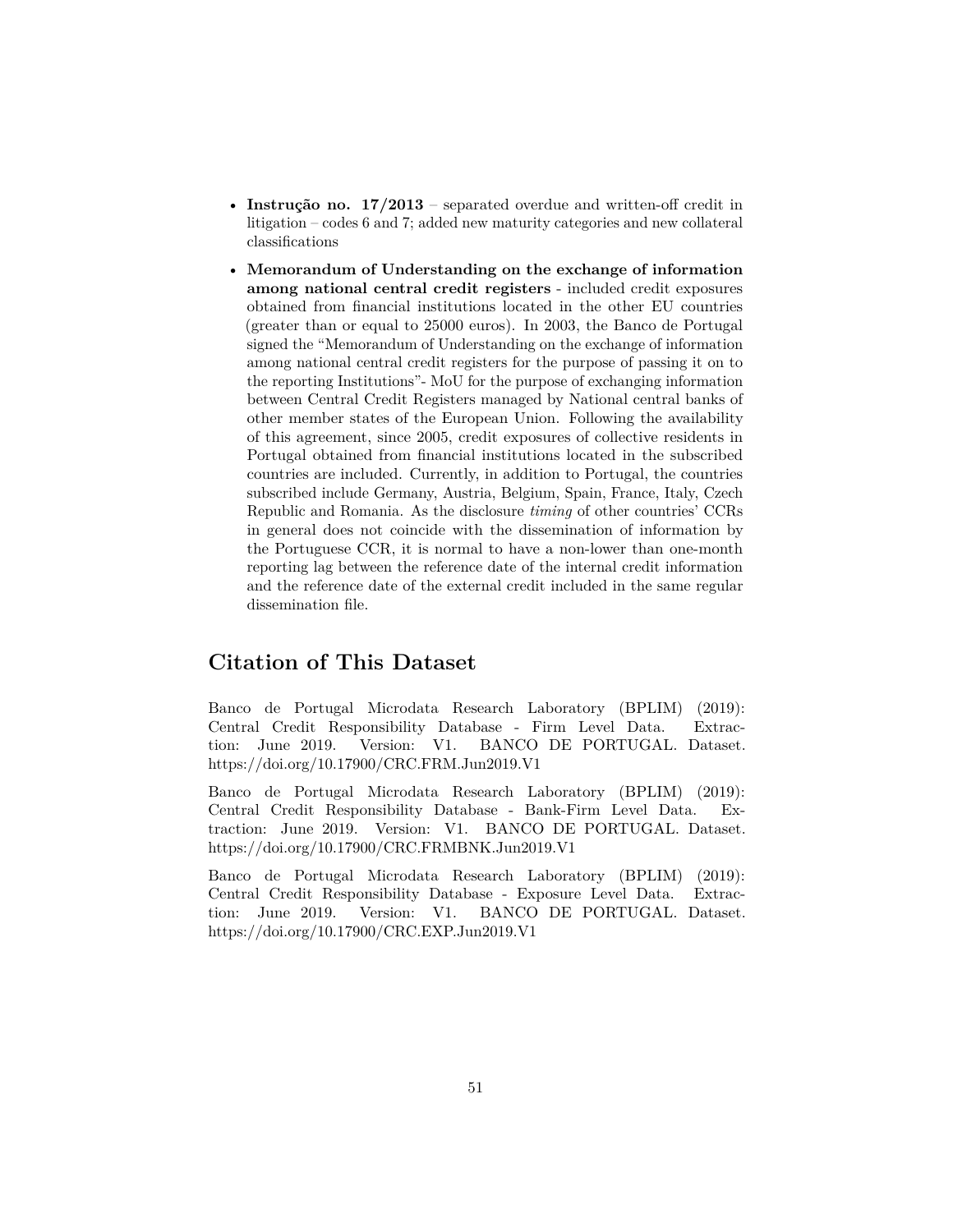- **[Instrução no. 17/2013](#page-0-0)** separated overdue and written-off credit in litigation – codes 6 and 7; added new maturity categories and new collateral classifications
- **[Memorandum of Understanding on the exchange of information](#page-0-0) [among national central credit registers](#page-0-0)** - included credit exposures obtained from financial institutions located in the other EU countries (greater than or equal to 25000 euros). In 2003, the Banco de Portugal signed the "Memorandum of Understanding on the exchange of information among national central credit registers for the purpose of passing it on to the reporting Institutions"- MoU for the purpose of exchanging information between Central Credit Registers managed by National central banks of other member states of the European Union. Following the availability of this agreement, since 2005, credit exposures of collective residents in Portugal obtained from financial institutions located in the subscribed countries are included. Currently, in addition to Portugal, the countries subscribed include Germany, Austria, Belgium, Spain, France, Italy, Czech Republic and Romania. As the disclosure *timing* of other countries' CCRs in general does not coincide with the dissemination of information by the Portuguese CCR, it is normal to have a non-lower than one-month reporting lag between the reference date of the internal credit information and the reference date of the external credit included in the same regular dissemination file.

# <span id="page-50-0"></span>**Citation of This Dataset**

Banco de Portugal Microdata Research Laboratory (BPLIM) (2019): Central Credit Responsibility Database - Firm Level Data. Extraction: June 2019. Version: V1. BANCO DE PORTUGAL. Dataset. https://doi.org/10.17900/CRC.FRM.Jun2019.V1

Banco de Portugal Microdata Research Laboratory (BPLIM) (2019): Central Credit Responsibility Database - Bank-Firm Level Data. Extraction: June 2019. Version: V1. BANCO DE PORTUGAL. Dataset. https://doi.org/10.17900/CRC.FRMBNK.Jun2019.V1

<span id="page-50-1"></span>Banco de Portugal Microdata Research Laboratory (BPLIM) (2019): Central Credit Responsibility Database - Exposure Level Data. Extraction: June 2019. Version: V1. BANCO DE PORTUGAL. Dataset. https://doi.org/10.17900/CRC.EXP.Jun2019.V1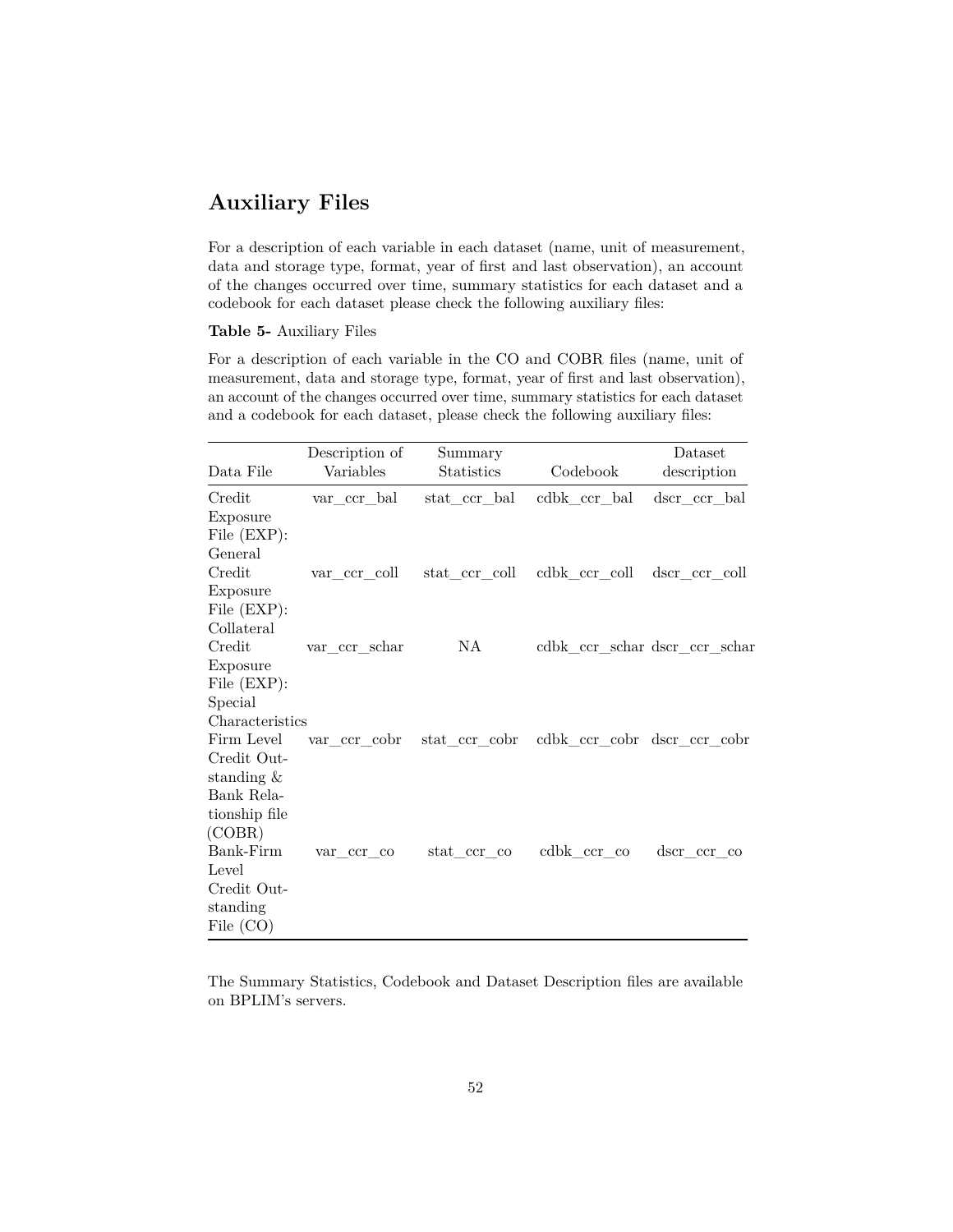# **Auxiliary Files**

For a description of each variable in each dataset (name, unit of measurement, data and storage type, format, year of first and last observation), an account of the changes occurred over time, summary statistics for each dataset and a codebook for each dataset please check the following auxiliary files:

#### **Table 5-** Auxiliary Files

For a description of each variable in the CO and COBR files (name, unit of measurement, data and storage type, format, year of first and last observation), an account of the changes occurred over time, summary statistics for each dataset and a codebook for each dataset, please check the following auxiliary files:

|                 | Description of | Summary       |                               | Dataset       |
|-----------------|----------------|---------------|-------------------------------|---------------|
| Data File       | Variables      | Statistics    | Codebook                      | description   |
| Credit          | var_ccr_bal    | stat ccr bal  | $\text{cdbk\_ccr\_bal}$       | dscr ccr bal  |
| Exposure        |                |               |                               |               |
| File (EXP):     |                |               |                               |               |
| General         |                |               |                               |               |
| Credit          | var_ccr coll   | stat ccr coll | cdbk ccr coll                 | dscr ccr coll |
| Exposure        |                |               |                               |               |
| File (EXP):     |                |               |                               |               |
| Collateral      |                |               |                               |               |
| Credit          | var ccr schar  | NA            | cdbk_ccr_schar dscr_ccr_schar |               |
| Exposure        |                |               |                               |               |
| File (EXP):     |                |               |                               |               |
| Special         |                |               |                               |               |
| Characteristics |                |               |                               |               |
| Firm Level      | var ccr cobr   | stat_ccr_cobr | cdbk_ccr_cobr dscr_ccr_cobr   |               |
| Credit Out-     |                |               |                               |               |
| standing $\&$   |                |               |                               |               |
| Bank Rela-      |                |               |                               |               |
| tionship file   |                |               |                               |               |
| (COBR)          |                |               |                               |               |
| Bank-Firm       | var ccr co     | stat ccr co   | cdbk ccr co                   | dscr ccr co   |
| Level           |                |               |                               |               |
| Credit Out-     |                |               |                               |               |
| standing        |                |               |                               |               |
| File (CO)       |                |               |                               |               |

<span id="page-51-0"></span>The Summary Statistics, Codebook and Dataset Description files are available on BPLIM's servers.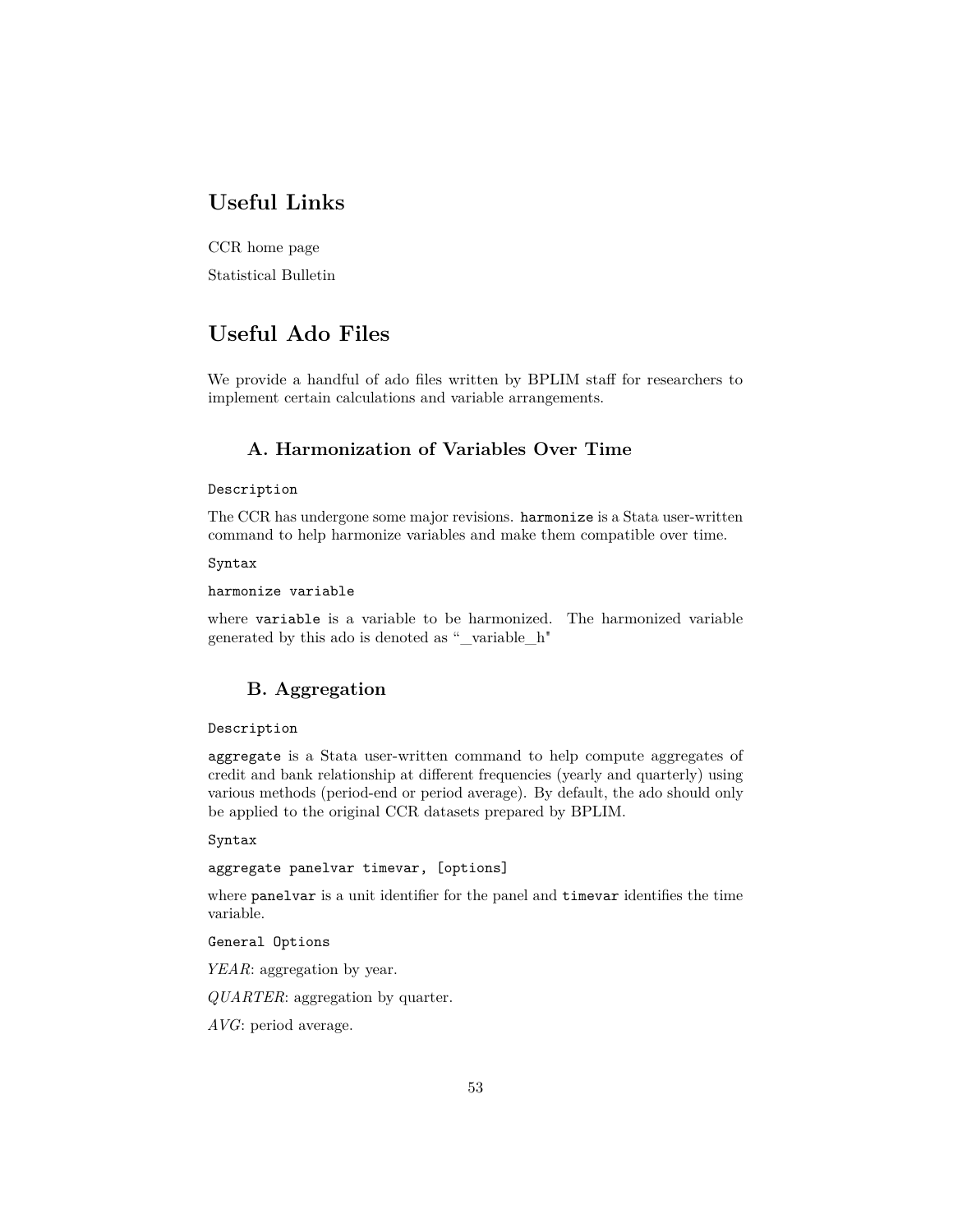# **Useful Links**

[CCR home page](https://www.bportugal.pt/area-cidadao/formulario/227)

<span id="page-52-0"></span>[Statistical Bulletin](https://www.bportugal.pt/en/publicacao/statistical-bulletin)

# **Useful Ado Files**

<span id="page-52-1"></span>We provide a handful of ado files written by BPLIM staff for researchers to implement certain calculations and variable arrangements.

# **A. Harmonization of Variables Over Time**

### Description

The CCR has undergone some major revisions. harmonize is a Stata user-written command to help harmonize variables and make them compatible over time.

### Syntax

harmonize variable

<span id="page-52-2"></span>where variable is a variable to be harmonized. The harmonized variable generated by this ado is denoted as "\_variable\_h"

# **B. Aggregation**

### Description

aggregate is a Stata user-written command to help compute aggregates of credit and bank relationship at different frequencies (yearly and quarterly) using various methods (period-end or period average). By default, the ado should only be applied to the original CCR datasets prepared by BPLIM.

### Syntax

# aggregate panelvar timevar, [options]

where panelvar is a unit identifier for the panel and timevar identifies the time variable.

General Options

*YEAR*: aggregation by year.

*QUARTER*: aggregation by quarter.

*AVG*: period average.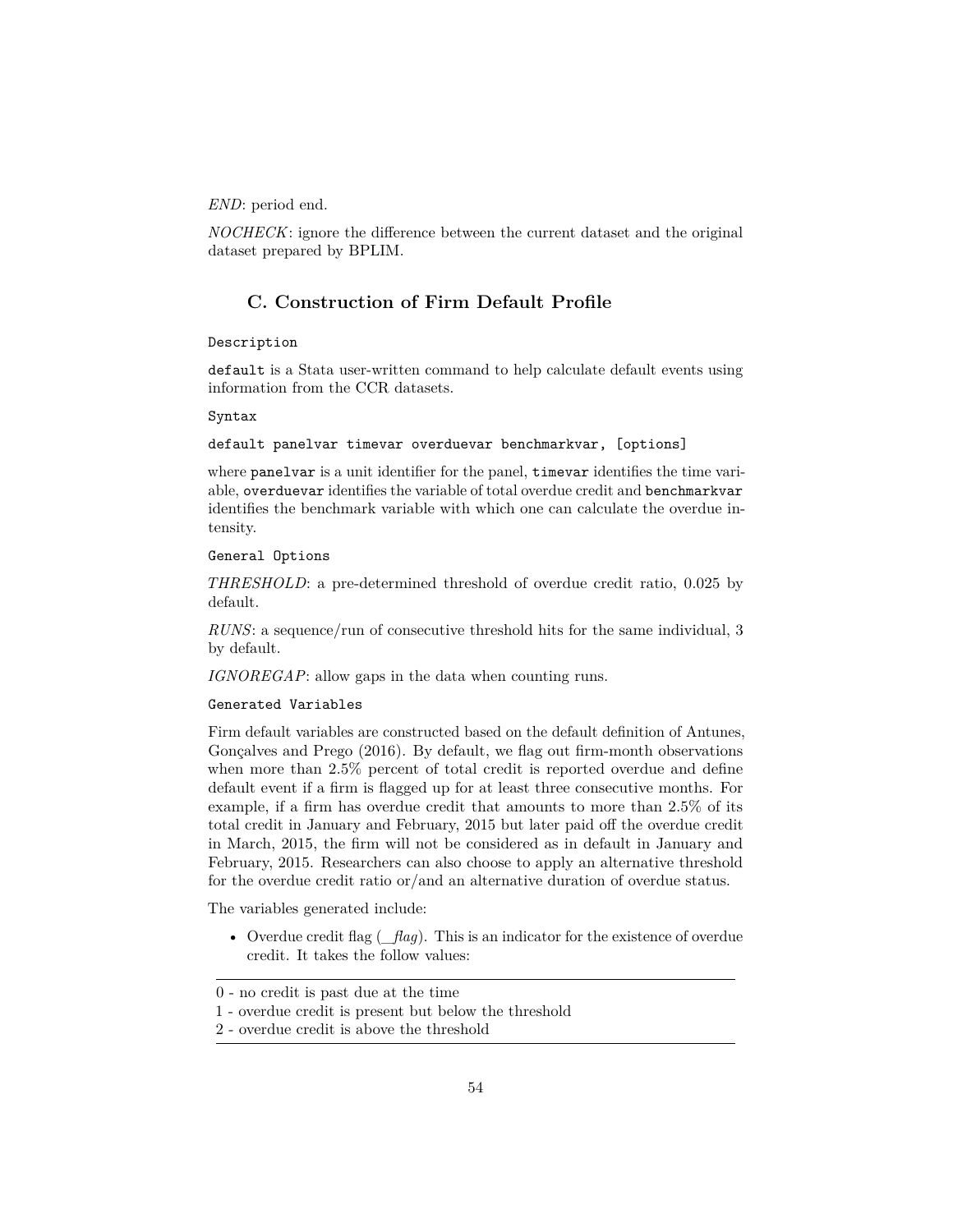*END*: period end.

*NOCHECK*: ignore the difference between the current dataset and the original dataset prepared by BPLIM.

# **C. Construction of Firm Default Profile**

### Description

default is a Stata user-written command to help calculate default events using information from the CCR datasets.

#### Syntax

#### default panelvar timevar overduevar benchmarkvar, [options]

where panelvar is a unit identifier for the panel, timevar identifies the time variable, overduevar identifies the variable of total overdue credit and benchmarkvar identifies the benchmark variable with which one can calculate the overdue intensity.

### General Options

*THRESHOLD*: a pre-determined threshold of overdue credit ratio, 0.025 by default.

*RUNS*: a sequence/run of consecutive threshold hits for the same individual, 3 by default.

*IGNOREGAP*: allow gaps in the data when counting runs.

### Generated Variables

Firm default variables are constructed based on the default definition of Antunes, Gonçalves and Prego (2016). By default, we flag out firm-month observations when more than 2.5% percent of total credit is reported overdue and define default event if a firm is flagged up for at least three consecutive months. For example, if a firm has overdue credit that amounts to more than 2.5% of its total credit in January and February, 2015 but later paid off the overdue credit in March, 2015, the firm will not be considered as in default in January and February, 2015. Researchers can also choose to apply an alternative threshold for the overdue credit ratio or/and an alternative duration of overdue status.

The variables generated include:

• Overdue credit flag (*flag*). This is an indicator for the existence of overdue credit. It takes the follow values:

<sup>0 -</sup> no credit is past due at the time

<sup>1 -</sup> overdue credit is present but below the threshold

<sup>2 -</sup> overdue credit is above the threshold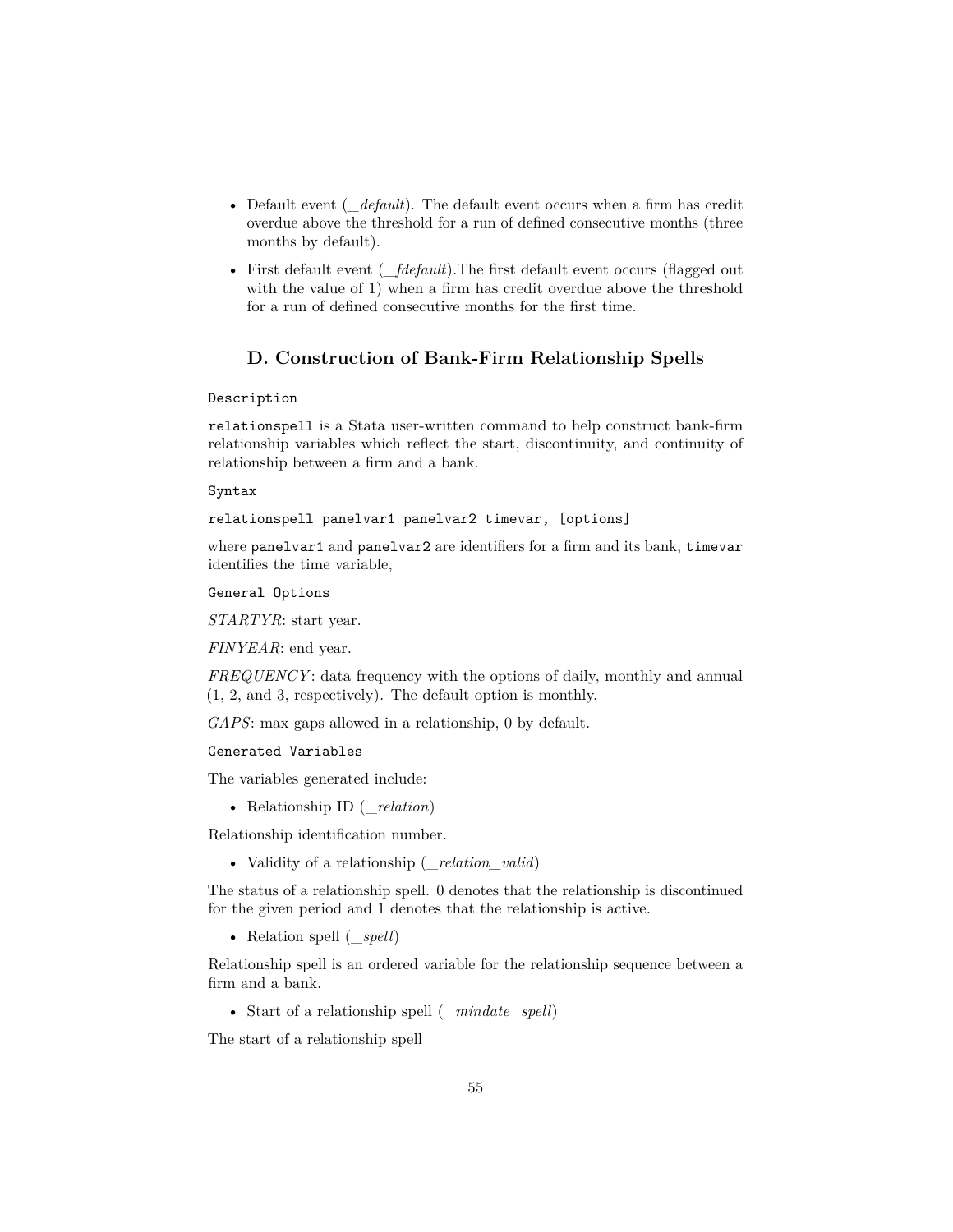- Default event (*\_default*). The default event occurs when a firm has credit overdue above the threshold for a run of defined consecutive months (three months by default).
- First default event (*\_fdefault*). The first default event occurs (flagged out with the value of 1) when a firm has credit overdue above the threshold for a run of defined consecutive months for the first time.

# **D. Construction of Bank-Firm Relationship Spells**

#### Description

relationspell is a Stata user-written command to help construct bank-firm relationship variables which reflect the start, discontinuity, and continuity of relationship between a firm and a bank.

#### Syntax

relationspell panelvar1 panelvar2 timevar, [options]

where panelvar1 and panelvar2 are identifiers for a firm and its bank, timevar identifies the time variable,

General Options

*STARTYR*: start year.

*FINYEAR*: end year.

*FREQUENCY*: data frequency with the options of daily, monthly and annual (1, 2, and 3, respectively). The default option is monthly.

*GAPS*: max gaps allowed in a relationship, 0 by default.

#### Generated Variables

The variables generated include:

• Relationship ID (\_*relation*)

Relationship identification number.

• Validity of a relationship (\_*relation\_valid*)

The status of a relationship spell. 0 denotes that the relationship is discontinued for the given period and 1 denotes that the relationship is active.

• Relation spell (\_*spell*)

Relationship spell is an ordered variable for the relationship sequence between a firm and a bank.

• Start of a relationship spell (\_*mindate\_spell*)

The start of a relationship spell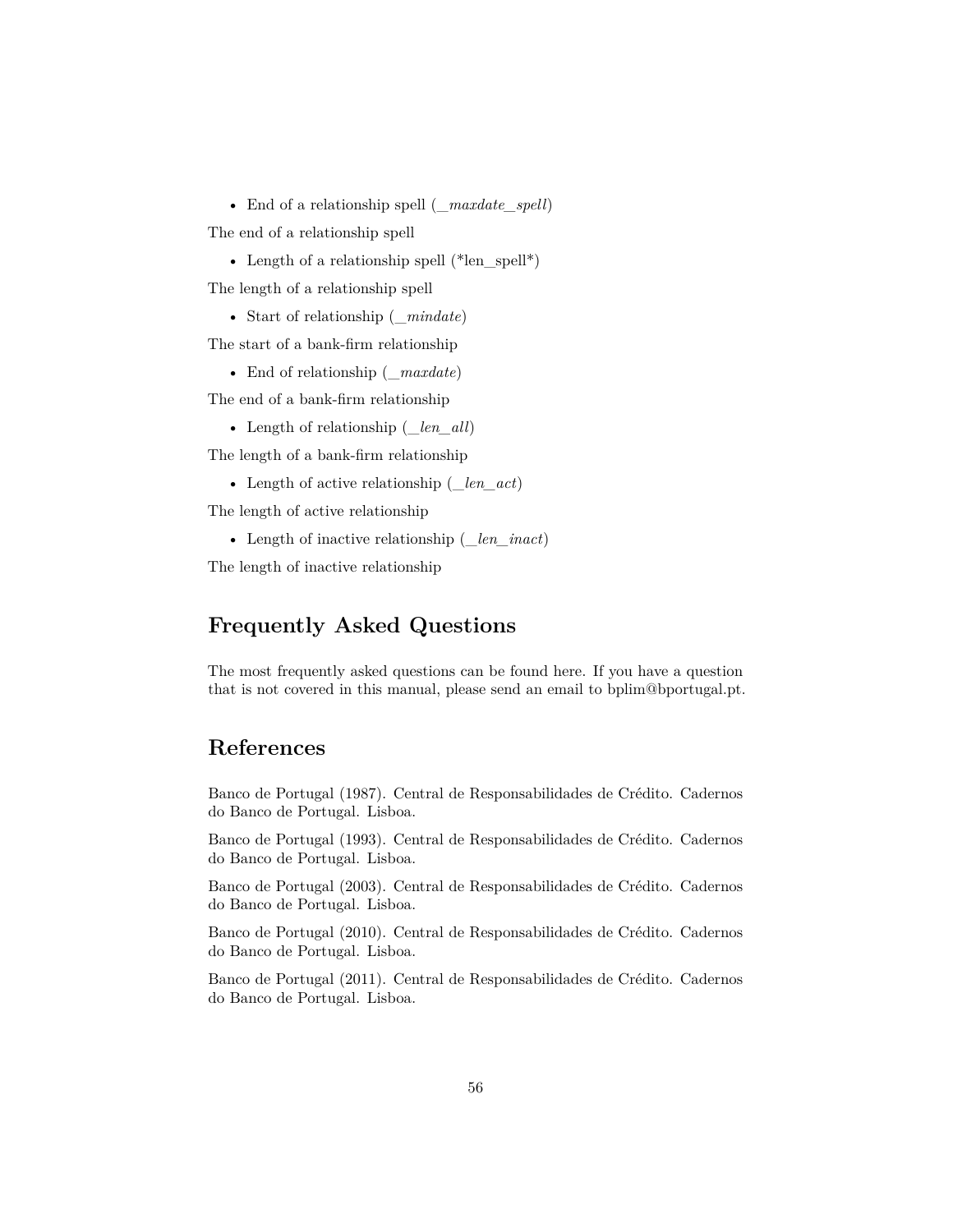• End of a relationship spell (\_*maxdate\_spell*)

The end of a relationship spell

• Length of a relationship spell (\*len\_spell\*)

The length of a relationship spell

• Start of relationship (\_*mindate*)

The start of a bank-firm relationship

• End of relationship (\_*maxdate*)

The end of a bank-firm relationship

• Length of relationship (\_*len\_all*)

The length of a bank-firm relationship

• Length of active relationship (\_*len\_act*)

The length of active relationship

• Length of inactive relationship (\_*len\_inact*)

<span id="page-55-0"></span>The length of inactive relationship

# **Frequently Asked Questions**

<span id="page-55-1"></span>The most frequently asked questions can be found [here.](https://www.bportugal.pt/perguntas-frequentes/276) If you have a question that is not covered in this manual, please send an email to bplim@bportugal.pt.

# **References**

Banco de Portugal (1987). Central de Responsabilidades de Crédito. Cadernos do Banco de Portugal. Lisboa.

Banco de Portugal (1993). Central de Responsabilidades de Crédito. Cadernos do Banco de Portugal. Lisboa.

Banco de Portugal (2003). Central de Responsabilidades de Crédito. Cadernos do Banco de Portugal. Lisboa.

Banco de Portugal (2010). Central de Responsabilidades de Crédito. Cadernos do Banco de Portugal. Lisboa.

Banco de Portugal (2011). Central de Responsabilidades de Crédito. Cadernos do Banco de Portugal. Lisboa.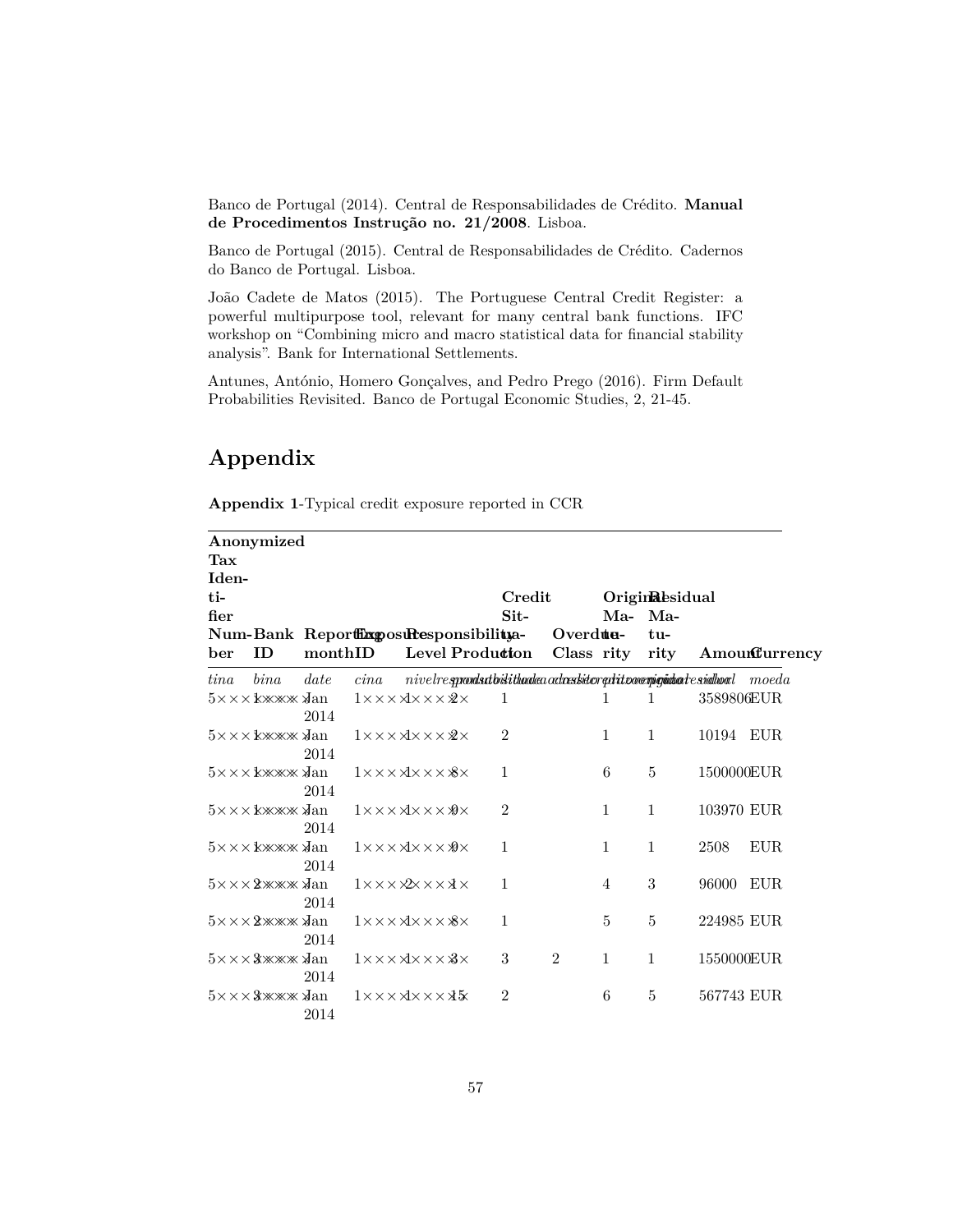Banco de Portugal (2014). Central de Responsabilidades de Crédito. **[Manual](#page-0-0) [de Procedimentos Instrução no. 21/2008](#page-0-0)**. Lisboa.

Banco de Portugal (2015). Central de Responsabilidades de Crédito. Cadernos do Banco de Portugal. Lisboa.

João Cadete de Matos (2015). The Portuguese Central Credit Register: a powerful multipurpose tool, relevant for many central bank functions. IFC workshop on "Combining micro and macro statistical data for financial stability analysis". Bank for International Settlements.

<span id="page-56-0"></span>Antunes, António, Homero Gonçalves, and Pedro Prego (2016). Firm Default Probabilities Revisited. Banco de Portugal Economic Studies, 2, 21-45.

# **Appendix**

| Appendix 1-Typical credit exposure reported in CCR |  |  |  |  |  |
|----------------------------------------------------|--|--|--|--|--|
|----------------------------------------------------|--|--|--|--|--|

|       | Anonymized                                           |         |      |                                                             |                |                |                |                                                                                                         |            |               |
|-------|------------------------------------------------------|---------|------|-------------------------------------------------------------|----------------|----------------|----------------|---------------------------------------------------------------------------------------------------------|------------|---------------|
| Tax   |                                                      |         |      |                                                             |                |                |                |                                                                                                         |            |               |
| Iden- |                                                      |         |      |                                                             |                |                |                |                                                                                                         |            |               |
| ti-   |                                                      |         |      |                                                             | Credit         |                |                | Originalesidual                                                                                         |            |               |
| fier  |                                                      |         |      |                                                             | $Sit-$         |                | Ma- Ma-        |                                                                                                         |            |               |
|       | Num-Bank ReportilixposuResponsibilitya-              |         |      |                                                             |                | Overdue-       |                | tu-                                                                                                     |            |               |
| ber   | ID                                                   | monthID |      | Level Produ <b>tion</b>                                     |                | Class rity     |                | rity                                                                                                    |            | Amounturrency |
| tina  | bin a                                                | date    | cina |                                                             |                |                |                | $\noindent nivel$ resprondsutbistithaalea ochastietor quatti povemigintaa $t$ e sindhood $\qquad$ moeda |            |               |
|       | 5×××kжжж √an                                         | 2014    |      | $1 \times \times \times \times \times \times \times \times$ | $\mathbf{1}$   |                | 1              | $\mathbf{1}$                                                                                            | 3589806EUR |               |
|       |                                                      | 2014    |      | $1 \times \times \times \times \times \times \times \times$ | $\overline{2}$ |                | $\mathbf{1}$   | $\mathbf{1}$                                                                                            | 10194 EUR  |               |
|       |                                                      | 2014    |      | $1 \times \times \times \times \times \times \times \times$ | 1              |                | 6              | $\overline{5}$                                                                                          | 1500000EUR |               |
|       |                                                      | 2014    |      | $1 \times \times \times \times \times \times \times \times$ | $\overline{2}$ |                | $\mathbf{1}$   | $\mathbf{1}$                                                                                            | 103970 EUR |               |
|       |                                                      | 2014    |      | $1 \times \times \times \times \times \times \times \times$ | $\mathbf 1$    |                | $\mathbf{1}$   | $\mathbf{1}$                                                                                            | 2508       | <b>EUR</b>    |
|       | $5 \times \times \times 2 \times \times \times 3$ an | 2014    |      | $1 \times \times \times \times \times \times \times \times$ | $\mathbf{1}$   |                | $\overline{4}$ | 3                                                                                                       | 96000      | <b>EUR</b>    |
|       | $5 \times \times \times 2 \times \times \times 3$ an | 2014    |      | $1 \times \times \times \times \times \times \times \times$ | 1              |                | 5              | 5                                                                                                       | 224985 EUR |               |
|       | $5 \times \times \times 3 \times \times 3$ an        | 2014    |      | $1 \times \times \times \times \times \times \times \times$ | 3              | $\overline{2}$ | $\mathbf{1}$   | $\mathbf{1}$                                                                                            | 1550000EUR |               |
|       | $5 \times \times \times 3 \times \times \times 3$ an | 2014    |      | $1 \times \times \times \times \times \times \times \times$ | $\overline{2}$ |                | 6              | 5                                                                                                       | 567743 EUR |               |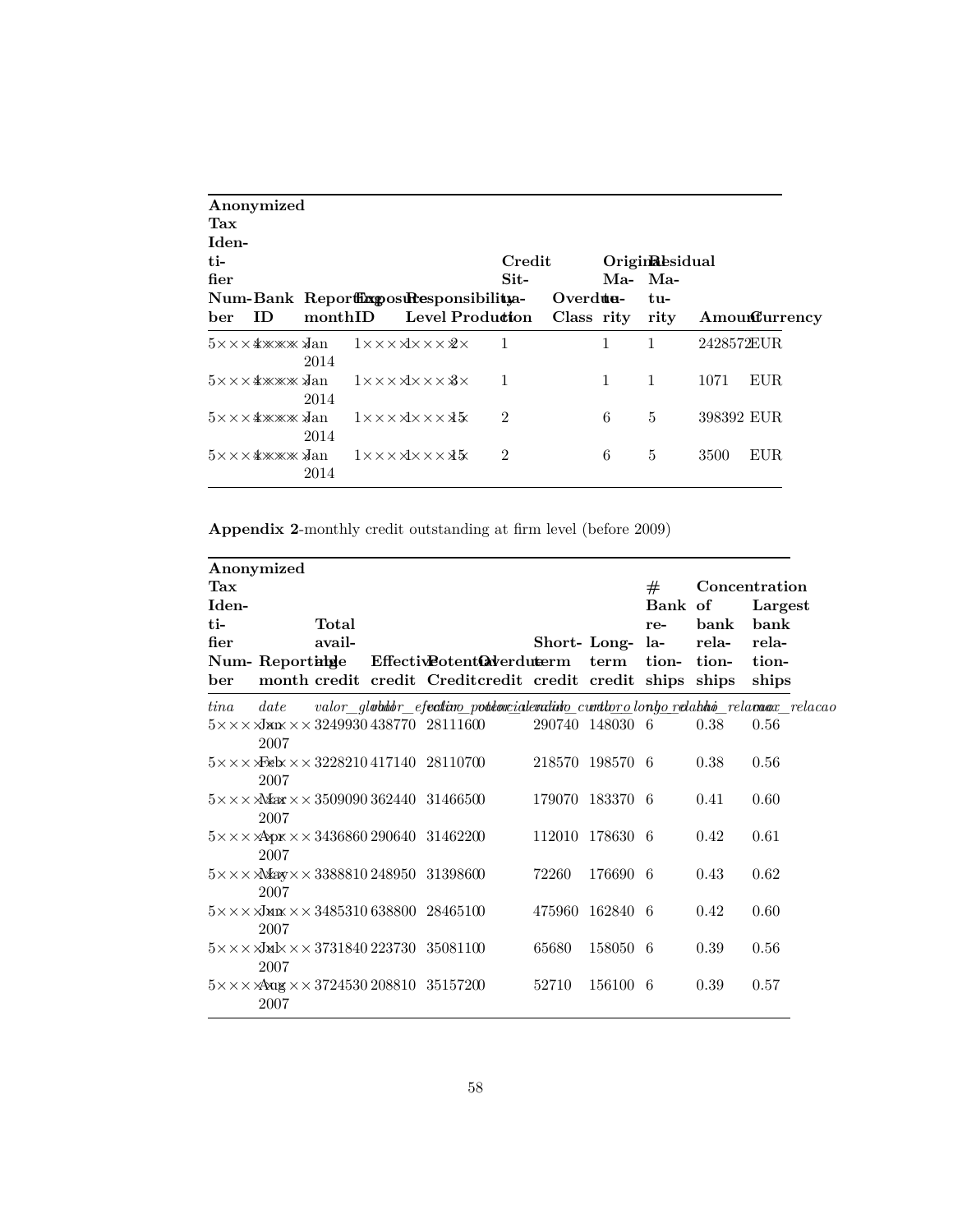| Anonymized |      |                                                             |                      |                 |              |                 |            |               |
|------------|------|-------------------------------------------------------------|----------------------|-----------------|--------------|-----------------|------------|---------------|
| Tax        |      |                                                             |                      |                 |              |                 |            |               |
| Iden-      |      |                                                             |                      |                 |              |                 |            |               |
| $t -$      |      |                                                             | Credit               |                 |              | Originalesidual |            |               |
| fier       |      |                                                             | $\operatorname{Sit}$ |                 |              | Ma- Ma-         |            |               |
|            |      | Num-Bank Reporthoposuresponsibilitya-                       |                      | Overdue-        |              | tu-             |            |               |
| ID.<br>ber |      | Level Produ <b>ct</b> on<br>$\rm{monthID}$                  |                      | Class rity rity |              |                 |            | Amounturrency |
|            | 2014 | $1 \times \times \times \times \times \times \times \times$ | 1                    |                 | 1            | $\mathbf{1}$    | 2428572EUR |               |
|            | 2014 | $1 \times \times \times \times \times \times \times \times$ | 1                    |                 | $\mathbf{1}$ | $\mathbf{1}$    | 1071       | EUR           |
|            | 2014 | $1 \times \times \times \times \times \times \times \times$ | $\overline{2}$       |                 | 6            | 5               | 398392 EUR |               |
|            | 2014 | $1 \times \times \times \times \times \times \times \times$ | $\mathfrak{D}$       |                 | 6            | 5               | 3500       | EUR.          |

**Appendix 2**-monthly credit outstanding at firm level (before 2009)

|       | Anonymized      |        |                                                                                         |        |                 |         |       |                |
|-------|-----------------|--------|-----------------------------------------------------------------------------------------|--------|-----------------|---------|-------|----------------|
| Tax   |                 |        |                                                                                         |        |                 | #       |       | Concentration  |
| Iden- |                 |        |                                                                                         |        |                 | Bank of |       | Largest        |
| ti-   |                 | Total  |                                                                                         |        |                 | re-     | bank  | bank           |
| fier  |                 | avail- |                                                                                         |        | Short-Long-la-  |         | rela- | rela-          |
| ber   | Num- Reportinge |        | Effective otent@werduterm<br>month credit credit Creditcredit credit credit ships ships |        | term            | tion-   | tion- | tion-<br>ships |
| tina  | date            |        | valor_gl <b>vbddr_efectivo_poteoxialendido_curtloro</b> longorelahhio_relamox_relacao   |        |                 |         |       |                |
|       | 2007            |        | $5 \times \times \times$ Jan $\times \times 324993043877028111600$                      |        | 290740 148030 6 |         | 0.38  | 0.56           |
|       | 2007            |        | $5 \times \times \times$ Feb $\times \times 3228210417140$ 28110700                     |        | 218570 198570 6 |         | 0.38  | 0.56           |
|       | 2007            |        | $5 \times \times \times$ Max $\times \times 350909036244031466500$                      |        | 179070 183370 6 |         | 0.41  | 0.60           |
|       | 2007            |        | $5 \times \times \times \text{Apx} \times \times 343686029064031462200$                 |        | 112010 178630 6 |         | 0.42  | 0.61           |
|       | 2007            |        | $5 \times \times \times$ $\triangle$ Xaxy $\times \times 338881024895031398600$         | 72260  | 176690 6        |         | 0.43  | 0.62           |
|       | 2007            |        | $5 \times \times \times$ JMIX $\times \times 348531063880028465100$                     | 475960 | 162840 6        |         | 0.42  | 0.60           |
|       | 2007            |        | $5 \times \times \times 3 \times 4 \times \times 373184022373035081100$                 | 65680  | 158050 6        |         | 0.39  | 0.56           |
|       | 2007            |        | $5 \times \times \times$ $\lambda$ Aug $\times \times 372453020881035157200$            | 52710  | 156100 6        |         | 0.39  | 0.57           |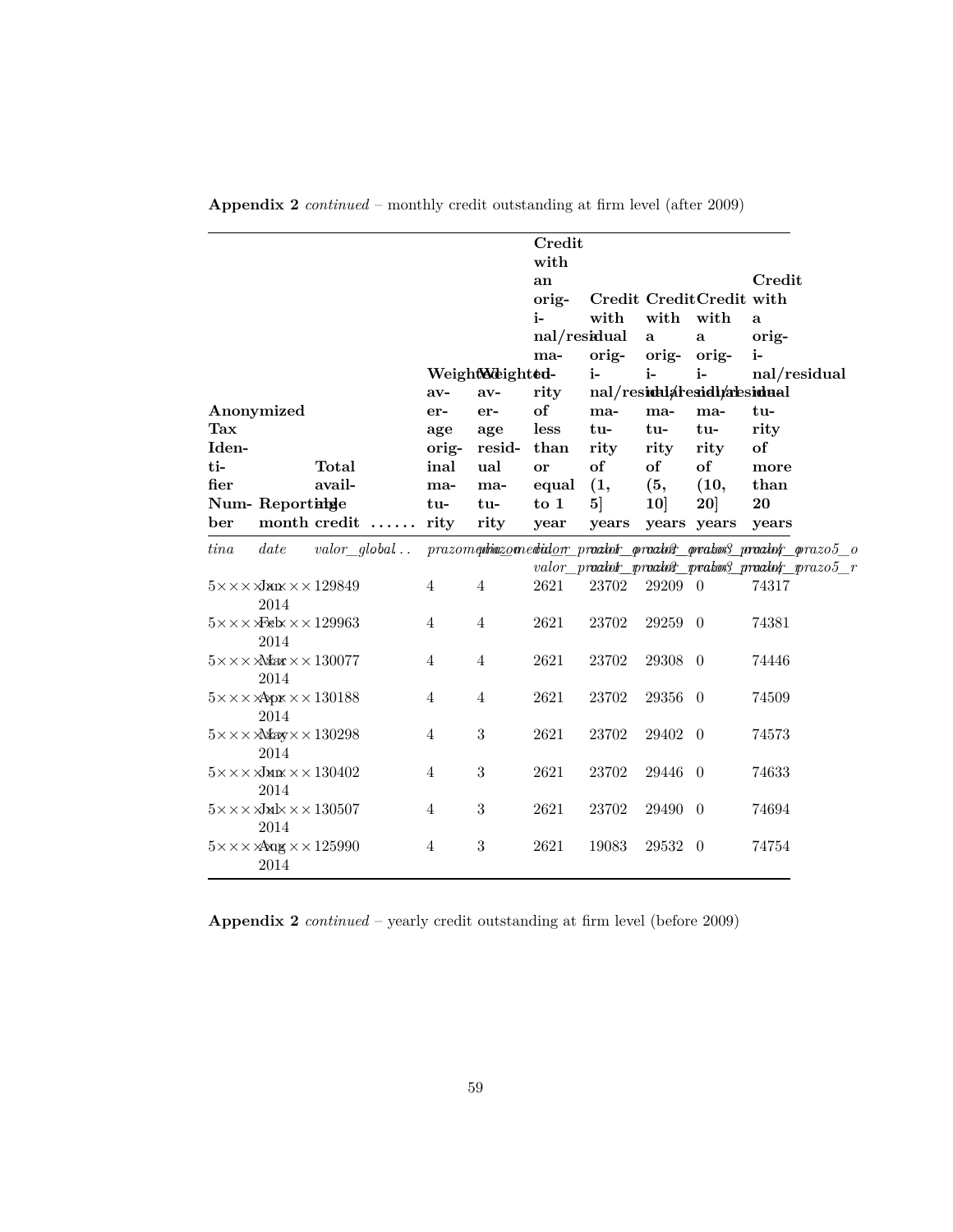|                                                                       |                |                  | Credit<br>with<br>an<br>orig-<br>i-<br>nal/residual | with                    | with<br>$\mathbf{a}$ | Credit CreditCredit with<br>with<br>$\mathbf{a}$ | Credit<br>a<br>orig-                                               |
|-----------------------------------------------------------------------|----------------|------------------|-----------------------------------------------------|-------------------------|----------------------|--------------------------------------------------|--------------------------------------------------------------------|
|                                                                       |                |                  | ma-                                                 | orig-                   | orig- orig-          |                                                  | $i-$                                                               |
|                                                                       |                | Weight Meighted- |                                                     | i-                      | $i-$                 | $i-$                                             | nal/residual                                                       |
|                                                                       | $av-$          | $av-$            | rity                                                |                         |                      | nal/residualtesidualtesidual                     |                                                                    |
| Anonymized                                                            | er-            | er-              | of                                                  | ma-                     | ma-                  | ma-                                              | tu-                                                                |
| $\operatorname{Tax}$                                                  | age            | age              | less                                                | tu-                     | tu-                  | tu-                                              | rity                                                               |
| Iden-                                                                 | orig-          | $resid-$         | than                                                | rity                    | rity                 | rity                                             | of                                                                 |
| ti-<br>Total                                                          | inal           | ual              | or                                                  | of                      | of                   | of                                               | more                                                               |
| fier<br>avail-                                                        | ma-            | ma-              | equal                                               | (1,                     | (5,                  | (10,                                             | than                                                               |
| Num-Reportinge<br>month credit<br>ber                                 | tu-<br>rity    | tu-<br>rity      | $\frac{1}{2}$<br>year                               | 5 <sup>1</sup><br>years | 10                   | 20 <sup>1</sup><br>years years                   | 20<br>years                                                        |
|                                                                       |                |                  |                                                     |                         |                      |                                                  |                                                                    |
| tina<br>date<br>$valor$ global                                        |                |                  |                                                     |                         |                      |                                                  | $prazom$ qhiazo medidor praatot praatot prakos praatot prazo $5$ o |
|                                                                       |                |                  |                                                     |                         |                      |                                                  | valor_proatofr_proatofr_proaton3_proatofr_prazo5_r                 |
| $5\times\times\times\sqrt{\mathsf{aux}}\times\times129849$<br>2014    | $\overline{4}$ | $\overline{4}$   | 2621                                                | 23702                   | 29209 0              |                                                  | 74317                                                              |
| $5 \times \times \times$ Xeb $\times \times 129963$                   | $\overline{4}$ | $\overline{4}$   | 2621                                                | 23702                   | 29259 0              |                                                  | 74381                                                              |
| 2014                                                                  |                |                  |                                                     |                         |                      |                                                  |                                                                    |
| $5 \times \times \times \text{Max} \times \times 130077$              | $\overline{4}$ | $\overline{4}$   | 2621                                                | 23702                   | 29308 0              |                                                  | 74446                                                              |
| 2014                                                                  |                |                  |                                                     |                         |                      |                                                  |                                                                    |
| $5 \times \times \times \times \times \times 130188$                  | $\overline{4}$ | $\overline{4}$   | 2621                                                | 23702                   | 29356 0              |                                                  | 74509                                                              |
| 2014                                                                  |                |                  |                                                     |                         |                      |                                                  |                                                                    |
| $5 \times \times \times \text{Max} \times \times 130298$              | $\overline{4}$ | $\sqrt{3}$       | 2621                                                | 23702                   | 29402 0              |                                                  | 74573                                                              |
| 2014                                                                  |                |                  |                                                     |                         |                      |                                                  |                                                                    |
| $5\times\times\times\sqrt{\phantom{.}}\!\!\rm{MIX}\times\times130402$ | 4              | $\boldsymbol{3}$ | 2621                                                | 23702                   | 29446                | $\overline{0}$                                   | 74633                                                              |
| 2014                                                                  |                |                  |                                                     |                         |                      |                                                  |                                                                    |
| $5 \times \times \times \sqrt{3}$ M $\times \times 130507$            | 4              | $\boldsymbol{3}$ | 2621                                                | 23702                   | 29490                | $\overline{0}$                                   | 74694                                                              |
| 2014                                                                  |                |                  |                                                     |                         |                      |                                                  |                                                                    |
| $5 \times \times \times$ $4 \times \times 125990$                     | $\overline{4}$ | $\sqrt{3}$       | 2621                                                | 19083                   | 29532 0              |                                                  | 74754                                                              |
| 2014                                                                  |                |                  |                                                     |                         |                      |                                                  |                                                                    |

**Appendix 2** *continued* – monthly credit outstanding at firm level (after 2009)

**Appendix 2** *continued* – yearly credit outstanding at firm level (before 2009)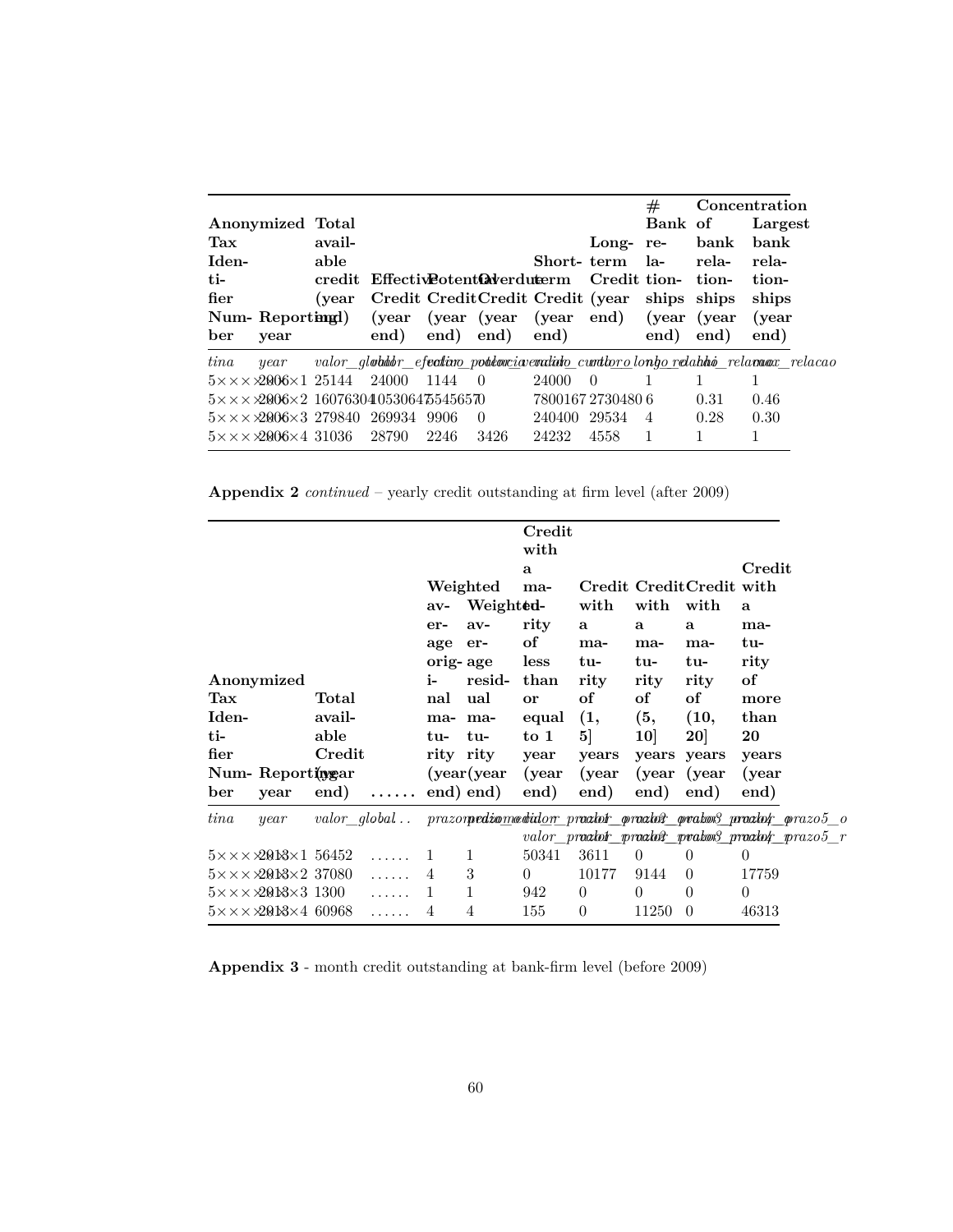|                                                                |        |                                                 |      |                |                            |                 | #              |              | Concentration                                                                               |
|----------------------------------------------------------------|--------|-------------------------------------------------|------|----------------|----------------------------|-----------------|----------------|--------------|---------------------------------------------------------------------------------------------|
| Anonymized Total                                               |        |                                                 |      |                |                            |                 | Bank of        |              | Largest                                                                                     |
| Tax                                                            | avail- |                                                 |      |                |                            | Long-re-        |                | bank         | bank                                                                                        |
| Iden-                                                          | able   |                                                 |      |                |                            | Short-term la-  |                | rela-        | rela-                                                                                       |
| $t$ i-                                                         |        | credit Effective otent averdurer m Credit tion- |      |                |                            |                 |                | tion-        | tion-                                                                                       |
| fier                                                           | (vear  |                                                 |      |                | Credit Credit Credit (year |                 | ships ships    |              | ships                                                                                       |
| Num-Reportingt)                                                |        | (year)                                          |      |                | (year (year (year end)     |                 |                | (year (year) | (year)                                                                                      |
| ber<br>year                                                    |        | end)                                            | end) | end)           | end)                       |                 | end)           | end)         | end)                                                                                        |
| tina<br>year                                                   |        |                                                 |      |                |                            |                 |                |              | valor gl <b>obitor efectivo potitoxia enclinio cuntioro</b> longo relativo relaceae relaceo |
| $5 \times \times \times 2006 \times 125144$                    |        | - 24000                                         | 1144 | - 0            | 24000                      | $\overline{0}$  |                |              |                                                                                             |
| $5 \times \times \times 2006 \times 2$ 16076304053064755456570 |        |                                                 |      |                |                            | 780016727304806 |                | 0.31         | 0.46                                                                                        |
|                                                                |        |                                                 |      |                |                            |                 |                |              |                                                                                             |
| $5 \times \times \times 2006 \times 32798402699349906$         |        |                                                 |      | $\overline{0}$ | 240400                     | 29534           | $\overline{4}$ | 0.28         | 0.30                                                                                        |

**Appendix 2** *continued* – yearly credit outstanding at firm level (after 2009)

|                             |                                                                                           |                                   |                       | $av-$<br>er-                | Weighted<br>Weight ed-<br>$av-$   | Credit<br>with<br>a<br>ma-<br>rity           | with<br>a                                    | with<br>a                            | Credit CreditCredit with<br>with<br>a                | Credit<br>a<br>ma-                                                                                                            |  |
|-----------------------------|-------------------------------------------------------------------------------------------|-----------------------------------|-----------------------|-----------------------------|-----------------------------------|----------------------------------------------|----------------------------------------------|--------------------------------------|------------------------------------------------------|-------------------------------------------------------------------------------------------------------------------------------|--|
|                             |                                                                                           |                                   |                       | age                         | er-<br>orig- age                  | of<br>less                                   | ma-<br>tu-                                   | ma-<br>tu-                           | ma-<br>tu-                                           | tu-<br>rity                                                                                                                   |  |
| Tax<br>Iden-<br>ti-<br>fier | Anonymized                                                                                | Total<br>avail-<br>able<br>Credit |                       | i-<br>nal<br>ma- ma-<br>tu- | resid-<br>ual<br>tu-<br>rity rity | than<br>or<br>equal<br>$\frac{1}{2}$<br>year | rity<br>of<br>(1,<br>5 <sup>1</sup><br>years | rity<br>of<br>(5,<br>10 <sup>1</sup> | rity<br>of<br>(10,<br>20 <sup>1</sup><br>years years | of<br>more<br>than<br>20<br>years                                                                                             |  |
| ber                         | Num-Reportingar<br>year                                                                   |                                   | $end)$                |                             | (year(year)<br>end) end)          | (year)<br>end)                               | (year)<br>end)                               | end)                                 | (year (year)<br>end)                                 | (year)<br>end)                                                                                                                |  |
| tina                        | year                                                                                      |                                   |                       |                             |                                   |                                              |                                              |                                      |                                                      | valor_global prazorpediomedidor proator proator proator proator prazo5_o<br>valor_praatoir_praatoir_pratois_praatoir_prazo5_r |  |
|                             | $5 \times \times \times 200 \times 1$ 56452<br>$5 \times \times \times 200 \times 237080$ |                                   | 1.1.1.1.1<br>$\ldots$ | -1<br>$\overline{4}$        | $\mathbf{1}$<br>3                 | 50341<br>$\theta$                            | 3611<br>10177                                | $\theta$<br>9144                     | $\theta$<br>$\Omega$                                 | $\Omega$<br>17759                                                                                                             |  |
|                             | $5 \times \times \times 200 \times 31300$<br>$5 \times \times \times 200 \times 4$ 60968  |                                   | 1.1.1.1.1             | $\mathbf{1}$<br>4           | $\mathbf{1}$<br>4                 | 942<br>155                                   | $\theta$<br>$\theta$                         | $\Omega$<br>11250                    | $\theta$<br>$\theta$                                 | $\Omega$<br>46313                                                                                                             |  |

**Appendix 3** - month credit outstanding at bank-firm level (before 2009)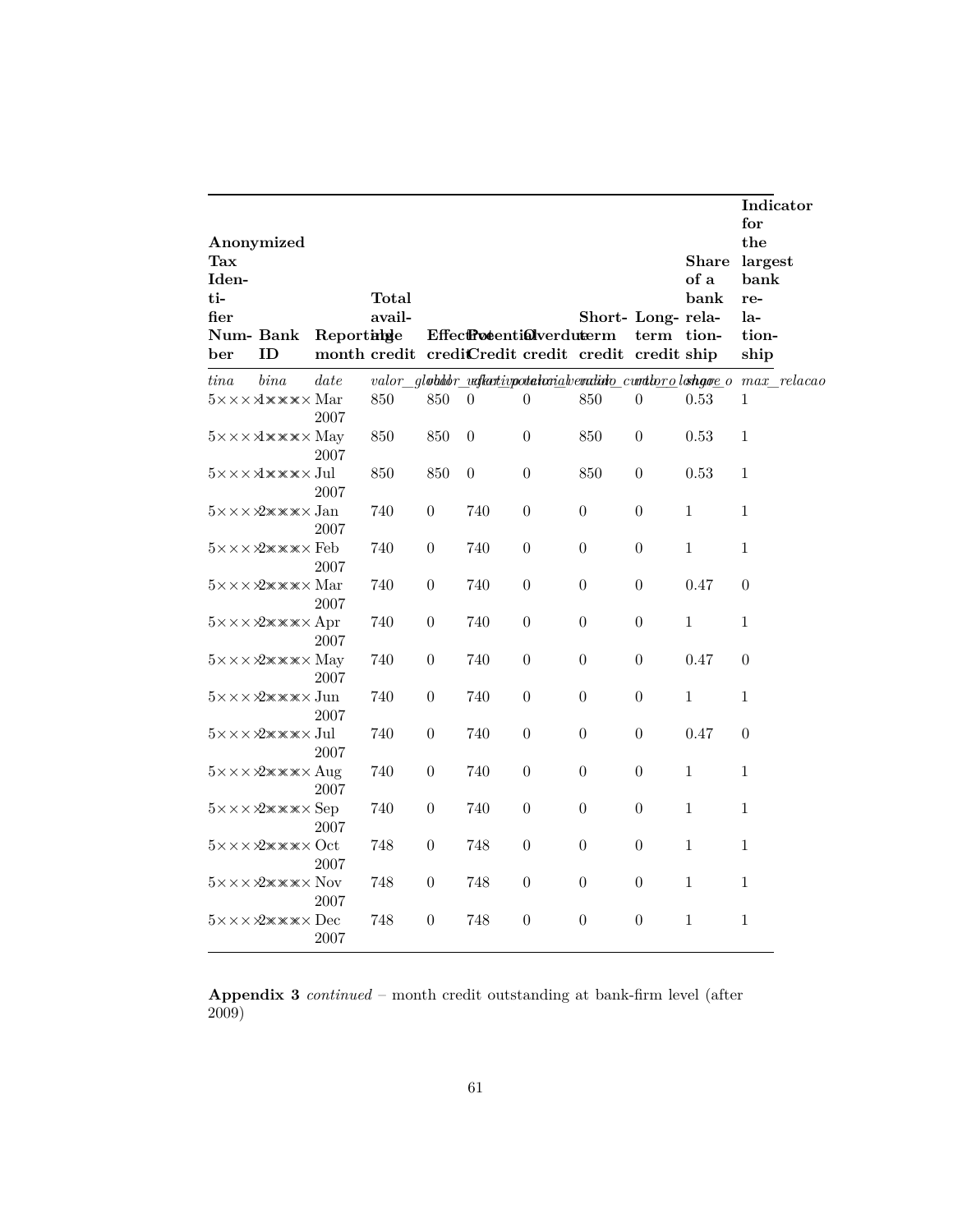|                                                                 |                                                                  |            |                 |                  |                                 |                  |                                                                           |                  |                              | Indicator<br>for                                                     |
|-----------------------------------------------------------------|------------------------------------------------------------------|------------|-----------------|------------------|---------------------------------|------------------|---------------------------------------------------------------------------|------------------|------------------------------|----------------------------------------------------------------------|
| $\operatorname{Tax}$<br>Iden-<br>ti-<br>fier<br>Num-Bank<br>ber | Anonymized<br>ID                                                 | Reportinge | Total<br>avail- |                  | <b>EffectPotentiQlverduterm</b> |                  | Short- Long-rela-<br>month credit credit Credit credit credit credit ship | term tion-       | <b>Share</b><br>of a<br>bank | the<br>largest<br>bank<br>re-<br>la-<br>tion-<br>ship                |
| tina                                                            | bin a                                                            | date       |                 |                  |                                 |                  |                                                                           |                  |                              | valor_globdor_vafkativpotelarialvendido_curtlorolohgoe_o max_relacao |
|                                                                 |                                                                  | 2007       | 850             | 850              | $\overline{0}$                  | $\theta$         | 850                                                                       | $\boldsymbol{0}$ | 0.53                         | $\mathbf{1}$                                                         |
|                                                                 |                                                                  | 2007       | 850             | 850              | $\theta$                        | $\boldsymbol{0}$ | 850                                                                       | $\theta$         | 0.53                         | 1                                                                    |
|                                                                 | $5 \times \times \times \times \times \times \times$ Jul         | 2007       | 850             | 850              | $\boldsymbol{0}$                | $\overline{0}$   | 850                                                                       | 0                | 0.53                         | $\mathbf{1}$                                                         |
|                                                                 | $5\times\times\times\cancel{2}\times\times\times\times$ Jan      | 2007       | 740             | $\theta$         | 740                             | $\boldsymbol{0}$ | $\theta$                                                                  | $\boldsymbol{0}$ | $\mathbf{1}$                 | 1                                                                    |
|                                                                 | $5 \times \times \times 2 \times \times \times \times$ Feb       | 2007       | 740             | $\boldsymbol{0}$ | 740                             | $\boldsymbol{0}$ | $\theta$                                                                  | $\boldsymbol{0}$ | $\mathbf{1}$                 | $\mathbf{1}$                                                         |
|                                                                 | $5 \times \times \times 2 \times \times \times \times$ Mar       | 2007       | 740             | $\boldsymbol{0}$ | 740                             | $\boldsymbol{0}$ | $\theta$                                                                  | $\boldsymbol{0}$ | 0.47                         | $\boldsymbol{0}$                                                     |
|                                                                 | $5 \times \times \times 2 \times \times \times \times$ Apr       | 2007       | 740             | $\boldsymbol{0}$ | 740                             | $\boldsymbol{0}$ | $\boldsymbol{0}$                                                          | $\boldsymbol{0}$ | $1\,$                        | $\mathbf 1$                                                          |
|                                                                 | $5 \times \times \times 2 \times \times \times \times$ May       | 2007       | 740             | $\boldsymbol{0}$ | 740                             | $\theta$         | $\theta$                                                                  | $\theta$         | 0.47                         | $\overline{0}$                                                       |
|                                                                 | $5 \times \times \times 2 \times \times \times \times$ Jun       | 2007       | 740             | $\theta$         | 740                             | $\theta$         | $\theta$                                                                  | $\theta$         | $\mathbf{1}$                 | $\mathbf{1}$                                                         |
|                                                                 | $5\times\times\times\cancel{2}\times\times\times\times$ Jul      | 2007       | 740             | $\theta$         | 740                             | $\theta$         | $\theta$                                                                  | 0                | 0.47                         | $\theta$                                                             |
|                                                                 | $5 \times \times \times 2 \times \times \times \times$ Aug       | 2007       | 740             | $\theta$         | 740                             | $\theta$         | $\theta$                                                                  | $\theta$         | 1                            | 1                                                                    |
|                                                                 | $5 \times \times \times 2 \times \times \times \times$ Sep       | 2007       | 740             | $\theta$         | 740                             | $\boldsymbol{0}$ | $\theta$                                                                  | 0                | 1                            | $\mathbf{1}$                                                         |
|                                                                 | $5 \times \times \times 2 \times \times \times \times \cdot$ Oct | 2007       | 748             | $\boldsymbol{0}$ | 748                             | $\boldsymbol{0}$ | $\boldsymbol{0}$                                                          | 0                | $\,1\,$                      | $\,1\,$                                                              |
|                                                                 | $5 \times \times \times 2 \times \times \times \times N$ ov      | 2007       | 748             | $\boldsymbol{0}$ | 748                             | $\boldsymbol{0}$ | $\boldsymbol{0}$                                                          | $\boldsymbol{0}$ | $\,1\,$                      | $\mathbf{1}$                                                         |
|                                                                 | $5 \times \times \times 2 \times \times \times \times$ Dec       | 2007       | 748             | $\overline{0}$   | 748                             | $\overline{0}$   | $\boldsymbol{0}$                                                          | $\boldsymbol{0}$ | 1                            | $\mathbf{1}$                                                         |

**Appendix 3** *continued* – month credit outstanding at bank-firm level (after 2009)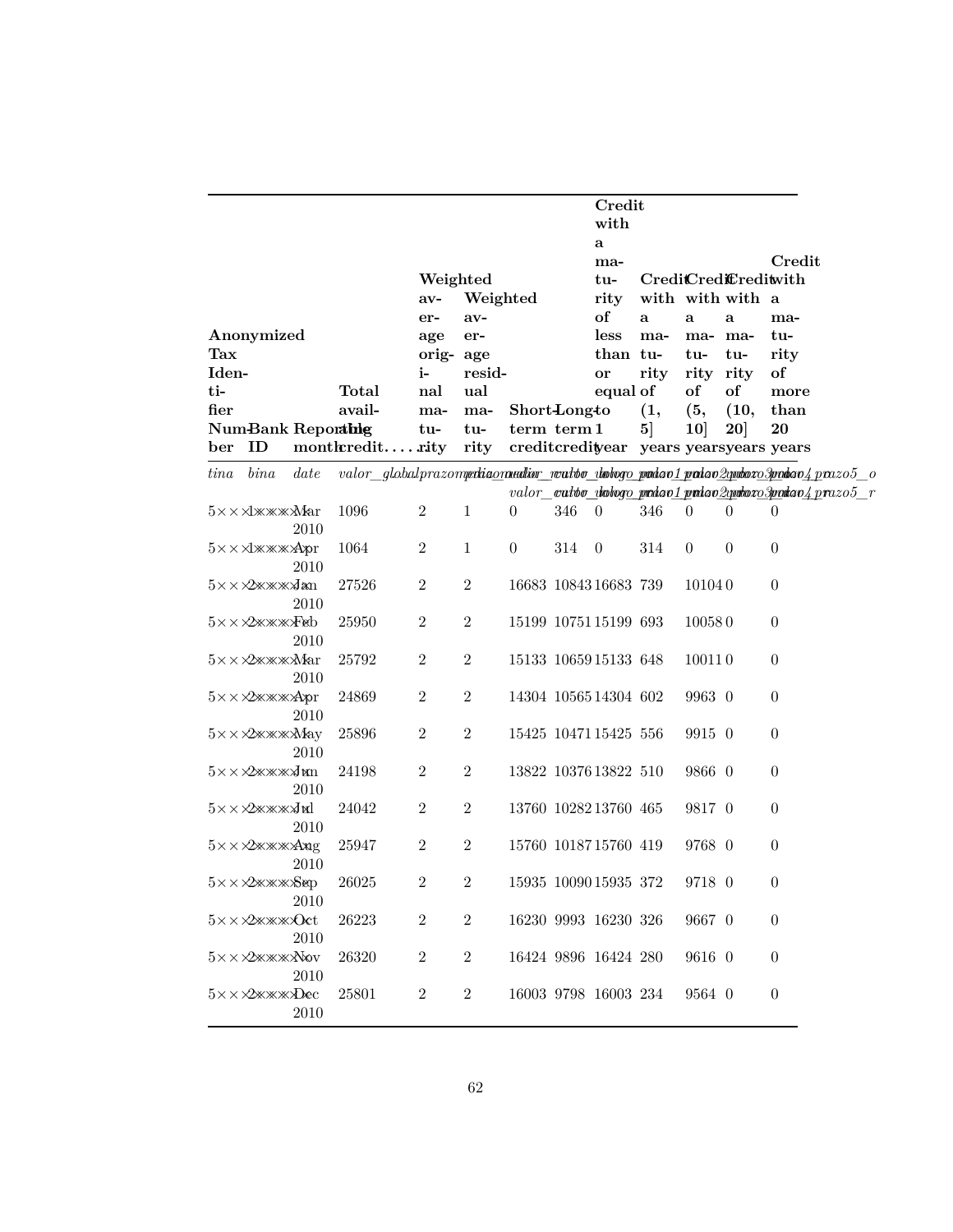|             |                                                                    |          |                   |                  |                  |                                    |     | Credit                |                                         |                  |                      |                                                                                                                                              |
|-------------|--------------------------------------------------------------------|----------|-------------------|------------------|------------------|------------------------------------|-----|-----------------------|-----------------------------------------|------------------|----------------------|----------------------------------------------------------------------------------------------------------------------------------------------|
|             |                                                                    |          |                   |                  |                  |                                    |     | with                  |                                         |                  |                      |                                                                                                                                              |
|             |                                                                    |          |                   |                  |                  |                                    |     | a                     |                                         |                  |                      |                                                                                                                                              |
|             |                                                                    |          |                   |                  |                  |                                    |     | ma-                   |                                         |                  |                      | Credit                                                                                                                                       |
|             |                                                                    |          |                   | Weighted         |                  |                                    |     | tu-                   |                                         |                  | CrediCrediCreditwith |                                                                                                                                              |
|             |                                                                    |          |                   | $av-$            | Weighted         |                                    |     | rity                  |                                         |                  | with with with a     |                                                                                                                                              |
|             |                                                                    |          |                   | er-              | $av-$            |                                    |     | of                    | a                                       | a                | a                    | ma-                                                                                                                                          |
|             | Anonymized                                                         |          |                   | age              | er-              |                                    |     | less                  | ma-                                     | ma- ma-          |                      | tu-                                                                                                                                          |
| Tax         |                                                                    |          |                   | orig- age        |                  |                                    |     | than tu-              |                                         | tu-              | tu-                  | rity                                                                                                                                         |
| Iden-       |                                                                    |          |                   | i-               | resid-           |                                    |     | or                    | rity                                    | rity             | rity                 | of                                                                                                                                           |
| ti-<br>fier |                                                                    |          | Total<br>avail-   | nal              | ual              |                                    |     | equal of              |                                         | of               | of                   | more                                                                                                                                         |
|             | <b>Num-Bank Reporting</b>                                          |          |                   | ma-              | ma-              | <b>Short</b> Longto<br>term term 1 |     |                       | (1,<br>5 <sup>1</sup>                   | (5,              | (10,                 | than<br>20                                                                                                                                   |
| ber         | ID                                                                 |          | $montkredit$ rity | tu-              | tu-<br>rity      |                                    |     |                       | creditcredityear years yearsyears years | 10               | 20]                  |                                                                                                                                              |
|             |                                                                    |          |                   |                  |                  |                                    |     |                       |                                         |                  |                      |                                                                                                                                              |
| tina        | bin a                                                              | date     |                   |                  |                  |                                    |     |                       |                                         |                  |                      | $valor\_globalprazomp$ ekia <u>ora adistronationalista absorpti adintana matematikana syndexa senda<math>o4</math> pro<math>zo5</math> o</u> |
|             |                                                                    |          |                   |                  |                  |                                    |     |                       |                                         |                  |                      | valor_catoo_dologo_prdao1prdao2qerboxo3padao4prazo5_r                                                                                        |
|             |                                                                    | 2010     | 1096              | $\overline{2}$   | $\mathbf{1}$     | $\overline{0}$                     | 346 | $\overline{0}$        | 346                                     | $\boldsymbol{0}$ | $\theta$             | $\theta$                                                                                                                                     |
|             | $5 \times \times \times \times \times \times \times \text{Apr}$    | 2010     | 1064              | $\overline{2}$   | $\mathbf{1}$     | $\boldsymbol{0}$                   | 314 | $\overline{0}$        | 314                                     | $\theta$         | $\boldsymbol{0}$     | $\boldsymbol{0}$                                                                                                                             |
|             | $5 \times \times 2 \times \times \times 3$ an                      | 2010     | 27526             | $\boldsymbol{2}$ | $\boldsymbol{2}$ |                                    |     | 16683 10843 16683 739 |                                         | 101040           |                      | $\boldsymbol{0}$                                                                                                                             |
|             | $5 \times \times 2 \times \times \times 10$                        | 2010     | 25950             | $\boldsymbol{2}$ | $\boldsymbol{2}$ |                                    |     | 15199 10751 15199 693 |                                         | 100580           |                      | $\boldsymbol{0}$                                                                                                                             |
|             | $5\times\times$ XXXXXMar                                           | 2010     | 25792             | $\overline{2}$   | $\overline{2}$   |                                    |     | 15133 10659 15133 648 |                                         | 100110           |                      | $\boldsymbol{0}$                                                                                                                             |
|             |                                                                    | 2010     | 24869             | $\boldsymbol{2}$ | $\overline{2}$   |                                    |     | 14304 1056514304 602  |                                         | 9963 0           |                      | $\boldsymbol{0}$                                                                                                                             |
|             |                                                                    | 2010     | 25896             | $\boldsymbol{2}$ | $\overline{2}$   |                                    |     | 15425 10471 15425 556 |                                         | 9915 0           |                      | $\boldsymbol{0}$                                                                                                                             |
|             | $5 \times \times 2 \times \times \times 3 \text{ nm}$              | $2010\,$ | 24198             | $\boldsymbol{2}$ | $\overline{2}$   |                                    |     | 13822 10376 13822 510 |                                         | 9866 0           |                      | $\boldsymbol{0}$                                                                                                                             |
|             | 5×××2жжж∢иl                                                        | 2010     | 24042             | $\boldsymbol{2}$ | $\mathbf{2}$     |                                    |     | 13760 1028213760 465  |                                         | 9817 0           |                      | $\boldsymbol{0}$                                                                                                                             |
|             | $5 \times \times \times \times \times \times \times \times \times$ | 2010     | 25947             | $\boldsymbol{2}$ | $\sqrt{2}$       |                                    |     | 15760 1018715760 419  |                                         | 9768 0           |                      | $\boldsymbol{0}$                                                                                                                             |
|             | $5 \times \times 2 \times \times \times 8$ ep                      | 2010     | 26025             | $\boldsymbol{2}$ | $\overline{2}$   |                                    |     | 15935 10090 15935 372 |                                         | 9718 0           |                      | $\boldsymbol{0}$                                                                                                                             |
|             | $5 \times \times 2 \times \times \times \text{Oct}$                | 2010     | 26223             | $\overline{2}$   | $\overline{2}$   |                                    |     | 16230 9993 16230 326  |                                         | 9667 0           |                      | $\boldsymbol{0}$                                                                                                                             |
|             | $5\times\times$ X2 $\mathbb{X}\mathbb{X}\mathbb{X}\mathbb{X}$ Nov  | 2010     | 26320             | $\overline{2}$   | $\overline{2}$   |                                    |     | 16424 9896 16424 280  |                                         | 9616 0           |                      | $\boldsymbol{0}$                                                                                                                             |
|             | $5 \times \times 2 \times \times \times 2$ Dec                     | 2010     | 25801             | $\overline{2}$   | $\overline{2}$   |                                    |     | 16003 9798 16003 234  |                                         | 9564 0           |                      | $\theta$                                                                                                                                     |